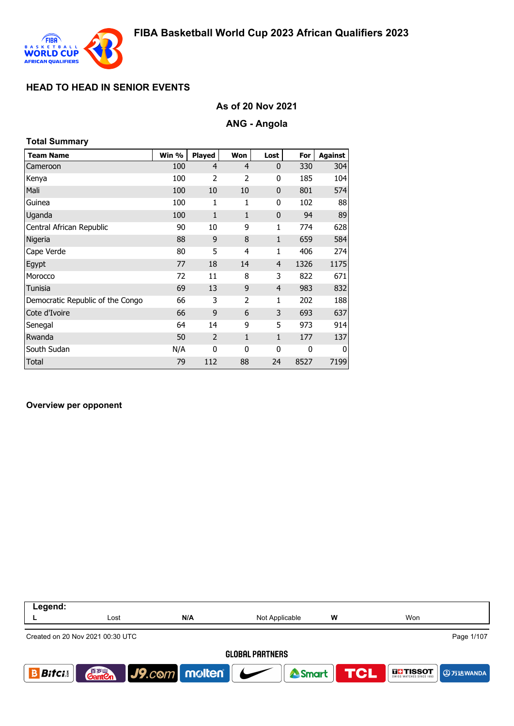

### **As of 20 Nov 2021**

#### **ANG - Angola**

| <b>Total Summary</b>             |       |                |                          |              |      |         |  |
|----------------------------------|-------|----------------|--------------------------|--------------|------|---------|--|
| <b>Team Name</b>                 | Win % | <b>Played</b>  | Won                      | Lost         | For  | Against |  |
| Cameroon                         | 100   | $\overline{4}$ | $\overline{4}$           | $\mathbf 0$  | 330  | 304     |  |
| Kenya                            | 100   | 2              | $\overline{\phantom{a}}$ | 0            | 185  | 104     |  |
| Mali                             | 100   | 10             | 10                       | $\mathbf 0$  | 801  | 574     |  |
| Guinea                           | 100   | 1              | 1                        | 0            | 102  | 88      |  |
| Uganda                           | 100   | 1              | 1                        | $\mathbf 0$  | 94   | 89      |  |
| Central African Republic         | 90    | 10             | 9                        | 1            | 774  | 628     |  |
| Nigeria                          | 88    | 9              | 8                        | $\mathbf{1}$ | 659  | 584     |  |
| Cape Verde                       | 80    | 5              | 4                        | 1            | 406  | 274     |  |
| Egypt                            | 77    | 18             | 14                       | 4            | 1326 | 1175    |  |
| Morocco                          | 72    | 11             | 8                        | 3            | 822  | 671     |  |
| Tunisia                          | 69    | 13             | 9                        | 4            | 983  | 832     |  |
| Democratic Republic of the Congo | 66    | 3              | 2                        | 1            | 202  | 188     |  |
| Cote d'Ivoire                    | 66    | 9              | 6                        | 3            | 693  | 637     |  |
| Senegal                          | 64    | 14             | 9                        | 5            | 973  | 914     |  |
| Rwanda                           | 50    | $\overline{2}$ | 1                        | $\mathbf{1}$ | 177  | 137     |  |
| South Sudan                      | N/A   | $\mathbf{0}$   | 0                        | $\mathbf 0$  | 0    | 0       |  |
| <b>Total</b>                     | 79    | 112            | 88                       | 24           | 8527 | 7199    |  |

**Overview per opponent**

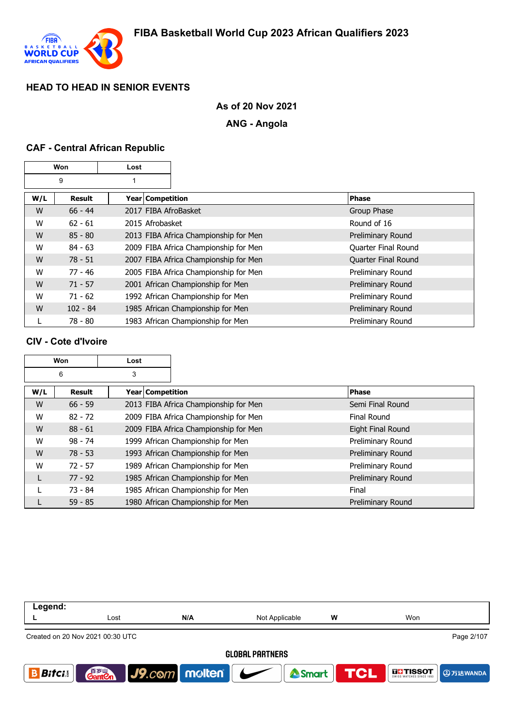

### **As of 20 Nov 2021**

### **ANG - Angola**

# **CAF - Central African Republic**

| Won<br>Lost |            |                         |                                       |                     |
|-------------|------------|-------------------------|---------------------------------------|---------------------|
|             | 9          |                         |                                       |                     |
| W/L         | Result     | <b>Year Competition</b> |                                       | <b>Phase</b>        |
| W           | $66 - 44$  | 2017 FIBA AfroBasket    |                                       | Group Phase         |
| W           | $62 - 61$  | 2015 Afrobasket         |                                       | Round of 16         |
| W           | $85 - 80$  |                         | 2013 FIBA Africa Championship for Men | Preliminary Round   |
| W           | $84 - 63$  |                         | 2009 FIBA Africa Championship for Men | Quarter Final Round |
| W           | $78 - 51$  |                         | 2007 FIBA Africa Championship for Men | Quarter Final Round |
| W           | $77 - 46$  |                         | 2005 FIBA Africa Championship for Men | Preliminary Round   |
| W           | $71 - 57$  |                         | 2001 African Championship for Men     | Preliminary Round   |
| W           | $71 - 62$  |                         | 1992 African Championship for Men     | Preliminary Round   |
| W           | $102 - 84$ |                         | 1985 African Championship for Men     | Preliminary Round   |
|             | $78 - 80$  |                         | 1983 African Championship for Men     | Preliminary Round   |

#### **CIV - Cote d'Ivoire**

|     | Won           | Lost               |                                       |                          |
|-----|---------------|--------------------|---------------------------------------|--------------------------|
|     | 6             | 3                  |                                       |                          |
| W/L | <b>Result</b> | Year   Competition |                                       | <b>Phase</b>             |
| W   | $66 - 59$     |                    | 2013 FIBA Africa Championship for Men | Semi Final Round         |
| W   | $82 - 72$     |                    | 2009 FIBA Africa Championship for Men | Final Round              |
| W   | $88 - 61$     |                    | 2009 FIBA Africa Championship for Men | <b>Eight Final Round</b> |
| W   | $98 - 74$     |                    | 1999 African Championship for Men     | Preliminary Round        |
| W   | $78 - 53$     |                    | 1993 African Championship for Men     | <b>Preliminary Round</b> |
| W   | $72 - 57$     |                    | 1989 African Championship for Men     | Preliminary Round        |
| L   | $77 - 92$     |                    | 1985 African Championship for Men     | Preliminary Round        |
|     | $73 - 84$     |                    | 1985 African Championship for Men     | Final                    |
|     | $59 - 85$     |                    | 1980 African Championship for Men     | Preliminary Round        |

| Legend:                |                                                |                               |                |            |                                        |  |  |
|------------------------|------------------------------------------------|-------------------------------|----------------|------------|----------------------------------------|--|--|
|                        | Lost                                           | N/A                           | Not Applicable | w          | Won                                    |  |  |
|                        | Page 2/107<br>Created on 20 Nov 2021 00:30 UTC |                               |                |            |                                        |  |  |
| <b>GLOBAL PARTNERS</b> |                                                |                               |                |            |                                        |  |  |
| <b>Bitci</b> s         | 音 <sub>岁Ⅲ</sub><br>Gant©n                      | $\sqrt{9}$ .com melten $\sim$ | Smart          | <b>TCL</b> | <b>THE TISSOT</b><br><b>45 万达WANDA</b> |  |  |
|                        |                                                |                               |                |            |                                        |  |  |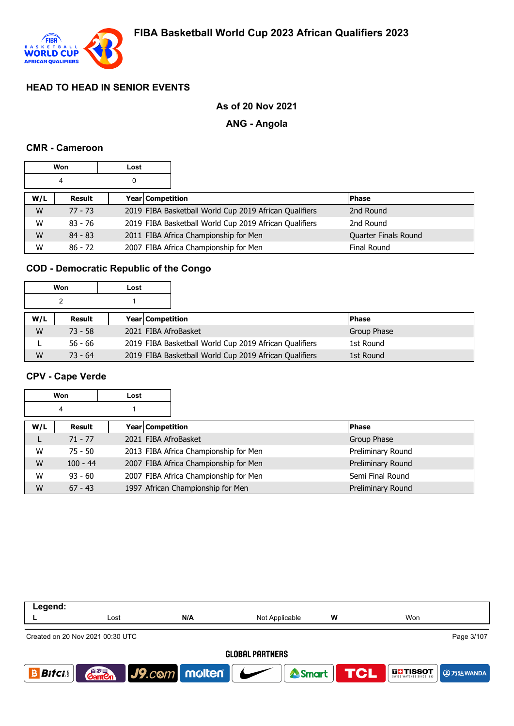

# **As of 20 Nov 2021**

### **ANG - Angola**

#### **CMR - Cameroon**

|     | Won       | Lost             |                                                        |                      |
|-----|-----------|------------------|--------------------------------------------------------|----------------------|
|     | 4         | 0                |                                                        |                      |
| W/L | Result    | Year Competition |                                                        | <b>Phase</b>         |
| W   | $77 - 73$ |                  | 2019 FIBA Basketball World Cup 2019 African Qualifiers | 2nd Round            |
| W   | $83 - 76$ |                  | 2019 FIBA Basketball World Cup 2019 African Qualifiers | 2nd Round            |
| W   | $84 - 83$ |                  | 2011 FIBA Africa Championship for Men                  | Quarter Finals Round |
| W   | $86 - 72$ |                  | 2007 FIBA Africa Championship for Men                  | <b>Final Round</b>   |

## **COD - Democratic Republic of the Congo**

|     | Won       | Lost |                                                        |              |
|-----|-----------|------|--------------------------------------------------------|--------------|
|     |           |      |                                                        |              |
| W/L | Result    |      | <b>Year Competition</b>                                | <b>Phase</b> |
| W   | $73 - 58$ |      | 2021 FIBA AfroBasket                                   | Group Phase  |
|     | 56 - 66   |      | 2019 FIBA Basketball World Cup 2019 African Qualifiers | 1st Round    |
| W   | $73 - 64$ |      | 2019 FIBA Basketball World Cup 2019 African Qualifiers | 1st Round    |

# **CPV - Cape Verde**

|     | Won        | Lost |                  |                                       |  |                   |
|-----|------------|------|------------------|---------------------------------------|--|-------------------|
|     | 4          |      |                  |                                       |  |                   |
| W/L | Result     |      | Year Competition |                                       |  | <b>Phase</b>      |
|     | $71 - 77$  |      |                  | 2021 FIBA AfroBasket                  |  | Group Phase       |
| W   | $75 - 50$  |      |                  | 2013 FIBA Africa Championship for Men |  | Preliminary Round |
| W   | $100 - 44$ |      |                  | 2007 FIBA Africa Championship for Men |  | Preliminary Round |
| W   | $93 - 60$  |      |                  | 2007 FIBA Africa Championship for Men |  | Semi Final Round  |
| W   | $67 - 43$  |      |                  | 1997 African Championship for Men     |  | Preliminary Round |

| Legend:                |                                                |                             |                  |   |                                      |  |  |
|------------------------|------------------------------------------------|-----------------------------|------------------|---|--------------------------------------|--|--|
|                        | Lost                                           | N/A                         | Not Applicable   | W | Won                                  |  |  |
|                        | Page 3/107<br>Created on 20 Nov 2021 00:30 UTC |                             |                  |   |                                      |  |  |
| <b>GLOBAL PARTNERS</b> |                                                |                             |                  |   |                                      |  |  |
| <b>Bitci</b>           |                                                | <b>Ganton</b> J9.com molten | Smart <b>TCL</b> |   | <b>THE TISSOT</b><br><b>4万达WANDA</b> |  |  |
|                        |                                                |                             |                  |   |                                      |  |  |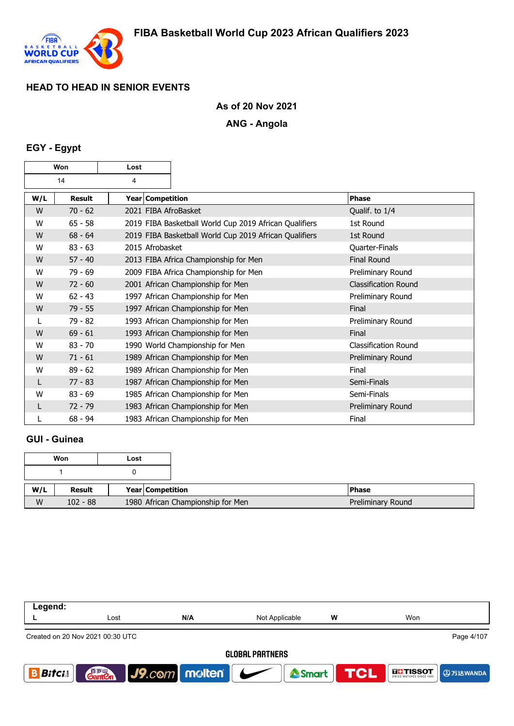

### **As of 20 Nov 2021**

#### **ANG - Angola**

### **EGY - Egypt**

| <b>Won</b> |               | Lost                 |                                                        |                             |
|------------|---------------|----------------------|--------------------------------------------------------|-----------------------------|
| 14         |               | 4                    |                                                        |                             |
| W/L        | <b>Result</b> | Year Competition     |                                                        | <b>Phase</b>                |
| W          | $70 - 62$     | 2021 FIBA AfroBasket |                                                        | Qualif. to 1/4              |
| W          | $65 - 58$     |                      | 2019 FIBA Basketball World Cup 2019 African Qualifiers | 1st Round                   |
| W          | $68 - 64$     |                      | 2019 FIBA Basketball World Cup 2019 African Qualifiers | 1st Round                   |
| W          | $83 - 63$     | 2015 Afrobasket      |                                                        | Quarter-Finals              |
| W          | $57 - 40$     |                      | 2013 FIBA Africa Championship for Men                  | <b>Final Round</b>          |
| W          | $79 - 69$     |                      | 2009 FIBA Africa Championship for Men                  | Preliminary Round           |
| W          | $72 - 60$     |                      | 2001 African Championship for Men                      | <b>Classification Round</b> |
| W          | $62 - 43$     |                      | 1997 African Championship for Men                      | Preliminary Round           |
| W          | $79 - 55$     |                      | 1997 African Championship for Men                      | Final                       |
|            | 79 - 82       |                      | 1993 African Championship for Men                      | Preliminary Round           |
| W          | $69 - 61$     |                      | 1993 African Championship for Men                      | Final                       |
| W          | $83 - 70$     |                      | 1990 World Championship for Men                        | <b>Classification Round</b> |
| W          | $71 - 61$     |                      | 1989 African Championship for Men                      | Preliminary Round           |
| W          | $89 - 62$     |                      | 1989 African Championship for Men                      | Final                       |
| L          | $77 - 83$     |                      | 1987 African Championship for Men                      | Semi-Finals                 |
| W          | $83 - 69$     |                      | 1985 African Championship for Men                      | Semi-Finals                 |
| L          | $72 - 79$     |                      | 1983 African Championship for Men                      | Preliminary Round           |
| L          | $68 - 94$     |                      | 1983 African Championship for Men                      | Final                       |

# **GUI - Guinea**

|     | Won        | Lost                              |
|-----|------------|-----------------------------------|
|     |            |                                   |
| W/L | Result     | Year Competition                  |
| W   | $102 - 88$ | 1980 African Championship for Men |

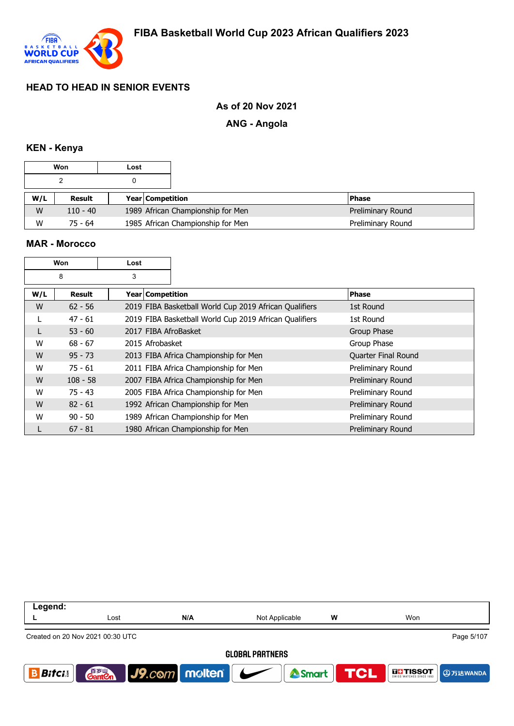

### **As of 20 Nov 2021**

**ANG - Angola**

### **KEN - Kenya**

|     | Won        | Lost |                                   |                   |
|-----|------------|------|-----------------------------------|-------------------|
|     |            |      |                                   |                   |
| W/L | Result     |      | <b>Year Competition</b>           | <b>Phase</b>      |
| W   | $110 - 40$ |      | 1989 African Championship for Men | Preliminary Round |
| W   | 75 - 64    |      | 1985 African Championship for Men | Preliminary Round |

#### **MAR - Morocco**

| Won |               | Lost                 |                                                        |                     |
|-----|---------------|----------------------|--------------------------------------------------------|---------------------|
| 8   |               | 3                    |                                                        |                     |
| W/L | <b>Result</b> | Year Competition     |                                                        | <b>Phase</b>        |
| W   | $62 - 56$     |                      | 2019 FIBA Basketball World Cup 2019 African Qualifiers | 1st Round           |
|     | $47 - 61$     |                      | 2019 FIBA Basketball World Cup 2019 African Qualifiers | 1st Round           |
| L   | $53 - 60$     | 2017 FIBA AfroBasket |                                                        | Group Phase         |
| W   | $68 - 67$     | 2015 Afrobasket      |                                                        | Group Phase         |
| W   | $95 - 73$     |                      | 2013 FIBA Africa Championship for Men                  | Quarter Final Round |
| W   | $75 - 61$     |                      | 2011 FIBA Africa Championship for Men                  | Preliminary Round   |
| W   | $108 - 58$    |                      | 2007 FIBA Africa Championship for Men                  | Preliminary Round   |
| W   | $75 - 43$     |                      | 2005 FIBA Africa Championship for Men                  | Preliminary Round   |
| W   | $82 - 61$     |                      | 1992 African Championship for Men                      | Preliminary Round   |
| W   | $90 - 50$     |                      | 1989 African Championship for Men                      | Preliminary Round   |
|     | $67 - 81$     |                      | 1980 African Championship for Men                      | Preliminary Round   |

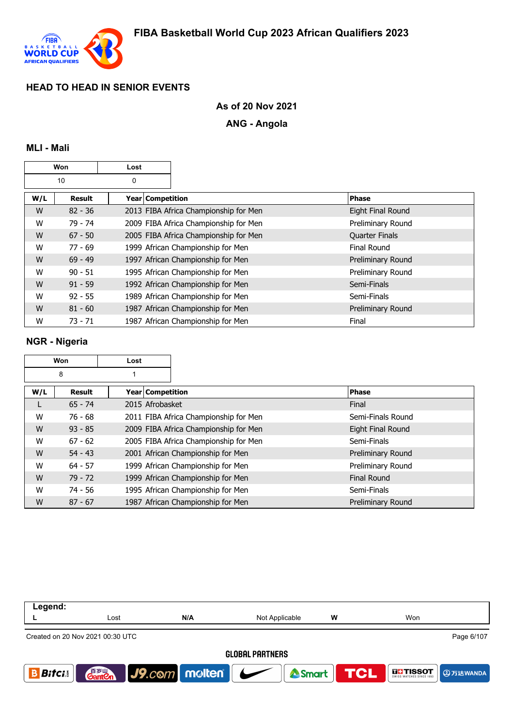

### **As of 20 Nov 2021**

#### **ANG - Angola**

#### **MLI - Mali**

|     | Won           | Lost |                    |                                       |                       |
|-----|---------------|------|--------------------|---------------------------------------|-----------------------|
|     | 10            | 0    |                    |                                       |                       |
| W/L | <b>Result</b> |      | Year   Competition |                                       | <b>Phase</b>          |
| W   | $82 - 36$     |      |                    | 2013 FIBA Africa Championship for Men | Eight Final Round     |
| W   | $79 - 74$     |      |                    | 2009 FIBA Africa Championship for Men | Preliminary Round     |
| W   | $67 - 50$     |      |                    | 2005 FIBA Africa Championship for Men | <b>Quarter Finals</b> |
| W   | $77 - 69$     |      |                    | 1999 African Championship for Men     | Final Round           |
| W   | $69 - 49$     |      |                    | 1997 African Championship for Men     | Preliminary Round     |
| W   | $90 - 51$     |      |                    | 1995 African Championship for Men     | Preliminary Round     |
| W   | $91 - 59$     |      |                    | 1992 African Championship for Men     | Semi-Finals           |
| W   | $92 - 55$     |      |                    | 1989 African Championship for Men     | Semi-Finals           |
| W   | $81 - 60$     |      |                    | 1987 African Championship for Men     | Preliminary Round     |
| W   | $73 - 71$     |      |                    | 1987 African Championship for Men     | Final                 |

#### **NGR - Nigeria**

|     | Won       | Lost               |                                       |                          |
|-----|-----------|--------------------|---------------------------------------|--------------------------|
|     | 8         |                    |                                       |                          |
| W/L | Result    | Year   Competition |                                       | <b>Phase</b>             |
| L   | $65 - 74$ | 2015 Afrobasket    |                                       | Final                    |
| W   | $76 - 68$ |                    | 2011 FIBA Africa Championship for Men | Semi-Finals Round        |
| W   | $93 - 85$ |                    | 2009 FIBA Africa Championship for Men | Eight Final Round        |
| W   | $67 - 62$ |                    | 2005 FIBA Africa Championship for Men | Semi-Finals              |
| W   | $54 - 43$ |                    | 2001 African Championship for Men     | Preliminary Round        |
| W   | $64 - 57$ |                    | 1999 African Championship for Men     | Preliminary Round        |
| W   | $79 - 72$ |                    | 1999 African Championship for Men     | <b>Final Round</b>       |
| W   | $74 - 56$ |                    | 1995 African Championship for Men     | Semi-Finals              |
| W   | $87 - 67$ |                    | 1987 African Championship for Men     | <b>Preliminary Round</b> |

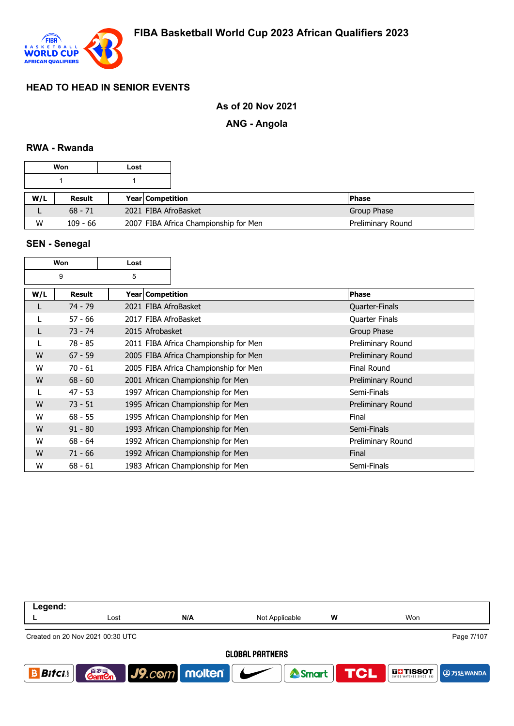

### **As of 20 Nov 2021**

**ANG - Angola**

### **RWA - Rwanda**

|     | Won        | Lost |                                       |                   |
|-----|------------|------|---------------------------------------|-------------------|
|     |            |      |                                       |                   |
| W/L | Result     |      | <b>Year Competition</b>               | <b>Phase</b>      |
|     | $68 - 71$  |      | 2021 FIBA AfroBasket                  | Group Phase       |
| W   | $109 - 66$ |      | 2007 FIBA Africa Championship for Men | Preliminary Round |

#### **SEN - Senegal**

ľ

|     | Won       | Lost                 |                                       |                       |
|-----|-----------|----------------------|---------------------------------------|-----------------------|
|     | 9         | 5                    |                                       |                       |
| W/L | Result    | Year   Competition   |                                       | <b>Phase</b>          |
| L   | $74 - 79$ | 2021 FIBA AfroBasket |                                       | <b>Quarter-Finals</b> |
|     | $57 - 66$ | 2017 FIBA AfroBasket |                                       | Quarter Finals        |
|     | $73 - 74$ | 2015 Afrobasket      |                                       | Group Phase           |
|     | 78 - 85   |                      | 2011 FIBA Africa Championship for Men | Preliminary Round     |
| W   | $67 - 59$ |                      | 2005 FIBA Africa Championship for Men | Preliminary Round     |
| W   | $70 - 61$ |                      | 2005 FIBA Africa Championship for Men | <b>Final Round</b>    |
| W   | $68 - 60$ |                      | 2001 African Championship for Men     | Preliminary Round     |
| L   | $47 - 53$ |                      | 1997 African Championship for Men     | Semi-Finals           |
| W   | $73 - 51$ |                      | 1995 African Championship for Men     | Preliminary Round     |
| W   | $68 - 55$ |                      | 1995 African Championship for Men     | Final                 |
| W   | $91 - 80$ |                      | 1993 African Championship for Men     | Semi-Finals           |
| W   | $68 - 64$ |                      | 1992 African Championship for Men     | Preliminary Round     |
| W   | $71 - 66$ |                      | 1992 African Championship for Men     | Final                 |
| W   | $68 - 61$ |                      | 1983 African Championship for Men     | Semi-Finals           |

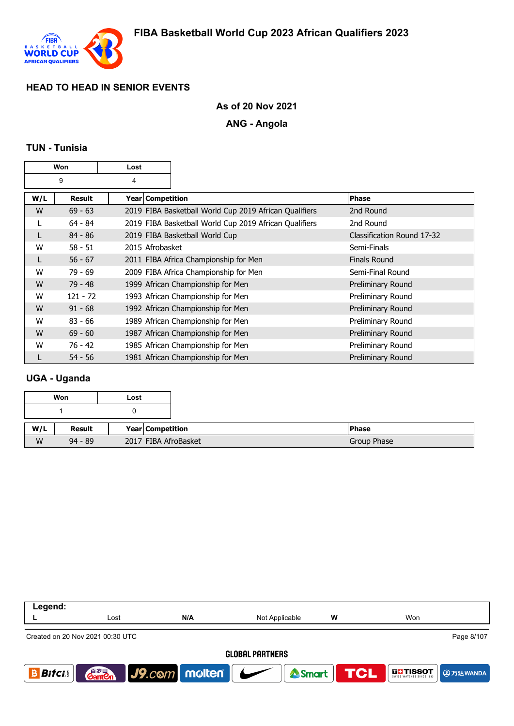

### **As of 20 Nov 2021**

#### **ANG - Angola**

### **TUN - Tunisia**

|     | Won        | Lost               |                                                        |                            |
|-----|------------|--------------------|--------------------------------------------------------|----------------------------|
|     | 9          | 4                  |                                                        |                            |
| W/L | Result     | Year   Competition |                                                        | <b>Phase</b>               |
| W   | $69 - 63$  |                    | 2019 FIBA Basketball World Cup 2019 African Qualifiers | 2nd Round                  |
|     | $64 - 84$  |                    | 2019 FIBA Basketball World Cup 2019 African Qualifiers | 2nd Round                  |
|     | $84 - 86$  |                    | 2019 FIBA Basketball World Cup                         | Classification Round 17-32 |
| W   | $58 - 51$  | 2015 Afrobasket    |                                                        | Semi-Finals                |
| L   | $56 - 67$  |                    | 2011 FIBA Africa Championship for Men                  | <b>Finals Round</b>        |
| W   | $79 - 69$  |                    | 2009 FIBA Africa Championship for Men                  | Semi-Final Round           |
| W   | $79 - 48$  |                    | 1999 African Championship for Men                      | Preliminary Round          |
| W   | $121 - 72$ |                    | 1993 African Championship for Men                      | Preliminary Round          |
| W   | $91 - 68$  |                    | 1992 African Championship for Men                      | Preliminary Round          |
| W   | $83 - 66$  |                    | 1989 African Championship for Men                      | Preliminary Round          |
| W   | $69 - 60$  |                    | 1987 African Championship for Men                      | Preliminary Round          |
| W   | $76 - 42$  |                    | 1985 African Championship for Men                      | Preliminary Round          |
|     | $54 - 56$  |                    | 1981 African Championship for Men                      | Preliminary Round          |

### **UGA - Uganda**

|     | Won           | Lost |                         |  |              |
|-----|---------------|------|-------------------------|--|--------------|
|     |               |      |                         |  |              |
| W/L | <b>Result</b> |      | <b>Year Competition</b> |  | <b>Phase</b> |
| W   | $94 - 89$     |      | 2017 FIBA AfroBasket    |  | Group Phase  |

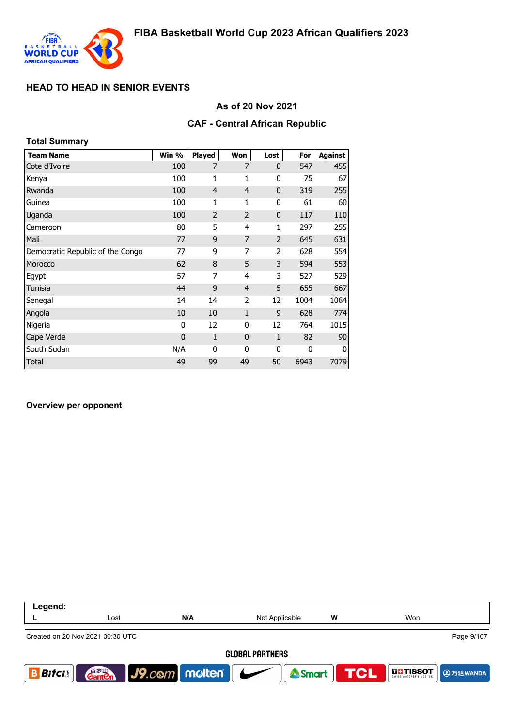

### **As of 20 Nov 2021**

### **CAF - Central African Republic**

| <b>Total Summary</b>             |             |                |               |                |              |                |
|----------------------------------|-------------|----------------|---------------|----------------|--------------|----------------|
| <b>Team Name</b>                 | Win %       | <b>Played</b>  | Won           | Lost           | For          | <b>Against</b> |
| Cote d'Ivoire                    | 100         | 7              | 7             | $\mathbf 0$    | 547          | 455            |
| Kenya                            | 100         | $\mathbf{1}$   | 1             | 0              | 75           | 67             |
| Rwanda                           | 100         | $\overline{4}$ | 4             | $\mathbf 0$    | 319          | 255            |
| Guinea                           | 100         | 1              | 1             | 0              | 61           | 60             |
| Uganda                           | 100         | $\overline{2}$ | 2             | $\mathbf 0$    | 117          | 110            |
| Cameroon                         | 80          | 5              | 4             | 1              | 297          | 255            |
| Mali                             | 77          | 9              | 7             | $\overline{2}$ | 645          | 631            |
| Democratic Republic of the Congo | 77          | 9              | 7             | 2              | 628          | 554            |
| Morocco                          | 62          | 8              | 5             | 3              | 594          | 553            |
| Egypt                            | 57          | 7              | 4             | 3              | 527          | 529            |
| Tunisia                          | 44          | 9              | 4             | 5              | 655          | 667            |
| Senegal                          | 14          | 14             | $\mathcal{P}$ | 12             | 1004         | 1064           |
| Angola                           | 10          | 10             | 1             | 9              | 628          | 774            |
| Nigeria                          | 0           | 12             | 0             | 12             | 764          | 1015           |
| Cape Verde                       | $\mathbf 0$ | $\mathbf{1}$   | $\mathbf{0}$  | $\mathbf{1}$   | 82           | 90             |
| South Sudan                      | N/A         | 0              | 0             | 0              | $\mathbf{0}$ | $\mathbf{0}$   |
| Total                            | 49          | 99             | 49            | 50             | 6943         | 7079           |

**Overview per opponent**

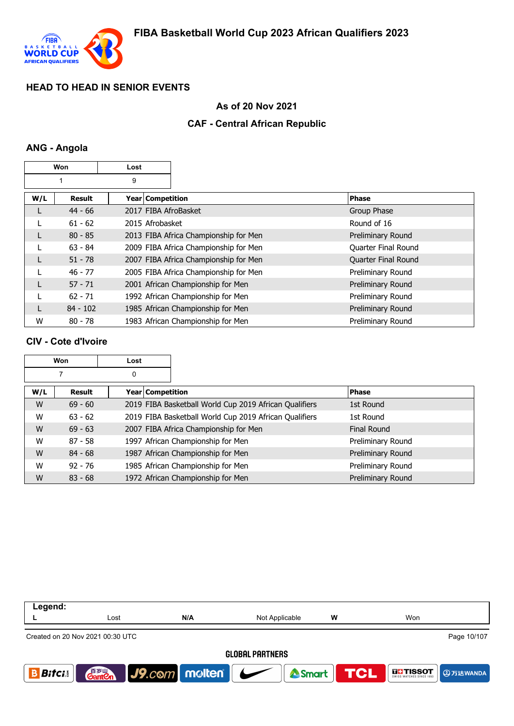

### **As of 20 Nov 2021**

## **CAF - Central African Republic**

#### **ANG - Angola**

|     | Won        | Lost                 |                                       |                     |
|-----|------------|----------------------|---------------------------------------|---------------------|
|     |            | 9                    |                                       |                     |
| W/L | Result     | Year   Competition   |                                       | <b>Phase</b>        |
|     | $44 - 66$  | 2017 FIBA AfroBasket |                                       | Group Phase         |
|     | $61 - 62$  | 2015 Afrobasket      |                                       | Round of 16         |
| L   | $80 - 85$  |                      | 2013 FIBA Africa Championship for Men | Preliminary Round   |
|     | $63 - 84$  |                      | 2009 FIBA Africa Championship for Men | Quarter Final Round |
|     | $51 - 78$  |                      | 2007 FIBA Africa Championship for Men | Quarter Final Round |
|     | $46 - 77$  |                      | 2005 FIBA Africa Championship for Men | Preliminary Round   |
|     | $57 - 71$  |                      | 2001 African Championship for Men     | Preliminary Round   |
|     | $62 - 71$  |                      | 1992 African Championship for Men     | Preliminary Round   |
|     | $84 - 102$ |                      | 1985 African Championship for Men     | Preliminary Round   |
| W   | $80 - 78$  |                      | 1983 African Championship for Men     | Preliminary Round   |

#### **CIV - Cote d'Ivoire**

|     | Won       | Lost |                  |                                                        |                    |
|-----|-----------|------|------------------|--------------------------------------------------------|--------------------|
|     |           | 0    |                  |                                                        |                    |
| W/L | Result    |      | Year Competition |                                                        | <b>Phase</b>       |
| W   | $69 - 60$ |      |                  | 2019 FIBA Basketball World Cup 2019 African Qualifiers | 1st Round          |
| W   | $63 - 62$ |      |                  | 2019 FIBA Basketball World Cup 2019 African Qualifiers | 1st Round          |
| W   | $69 - 63$ |      |                  | 2007 FIBA Africa Championship for Men                  | <b>Final Round</b> |
| W   | $87 - 58$ |      |                  | 1997 African Championship for Men                      | Preliminary Round  |
| W   | $84 - 68$ |      |                  | 1987 African Championship for Men                      | Preliminary Round  |
| W   | $92 - 76$ |      |                  | 1985 African Championship for Men                      | Preliminary Round  |
| W   | $83 - 68$ |      |                  | 1972 African Championship for Men                      | Preliminary Round  |

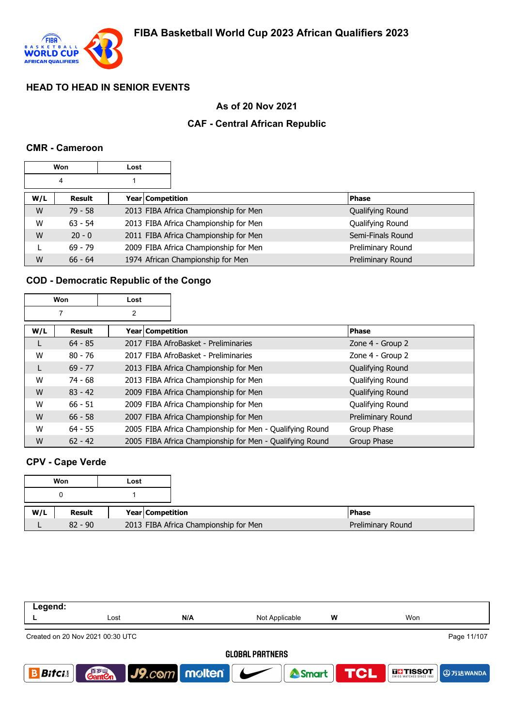

# **As of 20 Nov 2021**

## **CAF - Central African Republic**

#### **CMR - Cameroon**

|     | Won       | Lost |                                       |  |                   |
|-----|-----------|------|---------------------------------------|--|-------------------|
|     | 4         |      |                                       |  |                   |
| W/L | Result    |      | Year Competition                      |  | <b>Phase</b>      |
| W   | $79 - 58$ |      | 2013 FIBA Africa Championship for Men |  | Qualifying Round  |
| W   | $63 - 54$ |      | 2013 FIBA Africa Championship for Men |  | Qualifying Round  |
| W   | $20 - 0$  |      | 2011 FIBA Africa Championship for Men |  | Semi-Finals Round |
|     | $69 - 79$ |      | 2009 FIBA Africa Championship for Men |  | Preliminary Round |
| W   | $66 - 64$ |      | 1974 African Championship for Men     |  | Preliminary Round |

# **COD - Democratic Republic of the Congo**

|     | Won           | Lost               |                                                          |                   |
|-----|---------------|--------------------|----------------------------------------------------------|-------------------|
|     | 7             | 2                  |                                                          |                   |
| W/L | <b>Result</b> | Year   Competition |                                                          | <b>Phase</b>      |
|     | $64 - 85$     |                    | 2017 FIBA AfroBasket - Preliminaries                     | Zone 4 - Group 2  |
| W   | $80 - 76$     |                    | 2017 FIBA AfroBasket - Preliminaries                     | Zone 4 - Group 2  |
|     | $69 - 77$     |                    | 2013 FIBA Africa Championship for Men                    | Qualifying Round  |
| W   | 74 - 68       |                    | 2013 FIBA Africa Championship for Men                    | Qualifying Round  |
| W   | $83 - 42$     |                    | 2009 FIBA Africa Championship for Men                    | Qualifying Round  |
| W   | $66 - 51$     |                    | 2009 FIBA Africa Championship for Men                    | Qualifying Round  |
| W   | $66 - 58$     |                    | 2007 FIBA Africa Championship for Men                    | Preliminary Round |
| W   | $64 - 55$     |                    | 2005 FIBA Africa Championship for Men - Qualifying Round | Group Phase       |
| W   | $62 - 42$     |                    | 2005 FIBA Africa Championship for Men - Qualifying Round | Group Phase       |

# **CPV - Cape Verde**

|     | Won       | Lost |                                       |
|-----|-----------|------|---------------------------------------|
|     |           |      |                                       |
| W/L | Result    |      | Year Competition                      |
|     | $82 - 90$ |      | 2013 FIBA Africa Championship for Men |

| Lost                   | N/A                                                      | Not Applicable | w                                        | Won                                            |  |
|------------------------|----------------------------------------------------------|----------------|------------------------------------------|------------------------------------------------|--|
|                        |                                                          |                |                                          | Page 11/107                                    |  |
| <b>GLOBAL PARTNERS</b> |                                                          |                |                                          |                                                |  |
|                        |                                                          |                |                                          | <b>TCL</b><br><b>THESOT</b><br><b>4万达WANDA</b> |  |
|                        | Created on 20 Nov 2021 00:30 UTC<br>百岁山<br><b>Ganten</b> |                | $\bigcup$ <i>J9.com</i> molten $\bigcup$ | <b>Smart</b>                                   |  |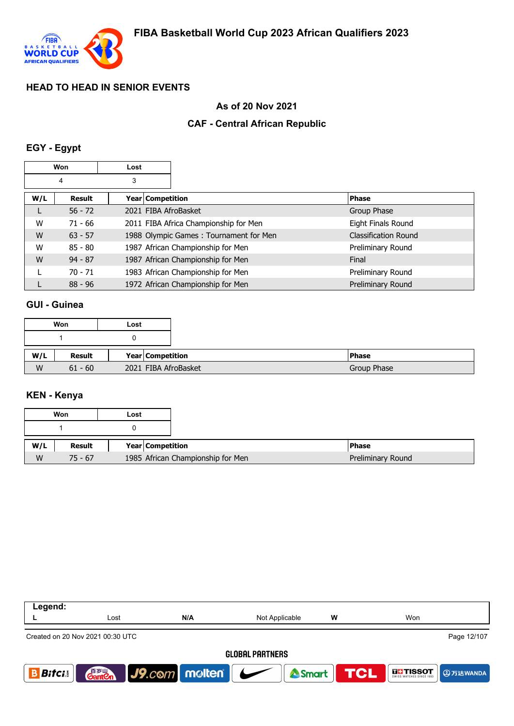

### **As of 20 Nov 2021**

# **CAF - Central African Republic**

### **EGY - Egypt**

|     | Won       | Lost |                    |                                        |  |                             |
|-----|-----------|------|--------------------|----------------------------------------|--|-----------------------------|
|     | 4         | 3    |                    |                                        |  |                             |
| W/L | Result    |      | Year   Competition |                                        |  | <b>Phase</b>                |
| L   | $56 - 72$ |      |                    | 2021 FIBA AfroBasket                   |  | Group Phase                 |
| W   | $71 - 66$ |      |                    | 2011 FIBA Africa Championship for Men  |  | Eight Finals Round          |
| W   | $63 - 57$ |      |                    | 1988 Olympic Games: Tournament for Men |  | <b>Classification Round</b> |
| W   | $85 - 80$ |      |                    | 1987 African Championship for Men      |  | Preliminary Round           |
| W   | $94 - 87$ |      |                    | 1987 African Championship for Men      |  | Final                       |
|     | $70 - 71$ |      |                    | 1983 African Championship for Men      |  | Preliminary Round           |
|     | $88 - 96$ |      |                    | 1972 African Championship for Men      |  | Preliminary Round           |

#### **GUI - Guinea**

|     | Won       | Lost |                      |
|-----|-----------|------|----------------------|
|     |           | U    |                      |
| W/L | Result    |      | Year Competition     |
|     |           |      |                      |
| W   | $61 - 60$ |      | 2021 FIBA AfroBasket |

#### **KEN - Kenya**

|     | Won       | Lost |                                   |                   |
|-----|-----------|------|-----------------------------------|-------------------|
|     |           |      |                                   |                   |
| W/L | Result    |      | <b>Year Competition</b>           | <b>IPhase</b>     |
| W   | $75 - 67$ |      | 1985 African Championship for Men | Preliminary Round |

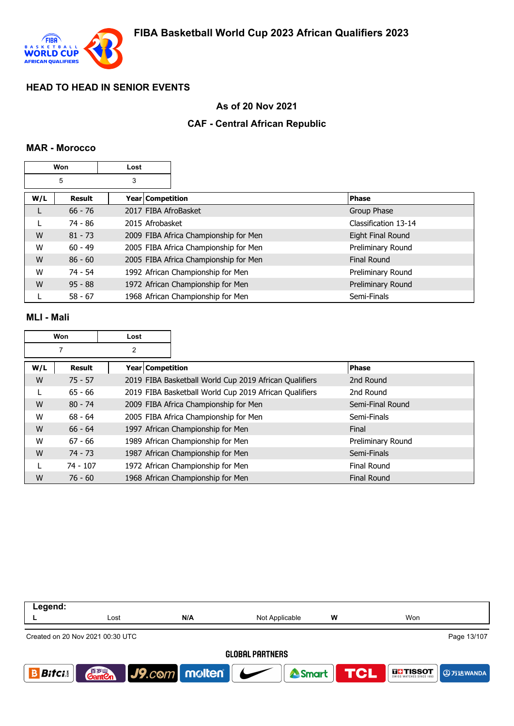

### **As of 20 Nov 2021**

## **CAF - Central African Republic**

#### **MAR - Morocco**

|     | Won           | Lost                 |                                       |                      |
|-----|---------------|----------------------|---------------------------------------|----------------------|
|     | 5             | 3                    |                                       |                      |
| W/L | <b>Result</b> | Year Competition     |                                       | <b>Phase</b>         |
|     | $66 - 76$     | 2017 FIBA AfroBasket |                                       | Group Phase          |
|     | 74 - 86       | 2015 Afrobasket      |                                       | Classification 13-14 |
| W   | $81 - 73$     |                      | 2009 FIBA Africa Championship for Men | Eight Final Round    |
| W   | $60 - 49$     |                      | 2005 FIBA Africa Championship for Men | Preliminary Round    |
| W   | $86 - 60$     |                      | 2005 FIBA Africa Championship for Men | <b>Final Round</b>   |
| W   | $74 - 54$     |                      | 1992 African Championship for Men     | Preliminary Round    |
| W   | $95 - 88$     |                      | 1972 African Championship for Men     | Preliminary Round    |
|     | $58 - 67$     |                      | 1968 African Championship for Men     | Semi-Finals          |

#### **MLI - Mali**

|     | Won<br>Lost |                    |                                                        |                    |
|-----|-------------|--------------------|--------------------------------------------------------|--------------------|
|     |             | 2                  |                                                        |                    |
| W/L | Result      | Year   Competition |                                                        | <b>Phase</b>       |
| W   | $75 - 57$   |                    | 2019 FIBA Basketball World Cup 2019 African Qualifiers | 2nd Round          |
|     | $65 - 66$   |                    | 2019 FIBA Basketball World Cup 2019 African Qualifiers | 2nd Round          |
| W   | $80 - 74$   |                    | 2009 FIBA Africa Championship for Men                  | Semi-Final Round   |
| W   | $68 - 64$   |                    | 2005 FIBA Africa Championship for Men                  | Semi-Finals        |
| W   | $66 - 64$   |                    | 1997 African Championship for Men                      | Final              |
| W   | $67 - 66$   |                    | 1989 African Championship for Men                      | Preliminary Round  |
| W   | 74 - 73     |                    | 1987 African Championship for Men                      | Semi-Finals        |
|     | $74 - 107$  |                    | 1972 African Championship for Men                      | <b>Final Round</b> |
| W   | $76 - 60$   |                    | 1968 African Championship for Men                      | <b>Final Round</b> |

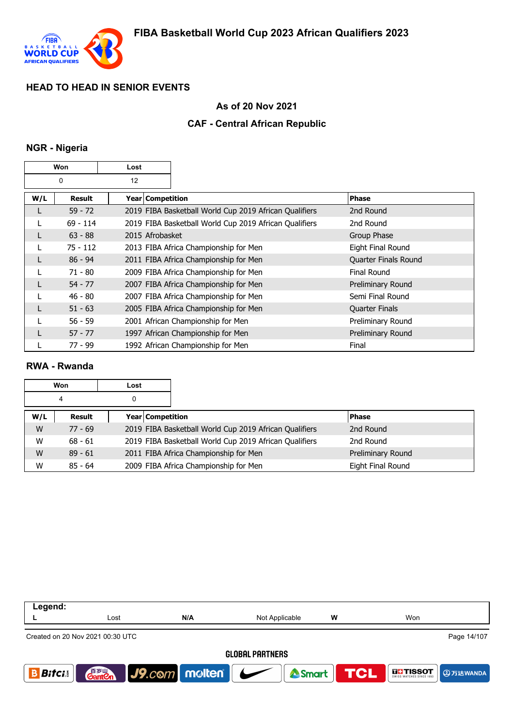

### **As of 20 Nov 2021**

## **CAF - Central African Republic**

### **NGR - Nigeria**

| Won<br>Lost |            |                    |                                                        |                       |
|-------------|------------|--------------------|--------------------------------------------------------|-----------------------|
|             | 0          | 12                 |                                                        |                       |
| W/L         | Result     | Year   Competition |                                                        | <b>Phase</b>          |
| L           | $59 - 72$  |                    | 2019 FIBA Basketball World Cup 2019 African Qualifiers | 2nd Round             |
| L           | $69 - 114$ |                    | 2019 FIBA Basketball World Cup 2019 African Qualifiers | 2nd Round             |
| L           | $63 - 88$  | 2015 Afrobasket    |                                                        | Group Phase           |
|             | $75 - 112$ |                    | 2013 FIBA Africa Championship for Men                  | Eight Final Round     |
|             | $86 - 94$  |                    | 2011 FIBA Africa Championship for Men                  | Quarter Finals Round  |
|             | $71 - 80$  |                    | 2009 FIBA Africa Championship for Men                  | Final Round           |
| L           | $54 - 77$  |                    | 2007 FIBA Africa Championship for Men                  | Preliminary Round     |
|             | $46 - 80$  |                    | 2007 FIBA Africa Championship for Men                  | Semi Final Round      |
| L           | $51 - 63$  |                    | 2005 FIBA Africa Championship for Men                  | <b>Quarter Finals</b> |
|             | $56 - 59$  |                    | 2001 African Championship for Men                      | Preliminary Round     |
| L           | $57 - 77$  |                    | 1997 African Championship for Men                      | Preliminary Round     |
|             | $77 - 99$  |                    | 1992 African Championship for Men                      | Final                 |

### **RWA - Rwanda**

| <b>Won</b><br>Lost |           |  |                         |                                                        |                   |
|--------------------|-----------|--|-------------------------|--------------------------------------------------------|-------------------|
| 4                  |           |  |                         |                                                        |                   |
| W/L                | Result    |  | <b>Year Competition</b> |                                                        | l Phase           |
| W                  | $77 - 69$ |  |                         | 2019 FIBA Basketball World Cup 2019 African Qualifiers | 2nd Round         |
| W                  | $68 - 61$ |  |                         | 2019 FIBA Basketball World Cup 2019 African Qualifiers | 2nd Round         |
| W                  | $89 - 61$ |  |                         | 2011 FIBA Africa Championship for Men                  | Preliminary Round |
| W                  | $85 - 64$ |  |                         | 2009 FIBA Africa Championship for Men                  | Eight Final Round |

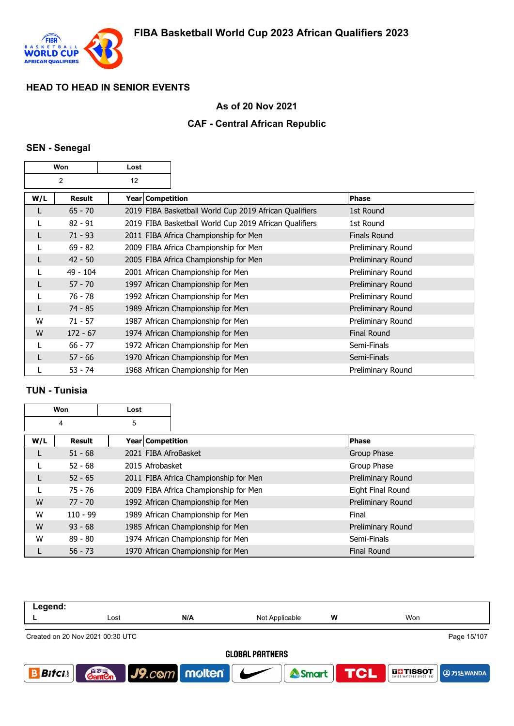

# **As of 20 Nov 2021**

# **CAF - Central African Republic**

# **SEN - Senegal**

| Won<br>Lost |                |    |                  |                                                        |                    |
|-------------|----------------|----|------------------|--------------------------------------------------------|--------------------|
|             | $\overline{2}$ | 12 |                  |                                                        |                    |
| W/L         | <b>Result</b>  |    | Year Competition |                                                        | <b>Phase</b>       |
|             | $65 - 70$      |    |                  | 2019 FIBA Basketball World Cup 2019 African Qualifiers | 1st Round          |
|             | $82 - 91$      |    |                  | 2019 FIBA Basketball World Cup 2019 African Qualifiers | 1st Round          |
|             | $71 - 93$      |    |                  | 2011 FIBA Africa Championship for Men                  | Finals Round       |
|             | $69 - 82$      |    |                  | 2009 FIBA Africa Championship for Men                  | Preliminary Round  |
|             | $42 - 50$      |    |                  | 2005 FIBA Africa Championship for Men                  | Preliminary Round  |
|             | $49 - 104$     |    |                  | 2001 African Championship for Men                      | Preliminary Round  |
|             | $57 - 70$      |    |                  | 1997 African Championship for Men                      | Preliminary Round  |
|             | 76 - 78        |    |                  | 1992 African Championship for Men                      | Preliminary Round  |
|             | $74 - 85$      |    |                  | 1989 African Championship for Men                      | Preliminary Round  |
| W           | $71 - 57$      |    |                  | 1987 African Championship for Men                      | Preliminary Round  |
| W           | $172 - 67$     |    |                  | 1974 African Championship for Men                      | <b>Final Round</b> |
|             | $66 - 77$      |    |                  | 1972 African Championship for Men                      | Semi-Finals        |
|             | $57 - 66$      |    |                  | 1970 African Championship for Men                      | Semi-Finals        |
|             | $53 - 74$      |    |                  | 1968 African Championship for Men                      | Preliminary Round  |

### **TUN - Tunisia**

|     | Won        | Lost                 |                                       |                    |
|-----|------------|----------------------|---------------------------------------|--------------------|
|     | 4          | 5                    |                                       |                    |
| W/L | Result     | Year Competition     |                                       | <b>Phase</b>       |
|     | $51 - 68$  | 2021 FIBA AfroBasket |                                       | Group Phase        |
|     | $52 - 68$  | 2015 Afrobasket      |                                       | Group Phase        |
|     | $52 - 65$  |                      | 2011 FIBA Africa Championship for Men | Preliminary Round  |
|     | $75 - 76$  |                      | 2009 FIBA Africa Championship for Men | Eight Final Round  |
| W   | $77 - 70$  |                      | 1992 African Championship for Men     | Preliminary Round  |
| W   | $110 - 99$ |                      | 1989 African Championship for Men     | Final              |
| W   | $93 - 68$  |                      | 1985 African Championship for Men     | Preliminary Round  |
| W   | $89 - 80$  |                      | 1974 African Championship for Men     | Semi-Finals        |
|     | $56 - 73$  |                      | 1970 African Championship for Men     | <b>Final Round</b> |

| Legend:      |                                    |                                       |                |            |                                      |  |
|--------------|------------------------------------|---------------------------------------|----------------|------------|--------------------------------------|--|
|              | Lost                               | N/A                                   | Not Applicable | w          | Won                                  |  |
|              | Created on 20 Nov 2021 00:30 UTC   |                                       |                |            | Page 15/107                          |  |
|              | <b>GLOBAL PARTNERS</b>             |                                       |                |            |                                      |  |
| <b>Bitci</b> | 音 <sub>岁Ⅲ</sub><br>Gant <b>C</b> n | $\bigcup$ J9.com   molten   $\bigcup$ | Smart          | <b>TCL</b> | <b>THE TISSOT</b><br><b>9万达WANDA</b> |  |
|              |                                    |                                       |                |            |                                      |  |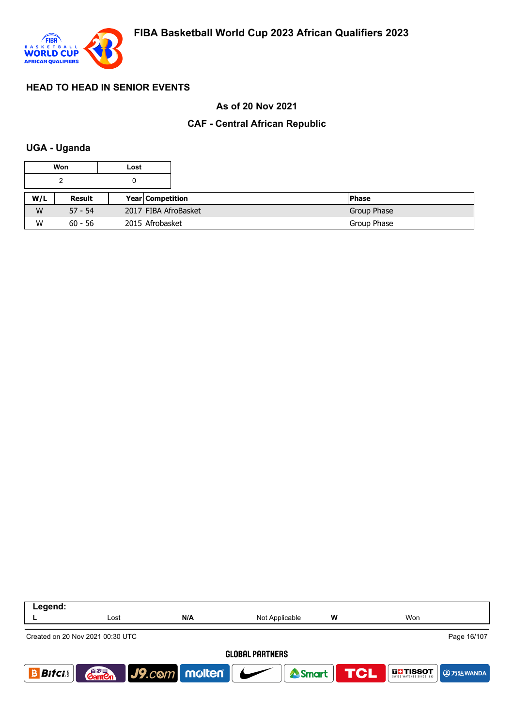

### **As of 20 Nov 2021**

# **CAF - Central African Republic**

### **UGA - Uganda**

|     | Won       | Lost |                      |              |
|-----|-----------|------|----------------------|--------------|
|     | າ         | 0    |                      |              |
| W/L | Result    |      | Year Competition     | <b>Phase</b> |
| W   | $57 - 54$ |      | 2017 FIBA AfroBasket | Group Phase  |
| W   | $60 - 56$ |      | 2015 Afrobasket      | Group Phase  |

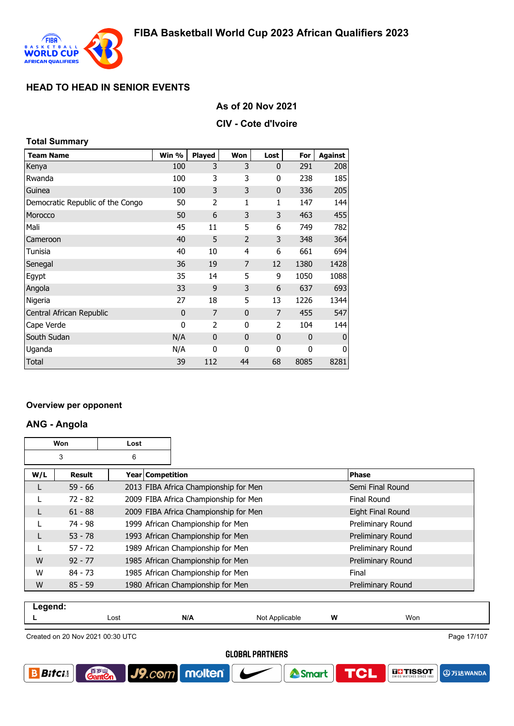

### **As of 20 Nov 2021**

### **CIV - Cote d'Ivoire**

| <b>Total Summary</b> |  |
|----------------------|--|
|----------------------|--|

| <b>Team Name</b>                 | Win %        | <b>Played</b>  | Won            | Lost           | For          | Against |
|----------------------------------|--------------|----------------|----------------|----------------|--------------|---------|
| Kenya                            | 100          | 3              | 3              | $\mathbf{0}$   | 291          | 208     |
| Rwanda                           | 100          | 3              | 3              | 0              | 238          | 185     |
| Guinea                           | 100          | 3              | 3              | $\mathbf{0}$   | 336          | 205     |
| Democratic Republic of the Congo | 50           | 2              | 1              | 1              | 147          | 144     |
| Morocco                          | 50           | 6              | 3              | 3              | 463          | 455     |
| Mali                             | 45           | 11             | 5              | 6              | 749          | 782     |
| Cameroon                         | 40           | 5              | $\overline{2}$ | 3              | 348          | 364     |
| Tunisia                          | 40           | 10             | 4              | 6              | 661          | 694     |
| Senegal                          | 36           | 19             | 7              | 12             | 1380         | 1428    |
| Egypt                            | 35           | 14             | 5              | 9              | 1050         | 1088    |
| Angola                           | 33           | 9              | 3              | 6              | 637          | 693     |
| Nigeria                          | 27           | 18             | 5              | 13             | 1226         | 1344    |
| Central African Republic         | $\mathbf{0}$ | $\overline{7}$ | $\mathbf{0}$   | $\overline{7}$ | 455          | 547     |
| Cape Verde                       | 0            | 2              | 0              | 2              | 104          | 144     |
| South Sudan                      | N/A          | $\bf{0}$       | $\mathbf{0}$   | 0              | $\mathbf{0}$ | 0       |
| Uganda                           | N/A          | 0              | $\mathbf{0}$   | 0              | 0            | 0       |
| Total                            | 39           | 112            | 44             | 68             | 8085         | 8281    |

#### **Overview per opponent**

### **ANG - Angola**

|     | Won       | Lost             |                                       |                   |
|-----|-----------|------------------|---------------------------------------|-------------------|
|     | 3         | 6                |                                       |                   |
| W/L | Result    | Year Competition |                                       | <b>Phase</b>      |
|     | $59 - 66$ |                  | 2013 FIBA Africa Championship for Men | Semi Final Round  |
|     | $72 - 82$ |                  | 2009 FIBA Africa Championship for Men | Final Round       |
|     | $61 - 88$ |                  | 2009 FIBA Africa Championship for Men | Eight Final Round |
|     | 74 - 98   |                  | 1999 African Championship for Men     | Preliminary Round |
|     | $53 - 78$ |                  | 1993 African Championship for Men     | Preliminary Round |
|     | $57 - 72$ |                  | 1989 African Championship for Men     | Preliminary Round |
| W   | $92 - 77$ |                  | 1985 African Championship for Men     | Preliminary Round |
| W   | $84 - 73$ |                  | 1985 African Championship for Men     | Final             |
| W   | $85 - 59$ |                  | 1980 African Championship for Men     | Preliminary Round |

| . —— 1914 — |      |     |                          |   |     |
|-------------|------|-----|--------------------------|---|-----|
|             | Lost | N/A | NMt<br>"cable"<br>$\sim$ | W | Won |
|             |      |     |                          |   |     |

Created on 20 Nov 2021 00:30 UTC

Page 17/107

**GLOBAL PARTNERS** 

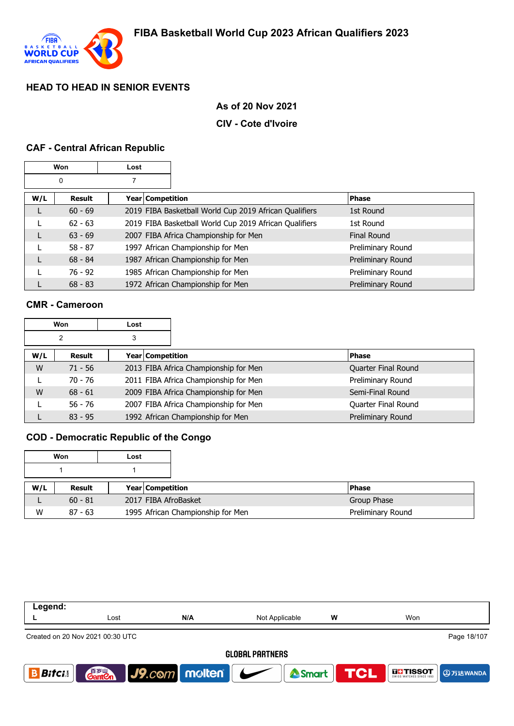

### **As of 20 Nov 2021**

### **CIV - Cote d'Ivoire**

#### **CAF - Central African Republic**

| Won<br>Lost |           |  |                                                        |                    |
|-------------|-----------|--|--------------------------------------------------------|--------------------|
|             | 0         |  |                                                        |                    |
| W/L         | Result    |  | Year Competition                                       | <b>Phase</b>       |
|             | $60 - 69$ |  | 2019 FIBA Basketball World Cup 2019 African Qualifiers | 1st Round          |
|             | $62 - 63$ |  | 2019 FIBA Basketball World Cup 2019 African Qualifiers | 1st Round          |
|             | $63 - 69$ |  | 2007 FIBA Africa Championship for Men                  | <b>Final Round</b> |
|             | $58 - 87$ |  | 1997 African Championship for Men                      | Preliminary Round  |
|             | $68 - 84$ |  | 1987 African Championship for Men                      | Preliminary Round  |
|             | $76 - 92$ |  | 1985 African Championship for Men                      | Preliminary Round  |
|             | $68 - 83$ |  | 1972 African Championship for Men                      | Preliminary Round  |

#### **CMR - Cameroon**

|        | <b>Won</b><br>Lost         |  |  |                                       |                     |
|--------|----------------------------|--|--|---------------------------------------|---------------------|
| 3<br>2 |                            |  |  |                                       |                     |
| W/L    | Year Competition<br>Result |  |  | <b>Phase</b>                          |                     |
| W      | $71 - 56$                  |  |  | 2013 FIBA Africa Championship for Men | Quarter Final Round |
|        | 70 - 76                    |  |  | 2011 FIBA Africa Championship for Men | Preliminary Round   |
| W      | $68 - 61$                  |  |  | 2009 FIBA Africa Championship for Men | Semi-Final Round    |
|        | $56 - 76$                  |  |  | 2007 FIBA Africa Championship for Men | Quarter Final Round |
|        | $83 - 95$                  |  |  | 1992 African Championship for Men     | Preliminary Round   |

### **COD - Democratic Republic of the Congo**

|     | Won       | Lost |                         |                                   |                   |
|-----|-----------|------|-------------------------|-----------------------------------|-------------------|
|     |           |      |                         |                                   |                   |
| W/L | Result    |      | <b>Year Competition</b> |                                   | <b>Phase</b>      |
|     | $60 - 81$ |      |                         | 2017 FIBA AfroBasket              | Group Phase       |
| W   | $87 - 63$ |      |                         | 1995 African Championship for Men | Preliminary Round |

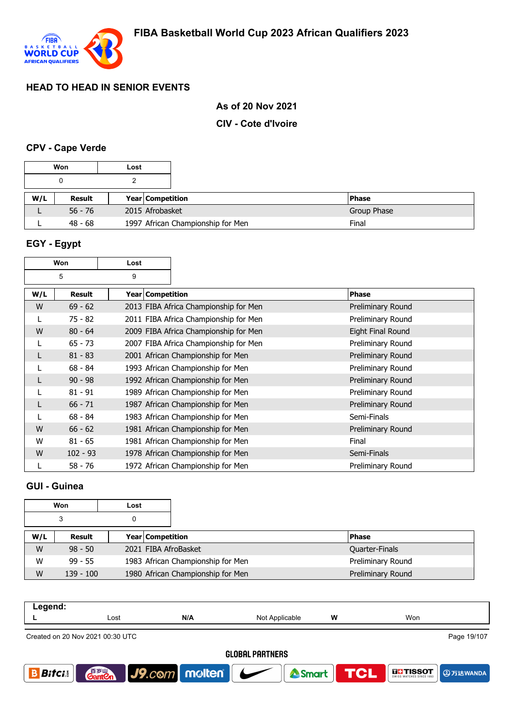

### **As of 20 Nov 2021**

### **CIV - Cote d'Ivoire**

### **CPV - Cape Verde**

|     | Won       | Lost |                  |                                   |  |              |
|-----|-----------|------|------------------|-----------------------------------|--|--------------|
|     |           |      |                  |                                   |  |              |
| W/L | Result    |      | Year Competition |                                   |  | <b>Phase</b> |
|     | $56 - 76$ |      | 2015 Afrobasket  |                                   |  | Group Phase  |
|     | $48 - 68$ |      |                  | 1997 African Championship for Men |  | Final        |

# **EGY - Egypt**

| Won<br>Lost |               |                    |                                       |                   |
|-------------|---------------|--------------------|---------------------------------------|-------------------|
| 5<br>9      |               |                    |                                       |                   |
| W/L         | <b>Result</b> | Year   Competition |                                       | <b>Phase</b>      |
| W           | $69 - 62$     |                    | 2013 FIBA Africa Championship for Men | Preliminary Round |
|             | $75 - 82$     |                    | 2011 FIBA Africa Championship for Men | Preliminary Round |
| W           | $80 - 64$     |                    | 2009 FIBA Africa Championship for Men | Eight Final Round |
|             | $65 - 73$     |                    | 2007 FIBA Africa Championship for Men | Preliminary Round |
|             | $81 - 83$     |                    | 2001 African Championship for Men     | Preliminary Round |
|             | $68 - 84$     |                    | 1993 African Championship for Men     | Preliminary Round |
|             | $90 - 98$     |                    | 1992 African Championship for Men     | Preliminary Round |
|             | $81 - 91$     |                    | 1989 African Championship for Men     | Preliminary Round |
|             | $66 - 71$     |                    | 1987 African Championship for Men     | Preliminary Round |
|             | $68 - 84$     |                    | 1983 African Championship for Men     | Semi-Finals       |
| W           | $66 - 62$     |                    | 1981 African Championship for Men     | Preliminary Round |
| W           | $81 - 65$     |                    | 1981 African Championship for Men     | Final             |
| W           | $102 - 93$    |                    | 1978 African Championship for Men     | Semi-Finals       |
|             | $58 - 76$     |                    | 1972 African Championship for Men     | Preliminary Round |

### **GUI - Guinea**

|     | Won         | Lost |                                   |                   |
|-----|-------------|------|-----------------------------------|-------------------|
|     | 3           | 0    |                                   |                   |
| W/L | Result      |      | <b>Year Competition</b>           | <b>Phase</b>      |
| W   | $98 - 50$   |      | 2021 FIBA AfroBasket              | Quarter-Finals    |
| W   | $99 - 55$   |      | 1983 African Championship for Men | Preliminary Round |
| W   | $139 - 100$ |      | 1980 African Championship for Men | Preliminary Round |

| Legend:        | Lost                               | N/A                                           | Not Applicable         | w | Won                                   |
|----------------|------------------------------------|-----------------------------------------------|------------------------|---|---------------------------------------|
|                | Created on 20 Nov 2021 00:30 UTC   |                                               |                        |   | Page 19/107                           |
|                |                                    |                                               |                        |   |                                       |
|                |                                    |                                               | <b>GLOBAL PARTNERS</b> |   |                                       |
| <b>Bitci</b> & | 音 <sub>岁皿</sub><br>Gant <b>C</b> n | $\vert$ J9.com molten $\vert$ $\vert$ $\vert$ |                        |   | Smart <b>TCL FETISSOT</b><br>9万达WANDA |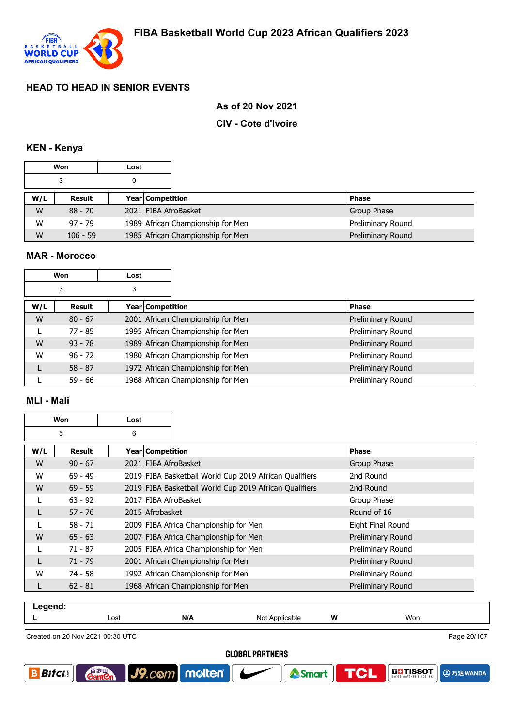

### **As of 20 Nov 2021**

### **CIV - Cote d'Ivoire**

### **KEN - Kenya**

|     | Won        | Lost |                  |                                   |                   |
|-----|------------|------|------------------|-----------------------------------|-------------------|
|     | 3          | 0    |                  |                                   |                   |
| W/L | Result     |      | Year Competition |                                   | <b>Phase</b>      |
| W   | $88 - 70$  |      |                  | 2021 FIBA AfroBasket              | Group Phase       |
| W   | $97 - 79$  |      |                  | 1989 African Championship for Men | Preliminary Round |
| W   | $106 - 59$ |      |                  | 1985 African Championship for Men | Preliminary Round |

#### **MAR - Morocco**

|     | <b>Won</b> | Lost |                         |                                   |                   |
|-----|------------|------|-------------------------|-----------------------------------|-------------------|
| 3   |            | 3    |                         |                                   |                   |
| W/L | Result     |      | <b>Year Competition</b> |                                   | <b>Phase</b>      |
| W   | $80 - 67$  |      |                         | 2001 African Championship for Men | Preliminary Round |
|     | $77 - 85$  |      |                         | 1995 African Championship for Men | Preliminary Round |
| W   | $93 - 78$  |      |                         | 1989 African Championship for Men | Preliminary Round |
| W   | $96 - 72$  |      |                         | 1980 African Championship for Men | Preliminary Round |
|     | $58 - 87$  |      |                         | 1972 African Championship for Men | Preliminary Round |
|     | $59 - 66$  |      |                         | 1968 African Championship for Men | Preliminary Round |

#### **MLI - Mali**

|        | Won<br>Lost |                      |                                                        |                   |
|--------|-------------|----------------------|--------------------------------------------------------|-------------------|
| 5<br>6 |             |                      |                                                        |                   |
| W/L    | Result      | Year Competition     |                                                        | <b>Phase</b>      |
| W      | $90 - 67$   | 2021 FIBA AfroBasket |                                                        | Group Phase       |
| W      | $69 - 49$   |                      | 2019 FIBA Basketball World Cup 2019 African Qualifiers | 2nd Round         |
| W      | $69 - 59$   |                      | 2019 FIBA Basketball World Cup 2019 African Qualifiers | 2nd Round         |
|        | $63 - 92$   | 2017 FIBA AfroBasket |                                                        | Group Phase       |
|        | $57 - 76$   | 2015 Afrobasket      |                                                        | Round of 16       |
|        | $58 - 71$   |                      | 2009 FIBA Africa Championship for Men                  | Eight Final Round |
| W      | $65 - 63$   |                      | 2007 FIBA Africa Championship for Men                  | Preliminary Round |
|        | $71 - 87$   |                      | 2005 FIBA Africa Championship for Men                  | Preliminary Round |
|        | $71 - 79$   |                      | 2001 African Championship for Men                      | Preliminary Round |
| W      | 74 - 58     |                      | 1992 African Championship for Men                      | Preliminary Round |
|        | $62 - 81$   |                      | 1968 African Championship for Men                      | Preliminary Round |

| Legend: |                                  |     |                |   |     |             |
|---------|----------------------------------|-----|----------------|---|-----|-------------|
| -       | Lost                             | N/A | Not Applicable | W | Won |             |
|         |                                  |     |                |   |     | Page 20/107 |
|         | Created on 20 Nov 2021 00:30 UTC |     |                |   |     |             |

Created on 20 Nov 2021 00:30 UTC

**Gant C** 

J9.com molten

**GLOBAL PARTNERS** 

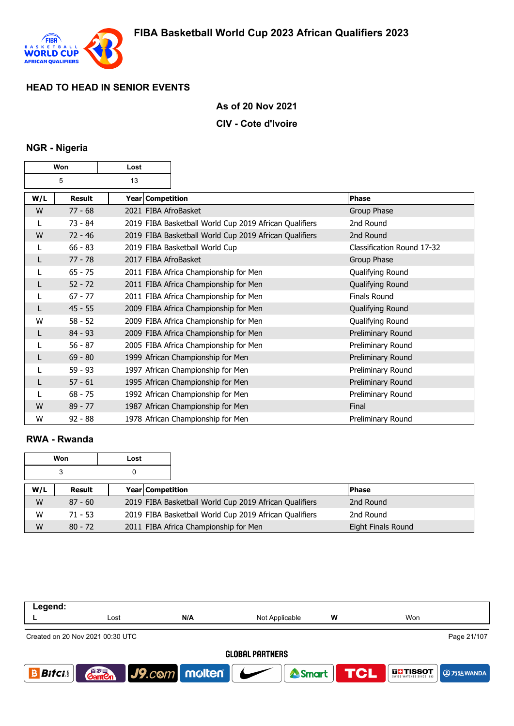

### **As of 20 Nov 2021**

### **CIV - Cote d'Ivoire**

### **NGR - Nigeria**

| Won<br>Lost |               |  |                  |                                                        |                            |
|-------------|---------------|--|------------------|--------------------------------------------------------|----------------------------|
| 5<br>13     |               |  |                  |                                                        |                            |
| W/L         | <b>Result</b> |  | Year Competition |                                                        | <b>Phase</b>               |
| W           | $77 - 68$     |  |                  | 2021 FIBA AfroBasket                                   | Group Phase                |
|             | $73 - 84$     |  |                  | 2019 FIBA Basketball World Cup 2019 African Qualifiers | 2nd Round                  |
| W           | $72 - 46$     |  |                  | 2019 FIBA Basketball World Cup 2019 African Qualifiers | 2nd Round                  |
|             | $66 - 83$     |  |                  | 2019 FIBA Basketball World Cup                         | Classification Round 17-32 |
| L           | $77 - 78$     |  |                  | 2017 FIBA AfroBasket                                   | Group Phase                |
|             | $65 - 75$     |  |                  | 2011 FIBA Africa Championship for Men                  | Qualifying Round           |
| L           | $52 - 72$     |  |                  | 2011 FIBA Africa Championship for Men                  | Qualifying Round           |
|             | $67 - 77$     |  |                  | 2011 FIBA Africa Championship for Men                  | <b>Finals Round</b>        |
| L           | $45 - 55$     |  |                  | 2009 FIBA Africa Championship for Men                  | Qualifying Round           |
| W           | $58 - 52$     |  |                  | 2009 FIBA Africa Championship for Men                  | Qualifying Round           |
| L           | $84 - 93$     |  |                  | 2009 FIBA Africa Championship for Men                  | Preliminary Round          |
|             | $56 - 87$     |  |                  | 2005 FIBA Africa Championship for Men                  | Preliminary Round          |
| L           | $69 - 80$     |  |                  | 1999 African Championship for Men                      | Preliminary Round          |
|             | $59 - 93$     |  |                  | 1997 African Championship for Men                      | Preliminary Round          |
| L           | $57 - 61$     |  |                  | 1995 African Championship for Men                      | Preliminary Round          |
| L           | $68 - 75$     |  |                  | 1992 African Championship for Men                      | Preliminary Round          |
| W           | $89 - 77$     |  |                  | 1987 African Championship for Men                      | Final                      |
| W           | $92 - 88$     |  |                  | 1978 African Championship for Men                      | Preliminary Round          |

### **RWA - Rwanda**

|     | Won       | Lost |                         |                                                        |                    |
|-----|-----------|------|-------------------------|--------------------------------------------------------|--------------------|
|     | 3         |      |                         |                                                        |                    |
| W/L | Result    |      | <b>Year Competition</b> |                                                        | <b>Phase</b>       |
| W   | $87 - 60$ |      |                         | 2019 FIBA Basketball World Cup 2019 African Qualifiers | 2nd Round          |
| W   | $71 - 53$ |      |                         | 2019 FIBA Basketball World Cup 2019 African Qualifiers | 2nd Round          |
| W   | $80 - 72$ |      |                         | 2011 FIBA Africa Championship for Men                  | Eight Finals Round |

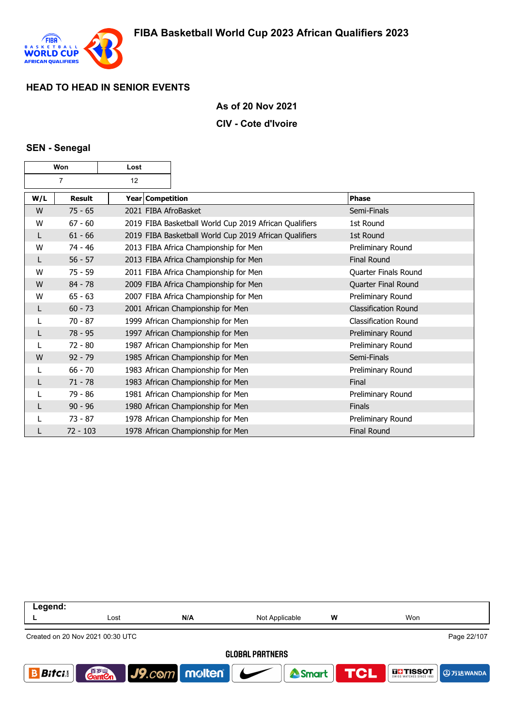

### **As of 20 Nov 2021**

### **CIV - Cote d'Ivoire**

### **SEN - Senegal**

| <b>Won</b>           |               | Lost                 |                                                        |                             |
|----------------------|---------------|----------------------|--------------------------------------------------------|-----------------------------|
| $\overline{7}$<br>12 |               |                      |                                                        |                             |
| W/L                  | <b>Result</b> | Year Competition     |                                                        | Phase                       |
| W                    | $75 - 65$     | 2021 FIBA AfroBasket |                                                        | Semi-Finals                 |
| W                    | $67 - 60$     |                      | 2019 FIBA Basketball World Cup 2019 African Qualifiers | 1st Round                   |
| L                    | $61 - 66$     |                      | 2019 FIBA Basketball World Cup 2019 African Qualifiers | 1st Round                   |
| W                    | 74 - 46       |                      | 2013 FIBA Africa Championship for Men                  | Preliminary Round           |
| L                    | $56 - 57$     |                      | 2013 FIBA Africa Championship for Men                  | <b>Final Round</b>          |
| W                    | $75 - 59$     |                      | 2011 FIBA Africa Championship for Men                  | Quarter Finals Round        |
| W                    | $84 - 78$     |                      | 2009 FIBA Africa Championship for Men                  | Quarter Final Round         |
| W                    | $65 - 63$     |                      | 2007 FIBA Africa Championship for Men                  | Preliminary Round           |
| L                    | $60 - 73$     |                      | 2001 African Championship for Men                      | <b>Classification Round</b> |
| L                    | $70 - 87$     |                      | 1999 African Championship for Men                      | <b>Classification Round</b> |
| L                    | $78 - 95$     |                      | 1997 African Championship for Men                      | Preliminary Round           |
|                      | $72 - 80$     |                      | 1987 African Championship for Men                      | Preliminary Round           |
| W                    | $92 - 79$     |                      | 1985 African Championship for Men                      | Semi-Finals                 |
| L                    | $66 - 70$     |                      | 1983 African Championship for Men                      | Preliminary Round           |
| L                    | $71 - 78$     |                      | 1983 African Championship for Men                      | Final                       |
|                      | 79 - 86       |                      | 1981 African Championship for Men                      | Preliminary Round           |
| L                    | $90 - 96$     |                      | 1980 African Championship for Men                      | Finals                      |
|                      | $73 - 87$     |                      | 1978 African Championship for Men                      | Preliminary Round           |
|                      | $72 - 103$    |                      | 1978 African Championship for Men                      | <b>Final Round</b>          |

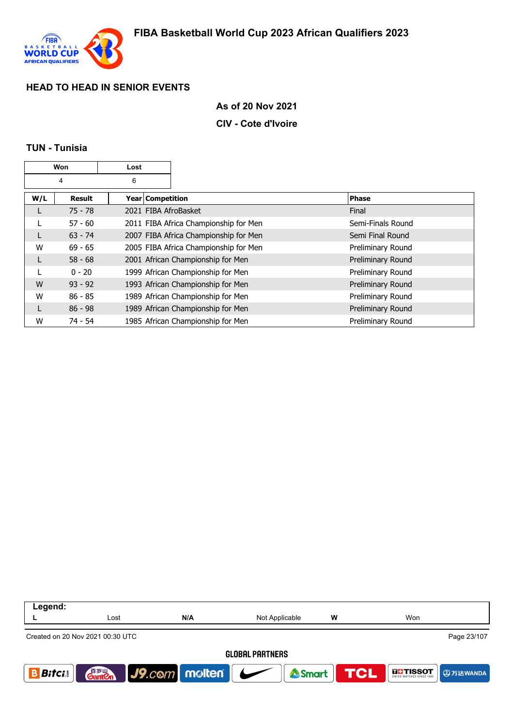

### **As of 20 Nov 2021**

### **CIV - Cote d'Ivoire**

#### **TUN - Tunisia**

|     | Won           | Lost                 |                                       |                   |
|-----|---------------|----------------------|---------------------------------------|-------------------|
| 4   |               | 6                    |                                       |                   |
| W/L | <b>Result</b> | Year Competition     |                                       | <b>Phase</b>      |
| L   | $75 - 78$     | 2021 FIBA AfroBasket |                                       | Final             |
|     | $57 - 60$     |                      | 2011 FIBA Africa Championship for Men | Semi-Finals Round |
|     | $63 - 74$     |                      | 2007 FIBA Africa Championship for Men | Semi Final Round  |
| W   | $69 - 65$     |                      | 2005 FIBA Africa Championship for Men | Preliminary Round |
| L   | $58 - 68$     |                      | 2001 African Championship for Men     | Preliminary Round |
|     | $0 - 20$      |                      | 1999 African Championship for Men     | Preliminary Round |
| W   | $93 - 92$     |                      | 1993 African Championship for Men     | Preliminary Round |
| W   | $86 - 85$     |                      | 1989 African Championship for Men     | Preliminary Round |
|     | $86 - 98$     |                      | 1989 African Championship for Men     | Preliminary Round |
| W   | $74 - 54$     |                      | 1985 African Championship for Men     | Preliminary Round |

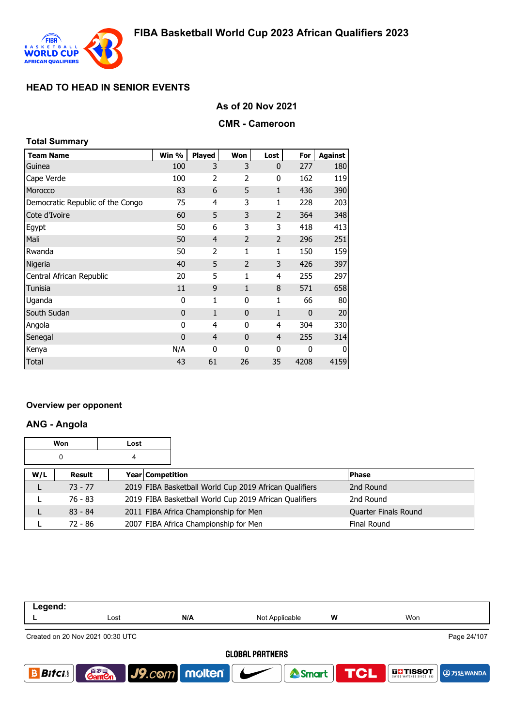

### **As of 20 Nov 2021**

### **CMR - Cameroon**

| <b>Total Summary</b>             |              |                |                |                |              |         |
|----------------------------------|--------------|----------------|----------------|----------------|--------------|---------|
| <b>Team Name</b>                 | Win %        | <b>Played</b>  | Won            | Lost           | For          | Against |
| Guinea                           | 100          | 3              | 3              | $\mathbf{0}$   | 277          | 180     |
| Cape Verde                       | 100          | 2              | 2              | 0              | 162          | 119     |
| Morocco                          | 83           | 6              | 5              | $\mathbf{1}$   | 436          | 390     |
| Democratic Republic of the Congo | 75           | 4              | 3              | 1              | 228          | 203     |
| Cote d'Ivoire                    | 60           | 5              | 3              | 2              | 364          | 348     |
| Egypt                            | 50           | 6              | 3              | 3              | 418          | 413     |
| Mali                             | 50           | 4              | $\overline{2}$ | 2              | 296          | 251     |
| Rwanda                           | 50           | 2              | 1              | 1              | 150          | 159     |
| Nigeria                          | 40           | 5              | $\overline{2}$ | 3              | 426          | 397     |
| Central African Republic         | 20           | 5              | 1              | $\overline{4}$ | 255          | 297     |
| Tunisia                          | 11           | 9              | 1              | 8              | 571          | 658     |
| Uganda                           | 0            | 1              | 0              | 1              | 66           | 80      |
| South Sudan                      | $\mathbf{0}$ | $\mathbf{1}$   | $\mathbf{0}$   | $\mathbf{1}$   | $\mathbf{0}$ | 20      |
| Angola                           | 0            | 4              | 0              | 4              | 304          | 330     |
| Senegal                          | $\mathbf 0$  | $\overline{4}$ | $\mathbf{0}$   | $\overline{4}$ | 255          | 314     |
| Kenya                            | N/A          | $\mathbf 0$    | $\Omega$       | $\mathbf 0$    | 0            | 0       |
| Total                            | 43           | 61             | 26             | 35             | 4208         | 4159    |

#### **Overview per opponent**

# **ANG - Angola**

|     | Won<br>Lost |   |                  |                                                        |                      |
|-----|-------------|---|------------------|--------------------------------------------------------|----------------------|
| 0   |             | 4 |                  |                                                        |                      |
| W/L | Result      |   | Year Competition |                                                        | <b>Phase</b>         |
|     | $73 - 77$   |   |                  | 2019 FIBA Basketball World Cup 2019 African Qualifiers | 2nd Round            |
|     | 76 - 83     |   |                  | 2019 FIBA Basketball World Cup 2019 African Qualifiers | 2nd Round            |
| L   | $83 - 84$   |   |                  | 2011 FIBA Africa Championship for Men                  | Quarter Finals Round |
|     | 72 - 86     |   |                  | 2007 FIBA Africa Championship for Men                  | <b>Final Round</b>   |

| Legend:      |                                  |                                                                                                                                                                                                                                                                                                                     |                        |                  |                   |
|--------------|----------------------------------|---------------------------------------------------------------------------------------------------------------------------------------------------------------------------------------------------------------------------------------------------------------------------------------------------------------------|------------------------|------------------|-------------------|
|              | Lost                             | N/A                                                                                                                                                                                                                                                                                                                 | Not Applicable         | w                | Won               |
|              | Created on 20 Nov 2021 00:30 UTC |                                                                                                                                                                                                                                                                                                                     |                        |                  | Page 24/107       |
|              |                                  |                                                                                                                                                                                                                                                                                                                     | <b>GLOBAL PARTNERS</b> |                  |                   |
| <b>Bifci</b> |                                  | $\frac{1}{2}$ $\frac{1}{2}$ $\frac{1}{2}$ $\frac{1}{2}$ $\frac{1}{2}$ $\frac{1}{2}$ $\frac{1}{2}$ $\frac{1}{2}$ $\frac{1}{2}$ $\frac{1}{2}$ $\frac{1}{2}$ $\frac{1}{2}$ $\frac{1}{2}$ $\frac{1}{2}$ $\frac{1}{2}$ $\frac{1}{2}$ $\frac{1}{2}$ $\frac{1}{2}$ $\frac{1}{2}$ $\frac{1}{2}$ $\frac{1}{2}$ $\frac{1}{2}$ |                        | Smart <b>TCL</b> | <b>THE TISSOT</b> |
|              |                                  |                                                                                                                                                                                                                                                                                                                     |                        |                  |                   |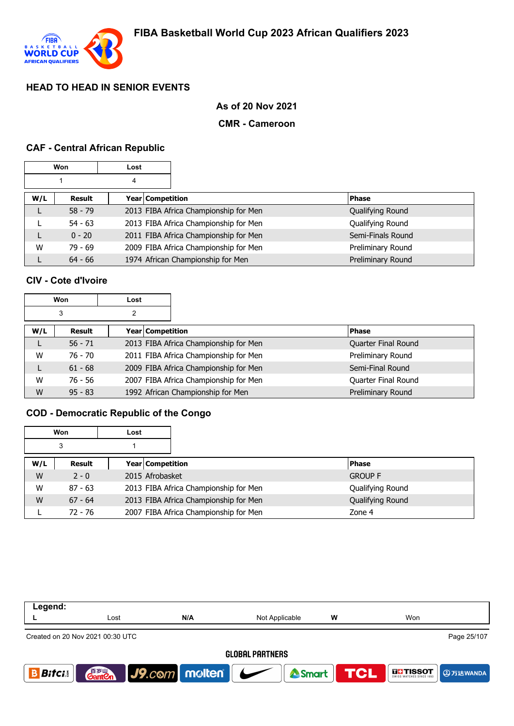

### **As of 20 Nov 2021**

#### **CMR - Cameroon**

### **CAF - Central African Republic**

|     | Won                        | Lost |  |                                       |                   |
|-----|----------------------------|------|--|---------------------------------------|-------------------|
|     |                            | 4    |  |                                       |                   |
| W/L | Year Competition<br>Result |      |  | <b>Phase</b>                          |                   |
|     | $58 - 79$                  |      |  | 2013 FIBA Africa Championship for Men | Qualifying Round  |
|     | $54 - 63$                  |      |  | 2013 FIBA Africa Championship for Men | Qualifying Round  |
|     | $0 - 20$                   |      |  | 2011 FIBA Africa Championship for Men | Semi-Finals Round |
| W   | $79 - 69$                  |      |  | 2009 FIBA Africa Championship for Men | Preliminary Round |
|     | $64 - 66$                  |      |  | 1974 African Championship for Men     | Preliminary Round |

### **CIV - Cote d'Ivoire**

|     | Won                        | Lost |                                   |                                       |                     |
|-----|----------------------------|------|-----------------------------------|---------------------------------------|---------------------|
| 3   |                            | 2    |                                   |                                       |                     |
| W/L | Year Competition<br>Result |      |                                   | <b>Phase</b>                          |                     |
| L   | $56 - 71$                  |      |                                   | 2013 FIBA Africa Championship for Men | Quarter Final Round |
| W   | $76 - 70$                  |      |                                   | 2011 FIBA Africa Championship for Men | Preliminary Round   |
| L   | $61 - 68$                  |      |                                   | 2009 FIBA Africa Championship for Men | Semi-Final Round    |
| W   | 76 - 56                    |      |                                   | 2007 FIBA Africa Championship for Men | Quarter Final Round |
| W   | $95 - 83$                  |      | 1992 African Championship for Men | Preliminary Round                     |                     |

### **COD - Democratic Republic of the Congo**

|     | Won       | Lost             |                                       |                  |
|-----|-----------|------------------|---------------------------------------|------------------|
|     | 3         |                  |                                       |                  |
| W/L | Result    | Year Competition |                                       | <b>Phase</b>     |
| W   | $2 - 0$   | 2015 Afrobasket  |                                       | <b>GROUP F</b>   |
| W   | $87 - 63$ |                  | 2013 FIBA Africa Championship for Men | Qualifying Round |
| W   | $67 - 64$ |                  | 2013 FIBA Africa Championship for Men | Qualifying Round |
|     | 72 - 76   |                  | 2007 FIBA Africa Championship for Men | Zone 4           |

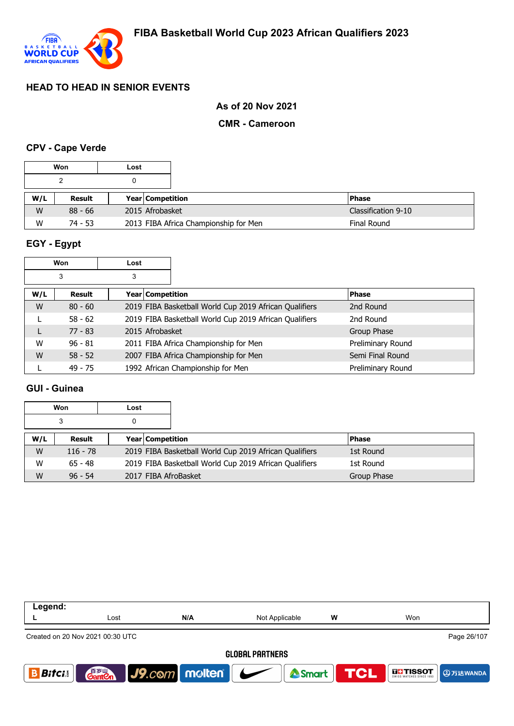

### **As of 20 Nov 2021**

#### **CMR - Cameroon**

### **CPV - Cape Verde**

|     | Won       | Lost |                                       |                     |
|-----|-----------|------|---------------------------------------|---------------------|
|     |           |      |                                       |                     |
| W/L | Result    |      | <b>Year Competition</b>               | <b>Phase</b>        |
| W   | $88 - 66$ |      | 2015 Afrobasket                       | Classification 9-10 |
| W   | 74 - 53   |      | 2013 FIBA Africa Championship for Men | Final Round         |

# **EGY - Egypt**

 $\overline{\Gamma}$ 

|     | <b>Won</b> | Lost |                                                        |                   |
|-----|------------|------|--------------------------------------------------------|-------------------|
|     | 3          | 3    |                                                        |                   |
| W/L | Result     |      | Year Competition                                       | <b>Phase</b>      |
| W   | $80 - 60$  |      | 2019 FIBA Basketball World Cup 2019 African Qualifiers | 2nd Round         |
|     | $58 - 62$  |      | 2019 FIBA Basketball World Cup 2019 African Qualifiers | 2nd Round         |
|     | $77 - 83$  |      | 2015 Afrobasket                                        | Group Phase       |
| W   | $96 - 81$  |      | 2011 FIBA Africa Championship for Men                  | Preliminary Round |
| W   | $58 - 52$  |      | 2007 FIBA Africa Championship for Men                  | Semi Final Round  |
|     | $49 - 75$  |      | 1992 African Championship for Men                      | Preliminary Round |

### **GUI - Guinea**

|     | Won        | Lost |                                                        |               |  |
|-----|------------|------|--------------------------------------------------------|---------------|--|
|     | 3          |      |                                                        |               |  |
| W/L | Result     |      | <b>Year Competition</b>                                | <b>IPhase</b> |  |
| W   | $116 - 78$ |      | 2019 FIBA Basketball World Cup 2019 African Qualifiers | 1st Round     |  |
| W   | $65 - 48$  |      | 2019 FIBA Basketball World Cup 2019 African Qualifiers | 1st Round     |  |
| W   | $96 - 54$  |      | 2017 FIBA AfroBasket                                   | Group Phase   |  |

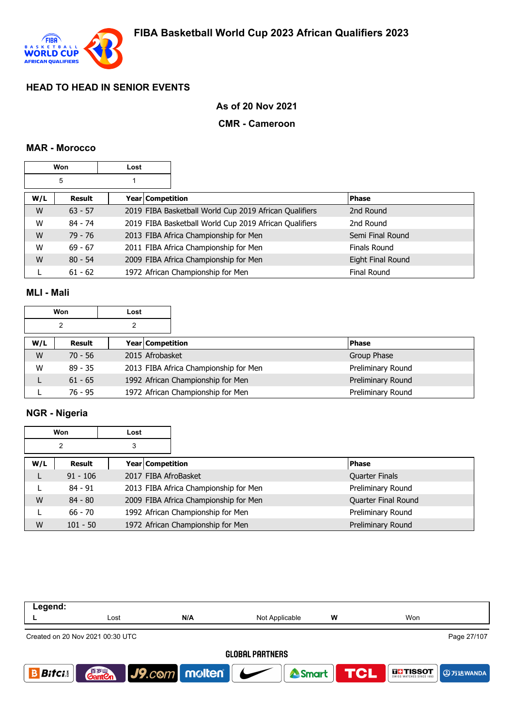

## **As of 20 Nov 2021**

### **CMR - Cameroon**

#### **MAR - Morocco**

|     | Won<br>Lost |  |                  |                                                        |                    |  |
|-----|-------------|--|------------------|--------------------------------------------------------|--------------------|--|
|     | 5           |  |                  |                                                        |                    |  |
| W/L | Result      |  | Year Competition |                                                        | <b>Phase</b>       |  |
| W   | $63 - 57$   |  |                  | 2019 FIBA Basketball World Cup 2019 African Qualifiers | 2nd Round          |  |
| W   | $84 - 74$   |  |                  | 2019 FIBA Basketball World Cup 2019 African Qualifiers | 2nd Round          |  |
| W   | $79 - 76$   |  |                  | 2013 FIBA Africa Championship for Men                  | Semi Final Round   |  |
| W   | $69 - 67$   |  |                  | 2011 FIBA Africa Championship for Men                  | Finals Round       |  |
| W   | $80 - 54$   |  |                  | 2009 FIBA Africa Championship for Men                  | Eight Final Round  |  |
|     | $61 - 62$   |  |                  | 1972 African Championship for Men                      | <b>Final Round</b> |  |

### **MLI - Mali**

|     | Won       | Lost |                  |                                       |  |                   |
|-----|-----------|------|------------------|---------------------------------------|--|-------------------|
|     | 2         | 2    |                  |                                       |  |                   |
| W/L | Result    |      | Year Competition |                                       |  | <b>Phase</b>      |
| W   | $70 - 56$ |      | 2015 Afrobasket  |                                       |  | Group Phase       |
| W   | $89 - 35$ |      |                  | 2013 FIBA Africa Championship for Men |  | Preliminary Round |
|     | $61 - 65$ |      |                  | 1992 African Championship for Men     |  | Preliminary Round |
|     | $76 - 95$ |      |                  | 1972 African Championship for Men     |  | Preliminary Round |

# **NGR - Nigeria**

| <b>Won</b><br>Lost |            |  |                  |                                       |                       |
|--------------------|------------|--|------------------|---------------------------------------|-----------------------|
| 3<br>$\mathcal{P}$ |            |  |                  |                                       |                       |
| W/L                | Result     |  | Year Competition |                                       | <b>Phase</b>          |
|                    | $91 - 106$ |  |                  | 2017 FIBA AfroBasket                  | <b>Quarter Finals</b> |
|                    | $84 - 91$  |  |                  | 2013 FIBA Africa Championship for Men | Preliminary Round     |
| W                  | $84 - 80$  |  |                  | 2009 FIBA Africa Championship for Men | Quarter Final Round   |
|                    | $66 - 70$  |  |                  | 1992 African Championship for Men     | Preliminary Round     |
| W                  | $101 - 50$ |  |                  | 1972 African Championship for Men     | Preliminary Round     |

| Legend:                |                                                 |                 |                |            |                           |  |  |  |
|------------------------|-------------------------------------------------|-----------------|----------------|------------|---------------------------|--|--|--|
|                        | Lost                                            | N/A             | Not Applicable | W          | Won                       |  |  |  |
|                        | Page 27/107<br>Created on 20 Nov 2021 00:30 UTC |                 |                |            |                           |  |  |  |
| <b>GLOBAL PARTNERS</b> |                                                 |                 |                |            |                           |  |  |  |
| <b>Bitci</b>           | 音 <sub>岁Ⅲ</sub><br>Gant <b>C</b> n              | J9.com molten V | Smart          | <b>TCL</b> | <b>THESOT</b><br>9万达WANDA |  |  |  |
|                        |                                                 |                 |                |            |                           |  |  |  |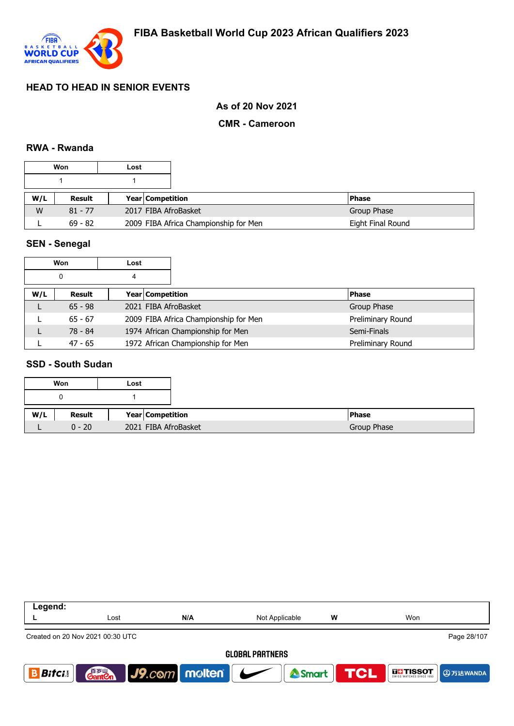

### **As of 20 Nov 2021**

### **CMR - Cameroon**

#### **RWA - Rwanda**

|     | Won       | Lost |                                       |                   |
|-----|-----------|------|---------------------------------------|-------------------|
|     |           |      |                                       |                   |
| W/L | Result    |      | <b>Year Competition</b>               | l Phase           |
| W   | $81 - 77$ |      | 2017 FIBA AfroBasket                  | Group Phase       |
|     | $69 - 82$ |      | 2009 FIBA Africa Championship for Men | Eight Final Round |

#### **SEN - Senegal**

| Won    |           | Lost |                                       |                   |
|--------|-----------|------|---------------------------------------|-------------------|
| 0<br>4 |           |      |                                       |                   |
| W/L    | Result    |      | Year Competition                      | <b>Phase</b>      |
|        | $65 - 98$ |      | 2021 FIBA AfroBasket                  | Group Phase       |
|        | $65 - 67$ |      | 2009 FIBA Africa Championship for Men | Preliminary Round |
|        | 78 - 84   |      | 1974 African Championship for Men     | Semi-Finals       |
|        | $47 - 65$ |      | 1972 African Championship for Men     | Preliminary Round |

#### **SSD - South Sudan**

| Won |          | Lost |                         |
|-----|----------|------|-------------------------|
|     |          |      |                         |
| W/L | Result   |      | <b>Year Competition</b> |
|     | $0 - 20$ |      | 2021 FIBA AfroBasket    |

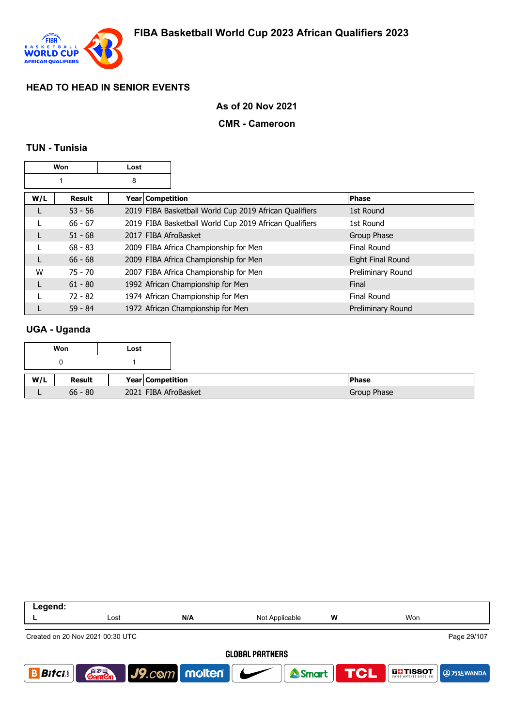

#### **As of 20 Nov 2021**

#### **CMR - Cameroon**

### **TUN - Tunisia**

| Won<br>Lost |           |                      |                                                        |                   |
|-------------|-----------|----------------------|--------------------------------------------------------|-------------------|
|             |           | 8                    |                                                        |                   |
| W/L         | Result    | Year   Competition   |                                                        | <b>Phase</b>      |
| L           | $53 - 56$ |                      | 2019 FIBA Basketball World Cup 2019 African Qualifiers | 1st Round         |
|             | $66 - 67$ |                      | 2019 FIBA Basketball World Cup 2019 African Qualifiers | 1st Round         |
| L           | $51 - 68$ | 2017 FIBA AfroBasket |                                                        | Group Phase       |
|             | $68 - 83$ |                      | 2009 FIBA Africa Championship for Men                  | Final Round       |
| L           | $66 - 68$ |                      | 2009 FIBA Africa Championship for Men                  | Eight Final Round |
| W           | $75 - 70$ |                      | 2007 FIBA Africa Championship for Men                  | Preliminary Round |
| L           | $61 - 80$ |                      | 1992 African Championship for Men                      | Final             |
|             | 72 - 82   |                      | 1974 African Championship for Men                      | Final Round       |
|             | $59 - 84$ |                      | 1972 African Championship for Men                      | Preliminary Round |

### **UGA - Uganda**

| Won |           | Lost                 |
|-----|-----------|----------------------|
|     |           |                      |
| W/L | Result    | Year   Competition   |
|     | $66 - 80$ | 2021 FIBA AfroBasket |

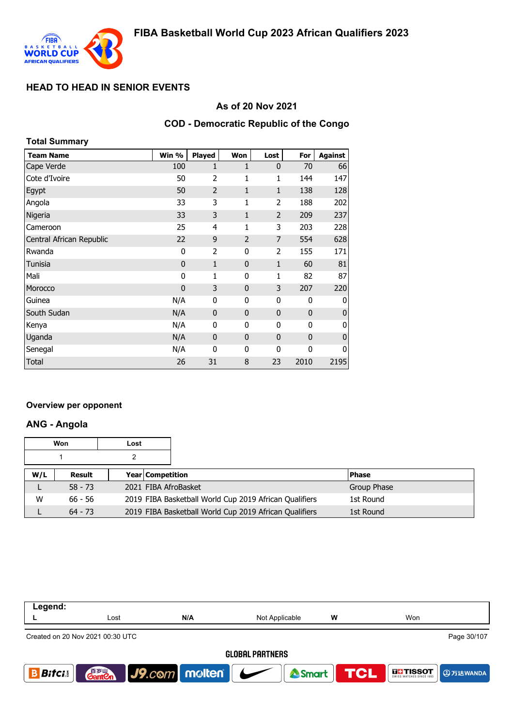

### **As of 20 Nov 2021**

### **COD - Democratic Republic of the Congo**

| <b>Total Summary</b>     |             |                |                |                          |              |                |
|--------------------------|-------------|----------------|----------------|--------------------------|--------------|----------------|
| <b>Team Name</b>         | Win %       | <b>Played</b>  | Won            | Lost                     | For          | <b>Against</b> |
| Cape Verde               | 100         | 1              | 1              | $\mathbf{0}$             | 70           | 66             |
| Cote d'Ivoire            | 50          | 2              | 1              | 1                        | 144          | 147            |
| Egypt                    | 50          | $\overline{2}$ | 1              | $\mathbf{1}$             | 138          | 128            |
| Angola                   | 33          | 3              | 1              | $\overline{2}$           | 188          | 202            |
| Nigeria                  | 33          | 3              | $\mathbf{1}$   | $\overline{2}$           | 209          | 237            |
| Cameroon                 | 25          | 4              | 1              | 3                        | 203          | 228            |
| Central African Republic | 22          | 9              | $\overline{2}$ | 7                        | 554          | 628            |
| Rwanda                   | 0           | 2              | 0              | $\overline{\phantom{a}}$ | 155          | 171            |
| Tunisia                  | $\mathbf 0$ | $\mathbf{1}$   | $\mathbf{0}$   | $\mathbf{1}$             | 60           | 81             |
| Mali                     | 0           | $\mathbf{1}$   | 0              | 1                        | 82           | 87             |
| Morocco                  | $\mathbf 0$ | 3              | $\mathbf 0$    | 3                        | 207          | 220            |
| Guinea                   | N/A         | $\mathbf{0}$   | 0              | $\mathbf 0$              | 0            | 0              |
| South Sudan              | N/A         | $\mathbf 0$    | $\overline{0}$ | $\mathbf{0}$             | $\mathbf{0}$ | $\mathbf 0$    |
| Kenya                    | N/A         | 0              | 0              | $\mathbf 0$              | $\mathbf 0$  | 0              |
| Uganda                   | N/A         | $\mathbf 0$    | $\mathbf{0}$   | $\mathbf{0}$             | $\mathbf{0}$ | $\bf{0}$       |
| Senegal                  | N/A         | $\mathbf{0}$   | 0              | $\mathbf 0$              | $\mathbf 0$  | 0              |
| <b>Total</b>             | 26          | 31             | 8              | 23                       | 2010         | 2195           |

#### **Overview per opponent**

#### **ANG - Angola**

| Won<br>Lost |           |                                                        |              |
|-------------|-----------|--------------------------------------------------------|--------------|
|             |           |                                                        |              |
| W/L         | Result    | <b>Year Competition</b>                                | <b>Phase</b> |
| ┗           | $58 - 73$ | 2021 FIBA AfroBasket                                   | Group Phase  |
| W           | $66 - 56$ | 2019 FIBA Basketball World Cup 2019 African Qualifiers | 1st Round    |
|             | $64 - 73$ | 2019 FIBA Basketball World Cup 2019 African Qualifiers | 1st Round    |

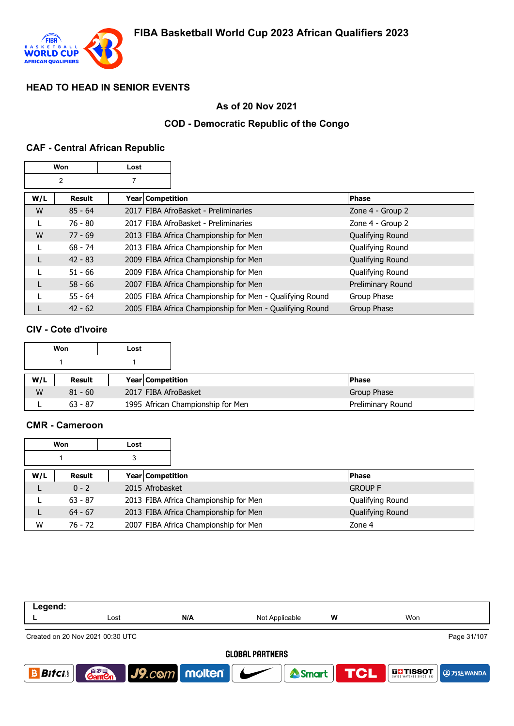

# **As of 20 Nov 2021**

### **COD - Democratic Republic of the Congo**

# **CAF - Central African Republic**

| Won<br>Lost |                |                    |                                                          |                   |
|-------------|----------------|--------------------|----------------------------------------------------------|-------------------|
|             | $\overline{2}$ |                    |                                                          |                   |
| W/L         | Result         | Year   Competition |                                                          | <b>Phase</b>      |
| W           | $85 - 64$      |                    | 2017 FIBA AfroBasket - Preliminaries                     | Zone 4 - Group 2  |
|             | $76 - 80$      |                    | 2017 FIBA AfroBasket - Preliminaries                     | Zone 4 - Group 2  |
| W           | $77 - 69$      |                    | 2013 FIBA Africa Championship for Men                    | Qualifying Round  |
|             | $68 - 74$      |                    | 2013 FIBA Africa Championship for Men                    | Qualifying Round  |
| L           | $42 - 83$      |                    | 2009 FIBA Africa Championship for Men                    | Qualifying Round  |
|             | $51 - 66$      |                    | 2009 FIBA Africa Championship for Men                    | Qualifying Round  |
|             | $58 - 66$      |                    | 2007 FIBA Africa Championship for Men                    | Preliminary Round |
|             | $55 - 64$      |                    | 2005 FIBA Africa Championship for Men - Qualifying Round | Group Phase       |
|             | $42 - 62$      |                    | 2005 FIBA Africa Championship for Men - Qualifying Round | Group Phase       |

### **CIV - Cote d'Ivoire**

| Won |           | Lost |                  |                                   |                   |
|-----|-----------|------|------------------|-----------------------------------|-------------------|
|     |           |      |                  |                                   |                   |
| W/L | Result    |      | Year Competition |                                   | <b>Phase</b>      |
| W   | $81 - 60$ |      |                  | 2017 FIBA AfroBasket              | Group Phase       |
|     | $63 - 87$ |      |                  | 1995 African Championship for Men | Preliminary Round |

### **CMR - Cameroon**

| Won<br>Lost |           |   |                                       |                                       |                  |
|-------------|-----------|---|---------------------------------------|---------------------------------------|------------------|
|             |           | 3 |                                       |                                       |                  |
| W/L         | Result    |   | Year Competition                      |                                       | <b>Phase</b>     |
|             | $0 - 2$   |   | 2015 Afrobasket                       |                                       | <b>GROUP F</b>   |
|             | $63 - 87$ |   | 2013 FIBA Africa Championship for Men |                                       | Qualifying Round |
|             | $64 - 67$ |   |                                       | 2013 FIBA Africa Championship for Men | Qualifying Round |
| W           | $76 - 72$ |   |                                       | 2007 FIBA Africa Championship for Men | Zone 4           |

| Legend:                |                                                 |               |                |                  |               |  |  |  |
|------------------------|-------------------------------------------------|---------------|----------------|------------------|---------------|--|--|--|
|                        | Lost                                            | N/A           | Not Applicable | w                | Won           |  |  |  |
|                        | Page 31/107<br>Created on 20 Nov 2021 00:30 UTC |               |                |                  |               |  |  |  |
| <b>GLOBAL PARTNERS</b> |                                                 |               |                |                  |               |  |  |  |
| <b>Bitci</b>           | 音罗山<br><b>Gant Cn</b>                           | J9.com molten |                | Smart <b>TCL</b> | <b>THESOT</b> |  |  |  |
|                        |                                                 |               |                |                  |               |  |  |  |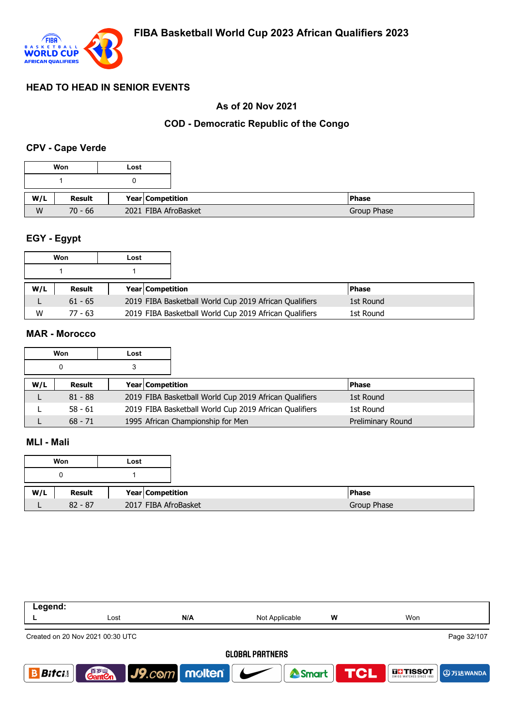

# **As of 20 Nov 2021**

## **COD - Democratic Republic of the Congo**

# **CPV - Cape Verde**

|     | Won       | Lost                    |
|-----|-----------|-------------------------|
|     |           |                         |
| W/L | Result    | <b>Year Competition</b> |
| W   | $70 - 66$ | 2021 FIBA AfroBasket    |

# **EGY - Egypt**

| Won |           | Lost |                         |                                                        |              |
|-----|-----------|------|-------------------------|--------------------------------------------------------|--------------|
|     |           |      |                         |                                                        |              |
| W/L | Result    |      | <b>Year Competition</b> |                                                        | <b>Phase</b> |
|     | $61 - 65$ |      |                         | 2019 FIBA Basketball World Cup 2019 African Qualifiers | 1st Round    |
| W   | $77 - 63$ |      |                         | 2019 FIBA Basketball World Cup 2019 African Qualifiers | 1st Round    |

#### **MAR - Morocco**

|     | Won       | Lost |                                                        |                   |
|-----|-----------|------|--------------------------------------------------------|-------------------|
| 0   |           |      |                                                        |                   |
| W/L | Result    |      | <b>Year Competition</b>                                | <b>Phase</b>      |
|     | $81 - 88$ |      | 2019 FIBA Basketball World Cup 2019 African Qualifiers | 1st Round         |
|     | $58 - 61$ |      | 2019 FIBA Basketball World Cup 2019 African Qualifiers | 1st Round         |
|     | $68 - 71$ |      | 1995 African Championship for Men                      | Preliminary Round |

# **MLI - Mali**

|     | Won<br>Lost |  |                         |
|-----|-------------|--|-------------------------|
|     |             |  |                         |
| W/L | Result      |  | <b>Year Competition</b> |
|     | $82 - 87$   |  | 2017 FIBA AfroBasket    |

| Legend:                                         |                                    |                                 |                |   |                                                    |  |  |
|-------------------------------------------------|------------------------------------|---------------------------------|----------------|---|----------------------------------------------------|--|--|
|                                                 | Lost                               | N/A                             | Not Applicable | W | Won                                                |  |  |
| Page 32/107<br>Created on 20 Nov 2021 00:30 UTC |                                    |                                 |                |   |                                                    |  |  |
| <b>GLOBAL PARTNERS</b>                          |                                    |                                 |                |   |                                                    |  |  |
| <b>Bifci</b>                                    | 音 <sub>岁Ⅲ</sub><br>Gant <b>C</b> n | $ $ J9. $com$ molten $ $ $\sim$ | <b>Smart</b>   |   | <b>TCL</b><br><b>THE TISSOT</b><br><b>4万达WANDA</b> |  |  |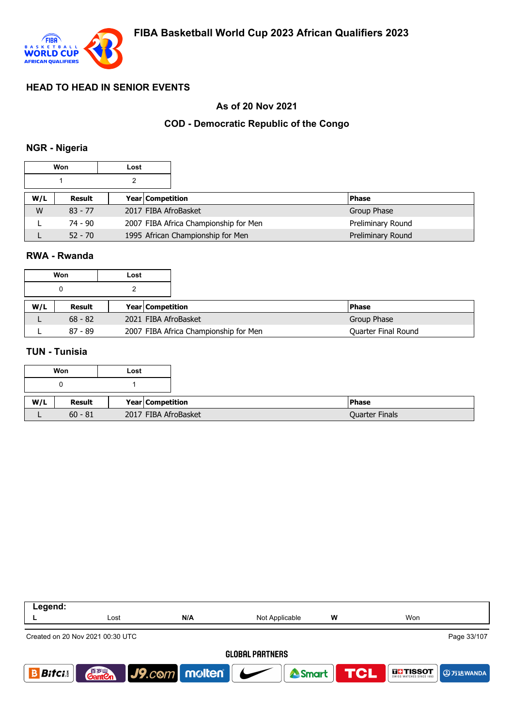

### **As of 20 Nov 2021**

## **COD - Democratic Republic of the Congo**

### **NGR - Nigeria**

|     | Won       | Lost |                  |                                       |                   |
|-----|-----------|------|------------------|---------------------------------------|-------------------|
|     |           |      |                  |                                       |                   |
| W/L | Result    |      | Year Competition |                                       | <b>Phase</b>      |
| W   | $83 - 77$ |      |                  | 2017 FIBA AfroBasket                  | Group Phase       |
|     | $74 - 90$ |      |                  | 2007 FIBA Africa Championship for Men | Preliminary Round |
|     | $52 - 70$ |      |                  | 1995 African Championship for Men     | Preliminary Round |

### **RWA - Rwanda**

|     | Won       | Lost |                         |                                       |                     |
|-----|-----------|------|-------------------------|---------------------------------------|---------------------|
|     |           |      |                         |                                       |                     |
| W/L | Result    |      | <b>Year Competition</b> |                                       | <b>Phase</b>        |
|     | $68 - 82$ |      |                         | 2021 FIBA AfroBasket                  | Group Phase         |
|     | $87 - 89$ |      |                         | 2007 FIBA Africa Championship for Men | Quarter Final Round |

#### **TUN - Tunisia**

|     | Won       | Lost |                      |  |                |
|-----|-----------|------|----------------------|--|----------------|
|     | 0         |      |                      |  |                |
| W/L | Result    |      | Year Competition     |  | <b>Phase</b>   |
|     | $60 - 81$ |      | 2017 FIBA AfroBasket |  | Quarter Finals |

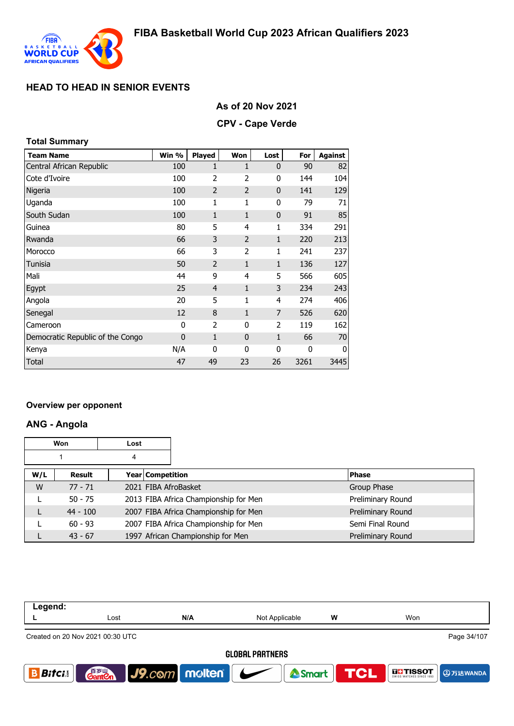

### **As of 20 Nov 2021**

#### **CPV - Cape Verde**

| <b>Total Summary</b>             |       |                |                |                |      |                |  |  |
|----------------------------------|-------|----------------|----------------|----------------|------|----------------|--|--|
| <b>Team Name</b>                 | Win % | <b>Played</b>  | Won            | Lost           | For  | <b>Against</b> |  |  |
| Central African Republic         | 100   | 1              | 1              | $\mathbf 0$    | 90   | 82             |  |  |
| Cote d'Ivoire                    | 100   | $\overline{2}$ | $\overline{2}$ | $\mathbf 0$    | 144  | 104            |  |  |
| Nigeria                          | 100   | $\overline{2}$ | 2              | $\mathbf 0$    | 141  | 129            |  |  |
| Uganda                           | 100   | 1              | 1              | 0              | 79   | 71             |  |  |
| South Sudan                      | 100   | $\mathbf{1}$   | 1              | $\bf{0}$       | 91   | 85             |  |  |
| Guinea                           | 80    | 5              | 4              | 1              | 334  | 291            |  |  |
| Rwanda                           | 66    | 3              | 2              | $\mathbf{1}$   | 220  | 213            |  |  |
| Morocco                          | 66    | 3              | 2              | 1              | 241  | 237            |  |  |
| Tunisia                          | 50    | $\overline{2}$ | $\mathbf{1}$   | $\mathbf{1}$   | 136  | 127            |  |  |
| Mali                             | 44    | 9              | 4              | 5              | 566  | 605            |  |  |
| Egypt                            | 25    | $\overline{4}$ | 1              | 3              | 234  | 243            |  |  |
| Angola                           | 20    | 5              | 1              | 4              | 274  | 406            |  |  |
| Senegal                          | 12    | 8              | $\mathbf{1}$   | 7              | 526  | 620            |  |  |
| Cameroon                         | 0     | $\overline{2}$ | $\Omega$       | $\overline{2}$ | 119  | 162            |  |  |
| Democratic Republic of the Congo | 0     | $\mathbf{1}$   | $\mathbf{0}$   | $\mathbf{1}$   | 66   | 70             |  |  |
| Kenya                            | N/A   | $\mathbf 0$    | $\Omega$       | $\mathbf 0$    | 0    | 0              |  |  |
| Total                            | 47    | 49             | 23             | 26             | 3261 | 3445           |  |  |

#### **Overview per opponent**

#### **ANG - Angola**

|     | Won        | Lost |                                       |                   |
|-----|------------|------|---------------------------------------|-------------------|
|     |            | 4    |                                       |                   |
| W/L | Result     |      | Year Competition                      | <b>Phase</b>      |
| W   | $77 - 71$  |      | 2021 FIBA AfroBasket                  | Group Phase       |
|     | $50 - 75$  |      | 2013 FIBA Africa Championship for Men | Preliminary Round |
|     | $44 - 100$ |      | 2007 FIBA Africa Championship for Men | Preliminary Round |
|     | $60 - 93$  |      | 2007 FIBA Africa Championship for Men | Semi Final Round  |
|     | $43 - 67$  |      | 1997 African Championship for Men     | Preliminary Round |

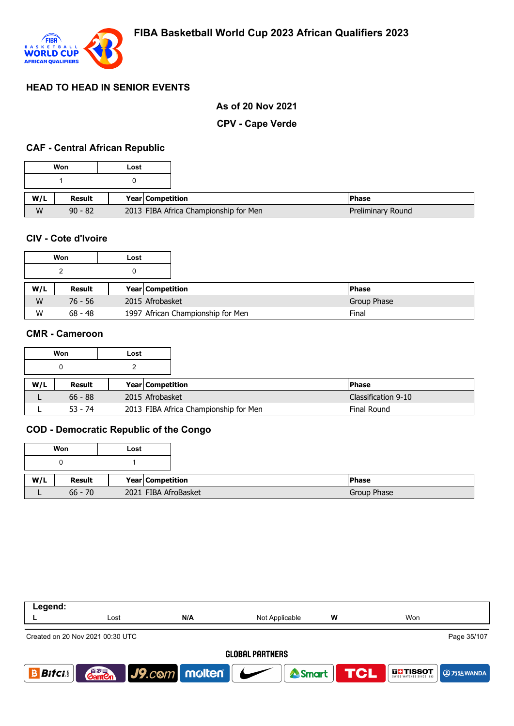

### **As of 20 Nov 2021**

### **CPV - Cape Verde**

### **CAF - Central African Republic**

#### **CIV - Cote d'Ivoire**

|     | Won       | Lost |                         |                                            |
|-----|-----------|------|-------------------------|--------------------------------------------|
|     |           | 0    |                         |                                            |
| W/L | Result    |      | <b>Year Competition</b> | <b>Phase</b>                               |
| W   | 76 - 56   |      | 2015 Afrobasket         | Group Phase                                |
| W   | $68 - 48$ |      |                         | 1997 African Championship for Men<br>Final |

#### **CMR - Cameroon**

|     | Won       | Lost |                         |                                       |                     |
|-----|-----------|------|-------------------------|---------------------------------------|---------------------|
|     |           |      |                         |                                       |                     |
| W/L | Result    |      | <b>Year Competition</b> |                                       | l Phase             |
|     | $66 - 88$ |      | 2015 Afrobasket         |                                       | Classification 9-10 |
|     | $53 - 74$ |      |                         | 2013 FIBA Africa Championship for Men | <b>Final Round</b>  |

### **COD - Democratic Republic of the Congo**

|     | Won       | Lost |                      |
|-----|-----------|------|----------------------|
|     |           |      |                      |
| W/L | Result    |      | Year Competition     |
|     | $66 - 70$ |      | 2021 FIBA AfroBasket |

| Legend:                |                                                 |                                   |                |   |                                                |  |
|------------------------|-------------------------------------------------|-----------------------------------|----------------|---|------------------------------------------------|--|
|                        | Lost                                            | N/A                               | Not Applicable | w | Won                                            |  |
|                        | Page 35/107<br>Created on 20 Nov 2021 00:30 UTC |                                   |                |   |                                                |  |
| <b>GLOBAL PARTNERS</b> |                                                 |                                   |                |   |                                                |  |
| <b>Bitci</b> s         | 音 <sub>罗山</sub><br>Gant <b>C</b> n              | $\vert$ J9.com   molten   $\vert$ | <b>A</b> Smart |   | <b>TCL</b><br>$\overline{\mathbf{u}}$ : TISSOT |  |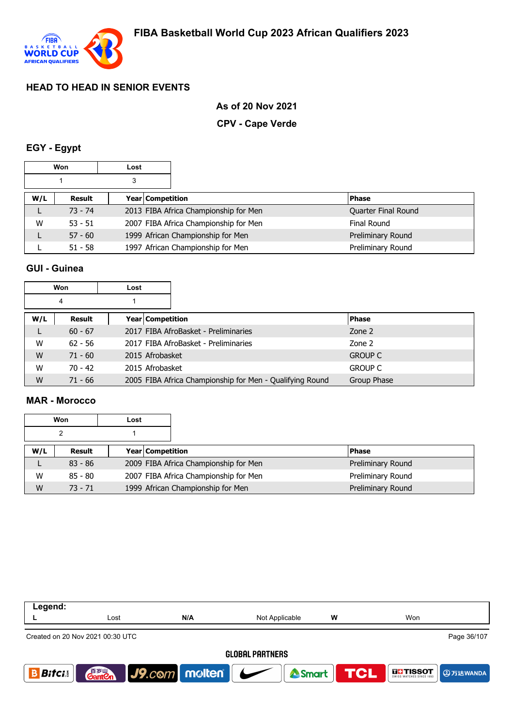

### **As of 20 Nov 2021**

### **CPV - Cape Verde**

# **EGY - Egypt**

|     | <b>Won</b> | Lost |                  |                                       |                     |
|-----|------------|------|------------------|---------------------------------------|---------------------|
|     |            | 3    |                  |                                       |                     |
| W/L | Result     |      | Year Competition |                                       | <b>Phase</b>        |
|     | $73 - 74$  |      |                  | 2013 FIBA Africa Championship for Men | Quarter Final Round |
| W   | $53 - 51$  |      |                  | 2007 FIBA Africa Championship for Men | <b>Final Round</b>  |
|     | $57 - 60$  |      |                  | 1999 African Championship for Men     | Preliminary Round   |
|     | $51 - 58$  |      |                  | 1997 African Championship for Men     | Preliminary Round   |

## **GUI - Guinea**

|     | Won       | Lost             |                                                          |                |
|-----|-----------|------------------|----------------------------------------------------------|----------------|
|     | 4         |                  |                                                          |                |
| W/L | Result    | Year Competition |                                                          | <b>Phase</b>   |
|     | $60 - 67$ |                  | 2017 FIBA AfroBasket - Preliminaries                     | Zone 2         |
| W   | $62 - 56$ |                  | 2017 FIBA AfroBasket - Preliminaries                     | Zone 2         |
| W   | $71 - 60$ | 2015 Afrobasket  |                                                          | <b>GROUP C</b> |
| W   | $70 - 42$ | 2015 Afrobasket  |                                                          | <b>GROUP C</b> |
| W   | $71 - 66$ |                  | 2005 FIBA Africa Championship for Men - Qualifying Round | Group Phase    |

#### **MAR - Morocco**

| Won |           | Lost             |                                       |                   |
|-----|-----------|------------------|---------------------------------------|-------------------|
|     |           |                  |                                       |                   |
| W/L | Result    | Year Competition |                                       | l Phase           |
|     | $83 - 86$ |                  | 2009 FIBA Africa Championship for Men | Preliminary Round |
| W   | $85 - 80$ |                  | 2007 FIBA Africa Championship for Men | Preliminary Round |
| W   | $73 - 71$ |                  | 1999 African Championship for Men     | Preliminary Round |

| Legend:                                         |                                    |                                 |                |   |                                             |  |  |  |  |
|-------------------------------------------------|------------------------------------|---------------------------------|----------------|---|---------------------------------------------|--|--|--|--|
|                                                 | Lost                               | N/A                             | Not Applicable | w | Won                                         |  |  |  |  |
| Page 36/107<br>Created on 20 Nov 2021 00:30 UTC |                                    |                                 |                |   |                                             |  |  |  |  |
| <b>GLOBAL PARTNERS</b>                          |                                    |                                 |                |   |                                             |  |  |  |  |
| <b>Bifci</b>                                    | 音 <sub>罗山</sub><br>Gant <b>C</b> n | $ $ J9. $com$ melten $ $ $\sim$ | <b>A</b> Smart |   | <b>TCL</b><br><b>THE TISSOT</b><br>9万达WANDA |  |  |  |  |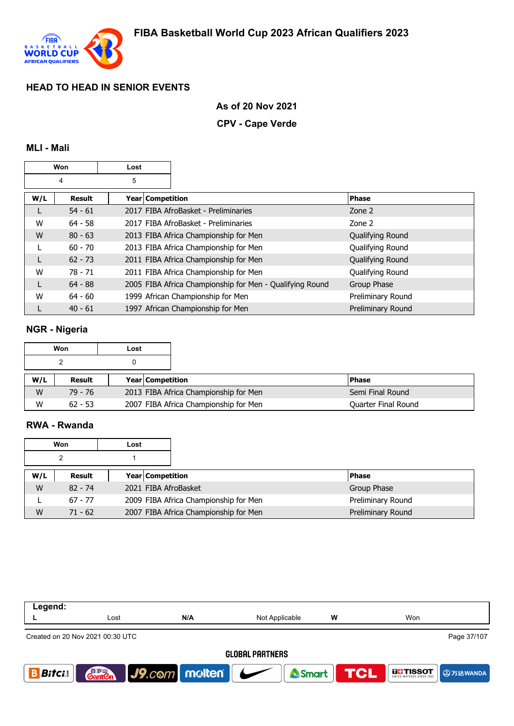

### **As of 20 Nov 2021**

### **CPV - Cape Verde**

### **MLI - Mali**

| Won |               | Lost               |                                                          |                   |
|-----|---------------|--------------------|----------------------------------------------------------|-------------------|
| 4   |               | 5                  |                                                          |                   |
| W/L | <b>Result</b> | Year   Competition |                                                          | <b>Phase</b>      |
| L   | $54 - 61$     |                    | 2017 FIBA AfroBasket - Preliminaries                     | Zone 2            |
| W   | $64 - 58$     |                    | 2017 FIBA AfroBasket - Preliminaries                     | Zone 2            |
| W   | $80 - 63$     |                    | 2013 FIBA Africa Championship for Men                    | Qualifying Round  |
|     | $60 - 70$     |                    | 2013 FIBA Africa Championship for Men                    | Qualifying Round  |
| L   | $62 - 73$     |                    | 2011 FIBA Africa Championship for Men                    | Qualifying Round  |
| W   | $78 - 71$     |                    | 2011 FIBA Africa Championship for Men                    | Qualifying Round  |
| L   | $64 - 88$     |                    | 2005 FIBA Africa Championship for Men - Qualifying Round | Group Phase       |
| W   | $64 - 60$     |                    | 1999 African Championship for Men                        | Preliminary Round |
|     | $40 - 61$     |                    | 1997 African Championship for Men                        | Preliminary Round |

### **NGR - Nigeria**

|     | Won       | Lost |                         |                                       |  |                     |
|-----|-----------|------|-------------------------|---------------------------------------|--|---------------------|
|     |           |      |                         |                                       |  |                     |
| W/L | Result    |      | <b>Year Competition</b> |                                       |  | <b>Phase</b>        |
| W   | 79 - 76   |      |                         | 2013 FIBA Africa Championship for Men |  | Semi Final Round    |
| W   | $62 - 53$ |      |                         | 2007 FIBA Africa Championship for Men |  | Quarter Final Round |

### **RWA - Rwanda**

|     | Won       | Lost |                  |                                       |  |                   |
|-----|-----------|------|------------------|---------------------------------------|--|-------------------|
|     | ົ         |      |                  |                                       |  |                   |
| W/L | Result    |      | Year Competition |                                       |  | <b>Phase</b>      |
| W   | $82 - 74$ |      |                  | 2021 FIBA AfroBasket                  |  | Group Phase       |
|     | $67 - 77$ |      |                  | 2009 FIBA Africa Championship for Men |  | Preliminary Round |
| W   | $71 - 62$ |      |                  | 2007 FIBA Africa Championship for Men |  | Preliminary Round |

| Legend:      |                                                 |                                 |     |                |       |            |                   |                 |
|--------------|-------------------------------------------------|---------------------------------|-----|----------------|-------|------------|-------------------|-----------------|
|              | Lost                                            |                                 | N/A | Not Applicable |       | w          | Won               |                 |
|              | Page 37/107<br>Created on 20 Nov 2021 00:30 UTC |                                 |     |                |       |            |                   |                 |
|              | <b>GLOBAL PARTNERS</b>                          |                                 |     |                |       |            |                   |                 |
| <b>Bitci</b> | 音 <sub>罗山</sub><br>Gant <b>C</b> n              | $ $ J9. $com$ molten $ $ $\sim$ |     |                | Smart | <b>TCL</b> | <b>THE TISSOT</b> | <b>4万达WANDA</b> |
|              |                                                 |                                 |     |                |       |            |                   |                 |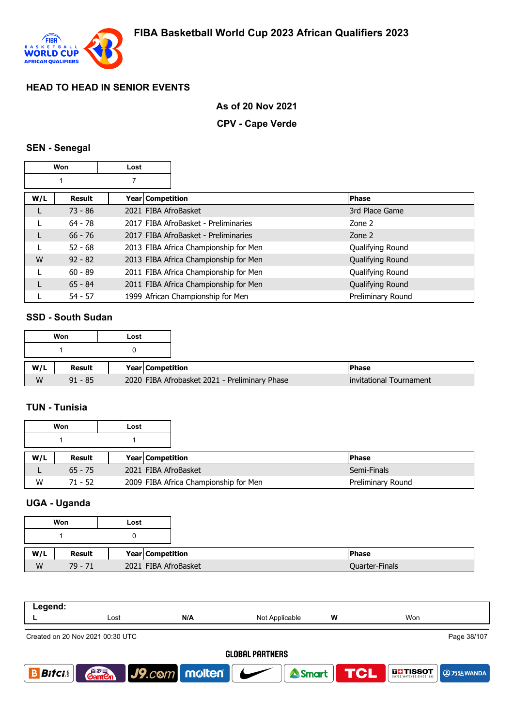

#### **As of 20 Nov 2021**

### **CPV - Cape Verde**

#### **SEN - Senegal**

| Won<br>Lost |           |                      |                                       |                   |
|-------------|-----------|----------------------|---------------------------------------|-------------------|
|             |           |                      |                                       |                   |
| W/L         | Result    | Year Competition     |                                       | <b>Phase</b>      |
|             | $73 - 86$ | 2021 FIBA AfroBasket |                                       | 3rd Place Game    |
|             | $64 - 78$ |                      | 2017 FIBA AfroBasket - Preliminaries  | Zone 2            |
| L           | $66 - 76$ |                      | 2017 FIBA AfroBasket - Preliminaries  | Zone 2            |
|             | $52 - 68$ |                      | 2013 FIBA Africa Championship for Men | Qualifying Round  |
| W           | $92 - 82$ |                      | 2013 FIBA Africa Championship for Men | Qualifying Round  |
|             | $60 - 89$ |                      | 2011 FIBA Africa Championship for Men | Qualifying Round  |
|             | $65 - 84$ |                      | 2011 FIBA Africa Championship for Men | Qualifying Round  |
|             | $54 - 57$ |                      | 1999 African Championship for Men     | Preliminary Round |

#### **SSD - South Sudan**

|     | Won       | Lost |                  |                                               |
|-----|-----------|------|------------------|-----------------------------------------------|
|     |           |      |                  |                                               |
|     |           |      |                  |                                               |
| W/L | Result    |      | Year Competition |                                               |
| W   | $91 - 85$ |      |                  | 2020 FIBA Afrobasket 2021 - Preliminary Phase |

### **TUN - Tunisia**

|     | Won       | Lost |                         |                                       |
|-----|-----------|------|-------------------------|---------------------------------------|
|     |           |      |                         |                                       |
| W/L | Result    |      | <b>Year Competition</b> |                                       |
|     | $65 - 75$ |      |                         | 2021 FIBA AfroBasket                  |
| W   | 71 - 52   |      |                         | 2009 FIBA Africa Championship for Men |

# **UGA - Uganda**

|     | Won       | Lost |                      |
|-----|-----------|------|----------------------|
|     |           |      |                      |
| W/L | Result    |      | Year   Competition   |
| W   | $79 - 71$ |      | 2021 FIBA AfroBasket |

| Legend:                |                                                 |                                     |                |     |                                      |  |  |  |
|------------------------|-------------------------------------------------|-------------------------------------|----------------|-----|--------------------------------------|--|--|--|
|                        | Lost                                            | N/A                                 | Not Applicable | w   | Won                                  |  |  |  |
|                        | Page 38/107<br>Created on 20 Nov 2021 00:30 UTC |                                     |                |     |                                      |  |  |  |
| <b>GLOBAL PARTNERS</b> |                                                 |                                     |                |     |                                      |  |  |  |
| <b>Bitcis</b>          | 音 <sub>罗山</sub><br>Gant <b>C</b> n              | $\big $ J9.com   molten   $\bigcup$ | Smart          | TCL | <b>THE TISSOT</b><br><b>4万达WANDA</b> |  |  |  |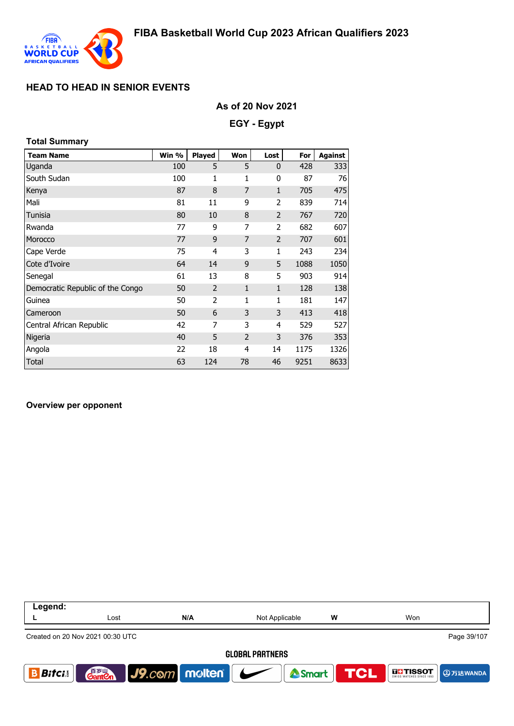

#### **As of 20 Nov 2021**

**EGY - Egypt**

| <b>Total Summary</b>             |       |                |                |                |      |                |
|----------------------------------|-------|----------------|----------------|----------------|------|----------------|
| <b>Team Name</b>                 | Win % | <b>Played</b>  | Won            | Lost           | For  | <b>Against</b> |
| Uganda                           | 100   | 5              | 5              | $\mathbf{0}$   | 428  | 333            |
| South Sudan                      | 100   | 1              | 1              | 0              | 87   | 76             |
| Kenya                            | 87    | 8              | 7              | $\mathbf{1}$   | 705  | 475            |
| Mali                             | 81    | 11             | 9              | $\overline{2}$ | 839  | 714            |
| Tunisia                          | 80    | 10             | 8              | $\overline{2}$ | 767  | 720            |
| Rwanda                           | 77    | 9              | 7              | $\overline{2}$ | 682  | 607            |
| Morocco                          | 77    | 9              | 7              | $\overline{2}$ | 707  | 601            |
| Cape Verde                       | 75    | 4              | 3              | $\mathbf{1}$   | 243  | 234            |
| Cote d'Ivoire                    | 64    | 14             | 9              | 5              | 1088 | 1050           |
| Senegal                          | 61    | 13             | 8              | 5              | 903  | 914            |
| Democratic Republic of the Congo | 50    | $\overline{2}$ | $\mathbf{1}$   | $\mathbf{1}$   | 128  | 138            |
| Guinea                           | 50    | 2              | 1              | 1              | 181  | 147            |
| Cameroon                         | 50    | 6              | 3              | 3              | 413  | 418            |
| Central African Republic         | 42    | 7              | 3              | 4              | 529  | 527            |
| Nigeria                          | 40    | 5              | $\overline{2}$ | 3              | 376  | 353            |
| Angola                           | 22    | 18             | 4              | 14             | 1175 | 1326           |
| <b>Total</b>                     | 63    | 124            | 78             | 46             | 9251 | 8633           |

#### **Overview per opponent**

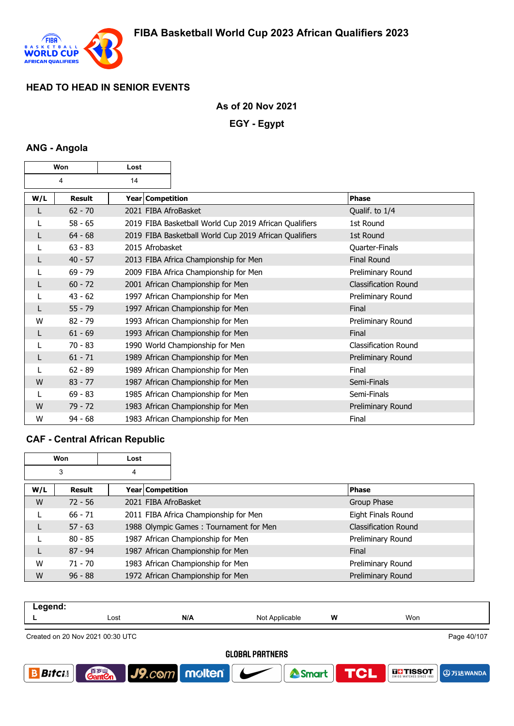

### **As of 20 Nov 2021**

**EGY - Egypt**

### **ANG - Angola**

| Won     |               | Lost                 |                                                        |                             |
|---------|---------------|----------------------|--------------------------------------------------------|-----------------------------|
| 4<br>14 |               |                      |                                                        |                             |
| W/L     | <b>Result</b> | Year Competition     |                                                        | Phase                       |
|         | $62 - 70$     | 2021 FIBA AfroBasket |                                                        | Qualif. to 1/4              |
|         | $58 - 65$     |                      | 2019 FIBA Basketball World Cup 2019 African Qualifiers | 1st Round                   |
| L       | $64 - 68$     |                      | 2019 FIBA Basketball World Cup 2019 African Qualifiers | 1st Round                   |
|         | $63 - 83$     | 2015 Afrobasket      |                                                        | Quarter-Finals              |
|         | $40 - 57$     |                      | 2013 FIBA Africa Championship for Men                  | <b>Final Round</b>          |
|         | $69 - 79$     |                      | 2009 FIBA Africa Championship for Men                  | Preliminary Round           |
| L       | $60 - 72$     |                      | 2001 African Championship for Men                      | <b>Classification Round</b> |
|         | $43 - 62$     |                      | 1997 African Championship for Men                      | Preliminary Round           |
|         | $55 - 79$     |                      | 1997 African Championship for Men                      | Final                       |
| W       | $82 - 79$     |                      | 1993 African Championship for Men                      | Preliminary Round           |
| L       | $61 - 69$     |                      | 1993 African Championship for Men                      | Final                       |
|         | $70 - 83$     |                      | 1990 World Championship for Men                        | Classification Round        |
|         | $61 - 71$     |                      | 1989 African Championship for Men                      | Preliminary Round           |
|         | $62 - 89$     |                      | 1989 African Championship for Men                      | Final                       |
| W       | $83 - 77$     |                      | 1987 African Championship for Men                      | Semi-Finals                 |
| L       | $69 - 83$     |                      | 1985 African Championship for Men                      | Semi-Finals                 |
| W       | $79 - 72$     |                      | 1983 African Championship for Men                      | Preliminary Round           |
| W       | $94 - 68$     |                      | 1983 African Championship for Men                      | Final                       |

### **CAF - Central African Republic**

|     | Won       | Lost                 |                                        |                             |
|-----|-----------|----------------------|----------------------------------------|-----------------------------|
|     | 3         | 4                    |                                        |                             |
| W/L | Result    | Year Competition     |                                        | <b>Phase</b>                |
| W   | $72 - 56$ | 2021 FIBA AfroBasket |                                        | Group Phase                 |
|     | $66 - 71$ |                      | 2011 FIBA Africa Championship for Men  | Eight Finals Round          |
|     | $57 - 63$ |                      | 1988 Olympic Games: Tournament for Men | <b>Classification Round</b> |
|     | $80 - 85$ |                      | 1987 African Championship for Men      | Preliminary Round           |
|     | $87 - 94$ |                      | 1987 African Championship for Men      | Final                       |
| W   | $71 - 70$ |                      | 1983 African Championship for Men      | Preliminary Round           |
| W   | $96 - 88$ |                      | 1972 African Championship for Men      | Preliminary Round           |

| Legend:                                         |                                    |                  |                |   |                             |  |  |
|-------------------------------------------------|------------------------------------|------------------|----------------|---|-----------------------------|--|--|
|                                                 | Lost                               | N/A              | Not Applicable | W | Won                         |  |  |
| Page 40/107<br>Created on 20 Nov 2021 00:30 UTC |                                    |                  |                |   |                             |  |  |
| <b>GLOBAL PARTNERS</b>                          |                                    |                  |                |   |                             |  |  |
| <b>Bitcis</b>                                   | 音 <sub>罗山</sub><br>Gant <b>C</b> n | $J9$ .com melten |                |   | Smart <b>TCL</b> FIGITISSOT |  |  |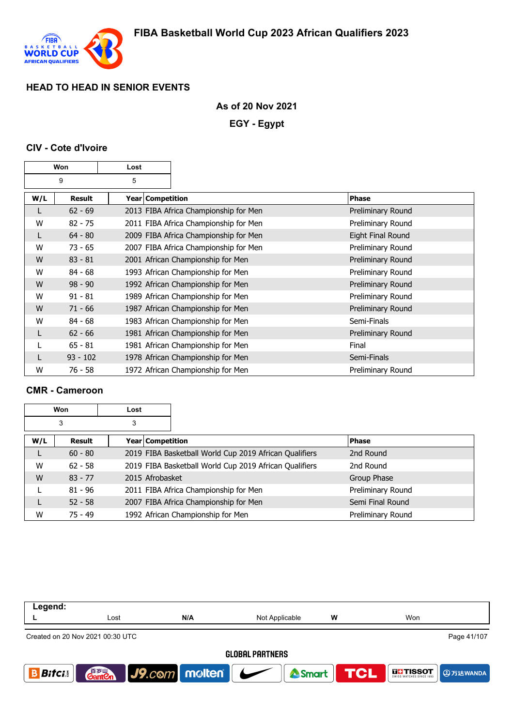

### **As of 20 Nov 2021**

**EGY - Egypt**

### **CIV - Cote d'Ivoire**

| Won |            | Lost |                    |                                       |                   |
|-----|------------|------|--------------------|---------------------------------------|-------------------|
|     | 9          | 5    |                    |                                       |                   |
| W/L | Result     |      | Year   Competition |                                       | <b>Phase</b>      |
| L   | $62 - 69$  |      |                    | 2013 FIBA Africa Championship for Men | Preliminary Round |
| W   | $82 - 75$  |      |                    | 2011 FIBA Africa Championship for Men | Preliminary Round |
| L   | $64 - 80$  |      |                    | 2009 FIBA Africa Championship for Men | Eight Final Round |
| W   | $73 - 65$  |      |                    | 2007 FIBA Africa Championship for Men | Preliminary Round |
| W   | $83 - 81$  |      |                    | 2001 African Championship for Men     | Preliminary Round |
| W   | $84 - 68$  |      |                    | 1993 African Championship for Men     | Preliminary Round |
| W   | $98 - 90$  |      |                    | 1992 African Championship for Men     | Preliminary Round |
| W   | $91 - 81$  |      |                    | 1989 African Championship for Men     | Preliminary Round |
| W   | $71 - 66$  |      |                    | 1987 African Championship for Men     | Preliminary Round |
| W   | $84 - 68$  |      |                    | 1983 African Championship for Men     | Semi-Finals       |
| L   | $62 - 66$  |      |                    | 1981 African Championship for Men     | Preliminary Round |
|     | $65 - 81$  |      |                    | 1981 African Championship for Men     | Final             |
| L   | $93 - 102$ |      |                    | 1978 African Championship for Men     | Semi-Finals       |
| W   | $76 - 58$  |      |                    | 1972 African Championship for Men     | Preliminary Round |

### **CMR - Cameroon**

| Won    |               | Lost |                  |                                                        |                   |
|--------|---------------|------|------------------|--------------------------------------------------------|-------------------|
| 3<br>3 |               |      |                  |                                                        |                   |
| W/L    | <b>Result</b> |      | Year Competition |                                                        | <b>Phase</b>      |
| L      | $60 - 80$     |      |                  | 2019 FIBA Basketball World Cup 2019 African Qualifiers | 2nd Round         |
| W      | $62 - 58$     |      |                  | 2019 FIBA Basketball World Cup 2019 African Qualifiers | 2nd Round         |
| W      | $83 - 77$     |      | 2015 Afrobasket  |                                                        | Group Phase       |
|        | $81 - 96$     |      |                  | 2011 FIBA Africa Championship for Men                  | Preliminary Round |
|        | $52 - 58$     |      |                  | 2007 FIBA Africa Championship for Men                  | Semi Final Round  |
| W      | $75 - 49$     |      |                  | 1992 African Championship for Men                      | Preliminary Round |

| Legend:                                         |                                    |                                       |                |            |                                      |  |  |
|-------------------------------------------------|------------------------------------|---------------------------------------|----------------|------------|--------------------------------------|--|--|
|                                                 | Lost                               | N/A                                   | Not Applicable | w          | Won                                  |  |  |
| Page 41/107<br>Created on 20 Nov 2021 00:30 UTC |                                    |                                       |                |            |                                      |  |  |
| <b>GLOBAL PARTNERS</b>                          |                                    |                                       |                |            |                                      |  |  |
| <b>Bitci</b>                                    | 音 <sub>岁Ⅲ</sub><br>Gant <b>C</b> n | $\bigcup$ J9.com   melten   $\bigcup$ | <b>A</b> Smart | <b>TCL</b> | <b>THE TISSOT</b><br><b>4万达WANDA</b> |  |  |
|                                                 |                                    |                                       |                |            |                                      |  |  |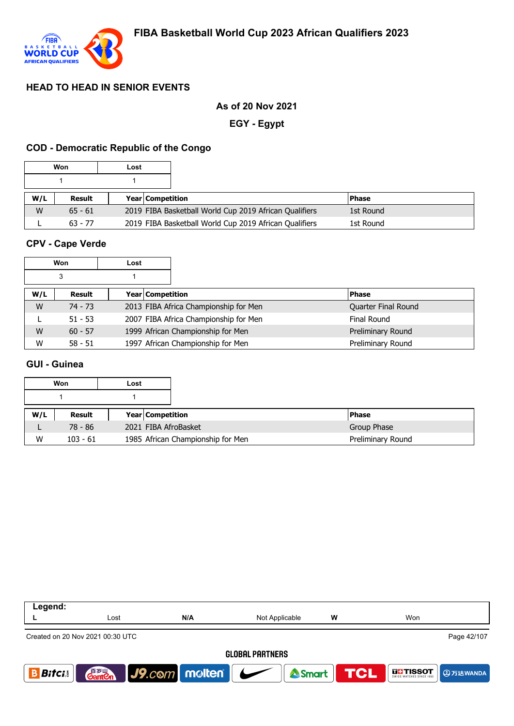

#### **As of 20 Nov 2021**

**EGY - Egypt**

#### **COD - Democratic Republic of the Congo**

|     | Won       | Lost |                         |                                                        |              |
|-----|-----------|------|-------------------------|--------------------------------------------------------|--------------|
|     |           |      |                         |                                                        |              |
| W/L | Result    |      | <b>Year Competition</b> |                                                        | <b>Phase</b> |
| W   | $65 - 61$ |      |                         | 2019 FIBA Basketball World Cup 2019 African Qualifiers | 1st Round    |
|     | $63 - 77$ |      |                         | 2019 FIBA Basketball World Cup 2019 African Qualifiers | 1st Round    |

#### **CPV - Cape Verde**

|     | Won       | Lost |                                       |                     |
|-----|-----------|------|---------------------------------------|---------------------|
| 3   |           |      |                                       |                     |
| W/L | Result    |      | Year Competition                      | <b>Phase</b>        |
| W   | $74 - 73$ |      | 2013 FIBA Africa Championship for Men | Quarter Final Round |
|     | $51 - 53$ |      | 2007 FIBA Africa Championship for Men | Final Round         |
| W   | $60 - 57$ |      | 1999 African Championship for Men     | Preliminary Round   |
| W   | $58 - 51$ |      | 1997 African Championship for Men     | Preliminary Round   |

#### **GUI - Guinea**

|     | Won     | Lost |                      |              |
|-----|---------|------|----------------------|--------------|
|     |         |      |                      |              |
| W/L | Result  |      | Year   Competition   | <b>Phase</b> |
|     | 78 - 86 |      | 2021 FIBA AfroBasket | Group Phase  |
|     |         |      |                      |              |

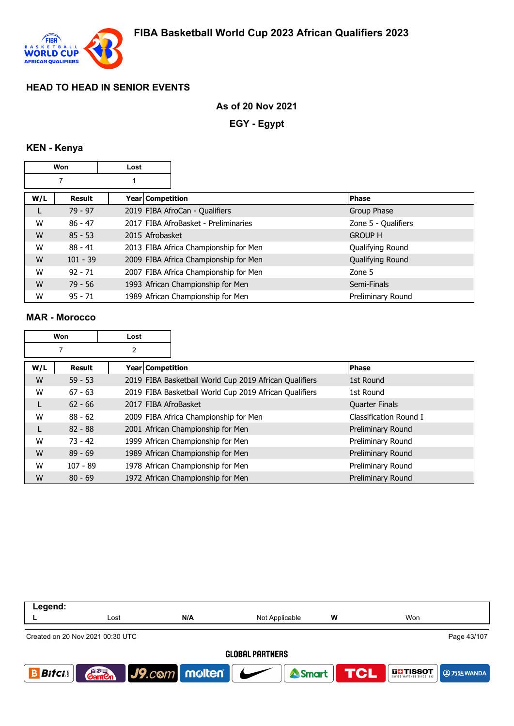

#### **As of 20 Nov 2021**

**EGY - Egypt**

#### **KEN - Kenya**

|     | Won        | Lost             |                                       |                     |
|-----|------------|------------------|---------------------------------------|---------------------|
|     |            |                  |                                       |                     |
| W/L | Result     | Year Competition |                                       | <b>Phase</b>        |
| L   | $79 - 97$  |                  | 2019 FIBA AfroCan - Qualifiers        | Group Phase         |
| W   | $86 - 47$  |                  | 2017 FIBA AfroBasket - Preliminaries  | Zone 5 - Qualifiers |
| W   | $85 - 53$  | 2015 Afrobasket  |                                       | <b>GROUP H</b>      |
| W   | $88 - 41$  |                  | 2013 FIBA Africa Championship for Men | Qualifying Round    |
| W   | $101 - 39$ |                  | 2009 FIBA Africa Championship for Men | Qualifying Round    |
| W   | $92 - 71$  |                  | 2007 FIBA Africa Championship for Men | Zone 5              |
| W   | $79 - 56$  |                  | 1993 African Championship for Men     | Semi-Finals         |
| W   | $95 - 71$  |                  | 1989 African Championship for Men     | Preliminary Round   |

#### **MAR - Morocco**

|     | Won        | Lost                 |                                                        |                        |
|-----|------------|----------------------|--------------------------------------------------------|------------------------|
|     | 7          | 2                    |                                                        |                        |
| W/L | Result     | Year Competition     |                                                        | <b>IPhase</b>          |
| W   | $59 - 53$  |                      | 2019 FIBA Basketball World Cup 2019 African Qualifiers | 1st Round              |
| W   | $67 - 63$  |                      | 2019 FIBA Basketball World Cup 2019 African Qualifiers | 1st Round              |
| L   | $62 - 66$  | 2017 FIBA AfroBasket |                                                        | <b>Quarter Finals</b>  |
| W   | $88 - 62$  |                      | 2009 FIBA Africa Championship for Men                  | Classification Round I |
| L   | $82 - 88$  |                      | 2001 African Championship for Men                      | Preliminary Round      |
| W   | $73 - 42$  |                      | 1999 African Championship for Men                      | Preliminary Round      |
| W   | $89 - 69$  |                      | 1989 African Championship for Men                      | Preliminary Round      |
| W   | $107 - 89$ |                      | 1978 African Championship for Men                      | Preliminary Round      |
| W   | $80 - 69$  |                      | 1972 African Championship for Men                      | Preliminary Round      |

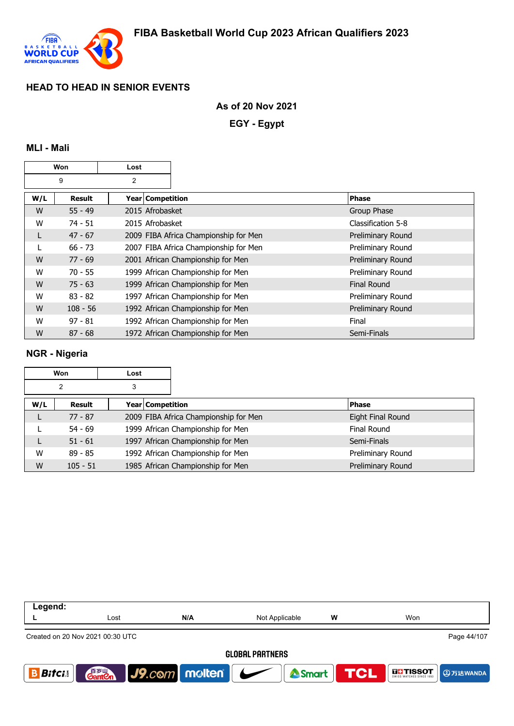

#### **As of 20 Nov 2021**

**EGY - Egypt**

#### **MLI - Mali**

|     | Won<br>Lost |   |                    |                                       |                    |
|-----|-------------|---|--------------------|---------------------------------------|--------------------|
|     | 9           | 2 |                    |                                       |                    |
| W/L | Result      |   | Year   Competition |                                       | <b>Phase</b>       |
| W   | $55 - 49$   |   | 2015 Afrobasket    |                                       | Group Phase        |
| W   | $74 - 51$   |   | 2015 Afrobasket    |                                       | Classification 5-8 |
| L   | $47 - 67$   |   |                    | 2009 FIBA Africa Championship for Men | Preliminary Round  |
| L   | $66 - 73$   |   |                    | 2007 FIBA Africa Championship for Men | Preliminary Round  |
| W   | $77 - 69$   |   |                    | 2001 African Championship for Men     | Preliminary Round  |
| W   | $70 - 55$   |   |                    | 1999 African Championship for Men     | Preliminary Round  |
| W   | $75 - 63$   |   |                    | 1999 African Championship for Men     | <b>Final Round</b> |
| W   | $83 - 82$   |   |                    | 1997 African Championship for Men     | Preliminary Round  |
| W   | $108 - 56$  |   |                    | 1992 African Championship for Men     | Preliminary Round  |
| W   | $97 - 81$   |   |                    | 1992 African Championship for Men     | Final              |
| W   | $87 - 68$   |   |                    | 1972 African Championship for Men     | Semi-Finals        |

#### **NGR - Nigeria**

| Won<br>Lost |            |                  |                                       |                    |
|-------------|------------|------------------|---------------------------------------|--------------------|
| 2<br>3      |            |                  |                                       |                    |
| W/L         | Result     | Year Competition |                                       | <b>Phase</b>       |
|             | $77 - 87$  |                  | 2009 FIBA Africa Championship for Men | Eight Final Round  |
|             | $54 - 69$  |                  | 1999 African Championship for Men     | <b>Final Round</b> |
|             | $51 - 61$  |                  | 1997 African Championship for Men     | Semi-Finals        |
| W           | $89 - 85$  |                  | 1992 African Championship for Men     | Preliminary Round  |
| W           | $105 - 51$ |                  | 1985 African Championship for Men     | Preliminary Round  |

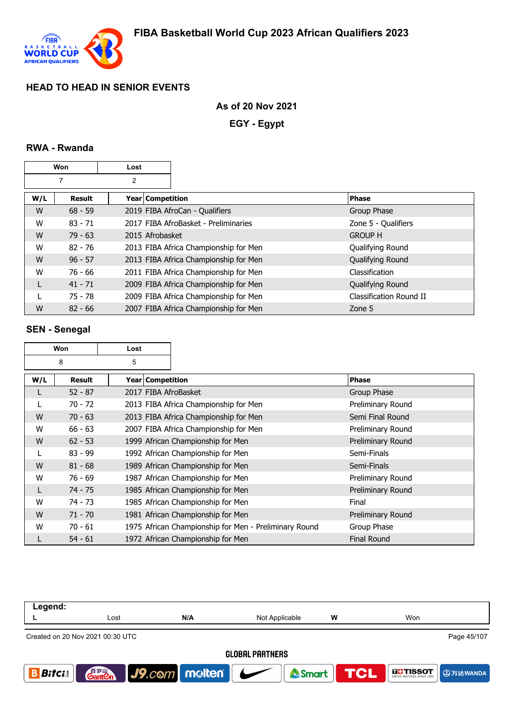

### **As of 20 Nov 2021**

**EGY - Egypt**

### **RWA - Rwanda**

|     | Won<br>Lost |                    |                                       |                         |
|-----|-------------|--------------------|---------------------------------------|-------------------------|
|     | 2           |                    |                                       |                         |
| W/L | Result      | Year   Competition |                                       | <b>Phase</b>            |
| W   | $68 - 59$   |                    | 2019 FIBA AfroCan - Qualifiers        | Group Phase             |
| W   | $83 - 71$   |                    | 2017 FIBA AfroBasket - Preliminaries  | Zone 5 - Qualifiers     |
| W   | $79 - 63$   | 2015 Afrobasket    |                                       | <b>GROUP H</b>          |
| W   | $82 - 76$   |                    | 2013 FIBA Africa Championship for Men | Qualifying Round        |
| W   | $96 - 57$   |                    | 2013 FIBA Africa Championship for Men | Qualifying Round        |
| W   | $76 - 66$   |                    | 2011 FIBA Africa Championship for Men | Classification          |
| L   | $41 - 71$   |                    | 2009 FIBA Africa Championship for Men | Qualifying Round        |
|     | $75 - 78$   |                    | 2009 FIBA Africa Championship for Men | Classification Round II |
| W   | $82 - 66$   |                    | 2007 FIBA Africa Championship for Men | Zone 5                  |

# **SEN - Senegal**

| Won |           | Lost                 |                                                       |                    |
|-----|-----------|----------------------|-------------------------------------------------------|--------------------|
|     | 8         | 5                    |                                                       |                    |
| W/L | Result    | Year   Competition   |                                                       | <b>Phase</b>       |
|     | $52 - 87$ | 2017 FIBA AfroBasket |                                                       | Group Phase        |
| L   | $70 - 72$ |                      | 2013 FIBA Africa Championship for Men                 | Preliminary Round  |
| W   | $70 - 63$ |                      | 2013 FIBA Africa Championship for Men                 | Semi Final Round   |
| W   | $66 - 63$ |                      | 2007 FIBA Africa Championship for Men                 | Preliminary Round  |
| W   | $62 - 53$ |                      | 1999 African Championship for Men                     | Preliminary Round  |
|     | $83 - 99$ |                      | 1992 African Championship for Men                     | Semi-Finals        |
| W   | $81 - 68$ |                      | 1989 African Championship for Men                     | Semi-Finals        |
| W   | $76 - 69$ |                      | 1987 African Championship for Men                     | Preliminary Round  |
|     | $74 - 75$ |                      | 1985 African Championship for Men                     | Preliminary Round  |
| W   | 74 - 73   |                      | 1985 African Championship for Men                     | Final              |
| W   | $71 - 70$ |                      | 1981 African Championship for Men                     | Preliminary Round  |
| W   | $70 - 61$ |                      | 1975 African Championship for Men - Preliminary Round | Group Phase        |
|     | $54 - 61$ |                      | 1972 African Championship for Men                     | <b>Final Round</b> |

| Legend:                          |                                    |                                     |                |                  |                   |  |
|----------------------------------|------------------------------------|-------------------------------------|----------------|------------------|-------------------|--|
|                                  | Lost                               | N/A                                 | Not Applicable | W                | Won               |  |
| Created on 20 Nov 2021 00:30 UTC |                                    |                                     |                |                  | Page 45/107       |  |
| <b>GLOBAL PARTNERS</b>           |                                    |                                     |                |                  |                   |  |
| <b>Bifci</b>                     | 音 <sub>罗山</sub><br>Gant <b>C</b> n | $\big $ J9.com   molten   $\bigcup$ |                | Smart <b>TCL</b> | <b>THE TISSOT</b> |  |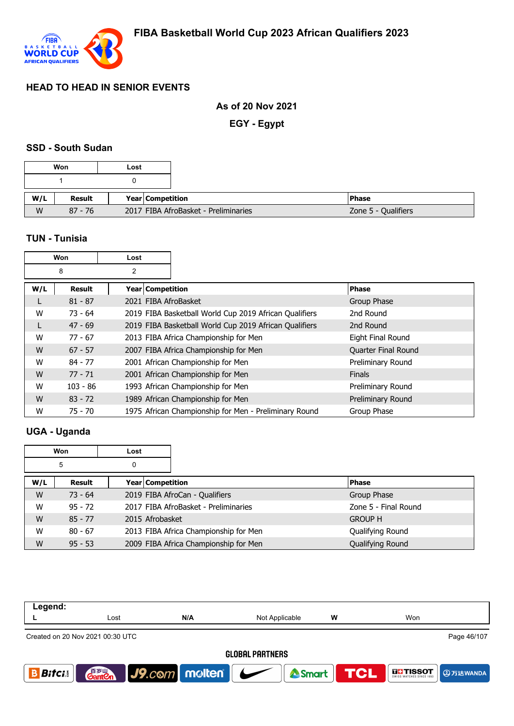

### **As of 20 Nov 2021**

**EGY - Egypt**

### **SSD - South Sudan**

|     | Won       | Lost |                                      |                     |  |
|-----|-----------|------|--------------------------------------|---------------------|--|
|     |           |      |                                      |                     |  |
| W/L | Result    |      | <b>Year Competition</b>              | <b>Phase</b>        |  |
| W   | $87 - 76$ |      | 2017 FIBA AfroBasket - Preliminaries | Zone 5 - Qualifiers |  |

### **TUN - Tunisia**

| Won |            | Lost                 |                                                        |                     |
|-----|------------|----------------------|--------------------------------------------------------|---------------------|
| 8   |            | 2                    |                                                        |                     |
| W/L | Result     | Year   Competition   |                                                        | <b>Phase</b>        |
|     | $81 - 87$  | 2021 FIBA AfroBasket |                                                        | Group Phase         |
| W   | $73 - 64$  |                      | 2019 FIBA Basketball World Cup 2019 African Qualifiers | 2nd Round           |
| L   | $47 - 69$  |                      | 2019 FIBA Basketball World Cup 2019 African Qualifiers | 2nd Round           |
| W   | $77 - 67$  |                      | 2013 FIBA Africa Championship for Men                  | Eight Final Round   |
| W   | $67 - 57$  |                      | 2007 FIBA Africa Championship for Men                  | Quarter Final Round |
| W   | $84 - 77$  |                      | 2001 African Championship for Men                      | Preliminary Round   |
| W   | $77 - 71$  |                      | 2001 African Championship for Men                      | <b>Finals</b>       |
| W   | $103 - 86$ |                      | 1993 African Championship for Men                      | Preliminary Round   |
| W   | $83 - 72$  |                      | 1989 African Championship for Men                      | Preliminary Round   |
| W   | $75 - 70$  |                      | 1975 African Championship for Men - Preliminary Round  | Group Phase         |

# **UGA - Uganda**

|     | Won       | Lost               |                                       |                      |
|-----|-----------|--------------------|---------------------------------------|----------------------|
|     | 5         | 0                  |                                       |                      |
| W/L | Result    | Year   Competition |                                       | <b>Phase</b>         |
| W   | $73 - 64$ |                    | 2019 FIBA AfroCan - Qualifiers        | Group Phase          |
| W   | $95 - 72$ |                    | 2017 FIBA AfroBasket - Preliminaries  | Zone 5 - Final Round |
| W   | $85 - 77$ | 2015 Afrobasket    |                                       | <b>GROUP H</b>       |
| W   | $80 - 67$ |                    | 2013 FIBA Africa Championship for Men | Qualifying Round     |
| W   | $95 - 53$ |                    | 2009 FIBA Africa Championship for Men | Qualifying Round     |

| Legend:                |                                  |                                     |                |                  |                   |  |
|------------------------|----------------------------------|-------------------------------------|----------------|------------------|-------------------|--|
|                        | Lost                             | N/A                                 | Not Applicable | w                | Won               |  |
|                        | Created on 20 Nov 2021 00:30 UTC |                                     |                |                  | Page 46/107       |  |
| <b>GLOBAL PARTNERS</b> |                                  |                                     |                |                  |                   |  |
| <b>Bitci</b>           | 百岁山<br><b>Gant Cn</b>            | $\big $ J9.com   molten   $\bigcup$ |                | Smart <b>TCL</b> | <b>THE TISSOT</b> |  |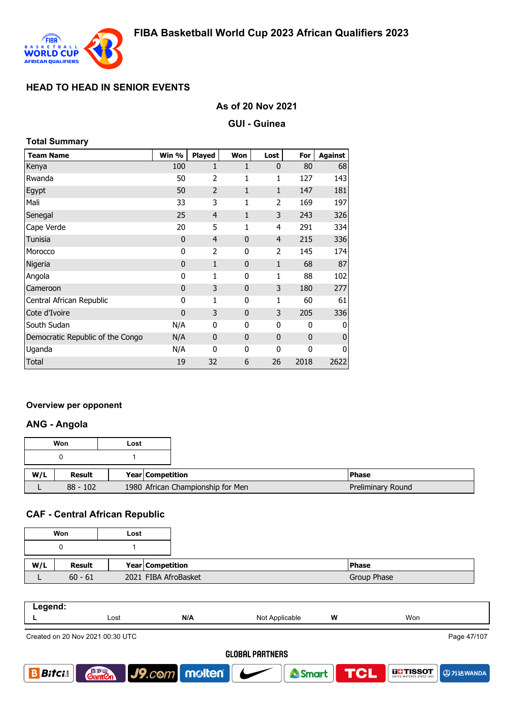

#### **As of 20 Nov 2021**

#### **GUI - Guinea**

| <b>Total Summary</b>             |              |                |              |                |              |         |
|----------------------------------|--------------|----------------|--------------|----------------|--------------|---------|
| <b>Team Name</b>                 | Win %        | <b>Played</b>  | Won          | Lost           | For          | Against |
| Kenya                            | 100          | 1              | 1            | $\mathbf 0$    | 80           | 68      |
| Rwanda                           | 50           | 2              | 1            | 1              | 127          | 143     |
| Egypt                            | 50           | $\overline{2}$ | 1            | $\mathbf{1}$   | 147          | 181     |
| Mali                             | 33           | 3              | 1            | 2              | 169          | 197     |
| Senegal                          | 25           | $\overline{4}$ | 1            | 3              | 243          | 326     |
| Cape Verde                       | 20           | 5              | 1            | 4              | 291          | 334     |
| Tunisia                          | $\mathbf{0}$ | $\overline{4}$ | $\mathbf{0}$ | $\overline{4}$ | 215          | 336     |
| Morocco                          | 0            | 2              | 0            | 2              | 145          | 174     |
| Nigeria                          | $\mathbf 0$  | $\mathbf{1}$   | $\mathbf{0}$ | $\mathbf{1}$   | 68           | 87      |
| Angola                           | 0            | 1              | 0            | 1              | 88           | 102     |
| Cameroon                         | $\mathbf 0$  | 3              | $\mathbf{0}$ | 3              | 180          | 277     |
| Central African Republic         | 0            | 1              | 0            | 1              | 60           | 61      |
| Cote d'Ivoire                    | $\mathbf{0}$ | 3              | $\mathbf{0}$ | 3              | 205          | 336     |
| South Sudan                      | N/A          | 0              | 0            | 0              | 0            | 0       |
| Democratic Republic of the Congo | N/A          | $\mathbf 0$    | $\mathbf{0}$ | $\mathbf 0$    | $\mathbf 0$  | 0       |
| Uganda                           | N/A          | $\mathbf{0}$   | 0            | $\mathbf 0$    | $\mathbf{0}$ | 0       |
| <b>Total</b>                     | 19           | 32             | 6            | 26             | 2018         | 2622    |

#### **Overview per opponent**

### **ANG - Angola**

|     | Won        | Lost |                  |                                   |                   |
|-----|------------|------|------------------|-----------------------------------|-------------------|
|     |            |      |                  |                                   |                   |
| W/L | Result     |      | Year Competition |                                   | <b>Phase</b>      |
|     | $88 - 102$ |      |                  | 1980 African Championship for Men | Preliminary Round |

#### **CAF - Central African Republic**

|     | Won       | Lost                 |
|-----|-----------|----------------------|
|     |           |                      |
| W/L | Result    | Year Competition     |
|     | $60 - 61$ | 2021 FIBA AfroBasket |

| ---<br>$\sim$ |      |     |        |                  |  |
|---------------|------|-----|--------|------------------|--|
|               | ∟ost | N/A | w<br>. | Wor.<br>$\cdots$ |  |
|               |      |     |        |                  |  |

Created on 20 Nov 2021 00:30 UTC

Page 47/107

**4万达WANDA** 

**THE TISSOT** 

#### **GLOBAL PARTNERS**

<sup>2</sup>Smart

**TCL** 



J9.com molten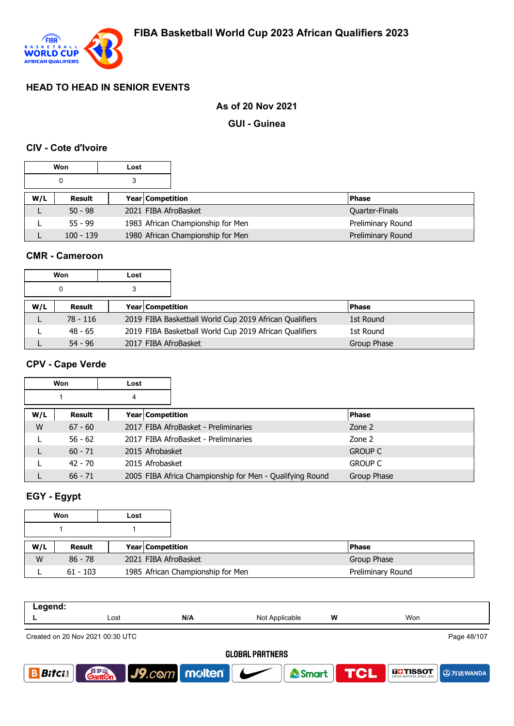

### **As of 20 Nov 2021**

**GUI - Guinea**

### **CIV - Cote d'Ivoire**

|     | Won         | Lost |                                   |                   |
|-----|-------------|------|-----------------------------------|-------------------|
|     |             |      |                                   |                   |
| W/L | Result      |      | Year Competition                  | <b>Phase</b>      |
|     | $50 - 98$   |      | 2021 FIBA AfroBasket              | Quarter-Finals    |
|     | $55 - 99$   |      | 1983 African Championship for Men | Preliminary Round |
|     | $100 - 139$ |      | 1980 African Championship for Men | Preliminary Round |

#### **CMR - Cameroon**

|     | Won       | Lost |                  |                                                        |              |
|-----|-----------|------|------------------|--------------------------------------------------------|--------------|
|     | 0         |      |                  |                                                        |              |
| W/L | Result    |      | Year Competition |                                                        | <b>Phase</b> |
|     | 78 - 116  |      |                  | 2019 FIBA Basketball World Cup 2019 African Qualifiers | 1st Round    |
|     | $48 - 65$ |      |                  | 2019 FIBA Basketball World Cup 2019 African Qualifiers | 1st Round    |
|     | $54 - 96$ |      |                  | 2017 FIBA AfroBasket                                   | Group Phase  |

### **CPV - Cape Verde**

|     | Won       | Lost |                  |                                                          |                |
|-----|-----------|------|------------------|----------------------------------------------------------|----------------|
|     |           | 4    |                  |                                                          |                |
| W/L | Result    |      | Year Competition |                                                          | <b>Phase</b>   |
| W   | $67 - 60$ |      |                  | 2017 FIBA AfroBasket - Preliminaries                     | Zone 2         |
|     | $56 - 62$ |      |                  | 2017 FIBA AfroBasket - Preliminaries                     | Zone 2         |
|     | $60 - 71$ |      | 2015 Afrobasket  |                                                          | <b>GROUP C</b> |
|     | $42 - 70$ |      | 2015 Afrobasket  |                                                          | <b>GROUP C</b> |
|     | $66 - 71$ |      |                  | 2005 FIBA Africa Championship for Men - Qualifying Round | Group Phase    |

# **EGY - Egypt**

|     | Won           | Lost |                         |                                   |                   |
|-----|---------------|------|-------------------------|-----------------------------------|-------------------|
|     |               |      |                         |                                   |                   |
| W/L | <b>Result</b> |      | <b>Year Competition</b> |                                   | <b>Phase</b>      |
| W   | $86 - 78$     |      | 2021 FIBA AfroBasket    |                                   | Group Phase       |
|     | $61 - 103$    |      |                         | 1985 African Championship for Men | Preliminary Round |

| Legend:                                         |                                    |                         |                |   |                             |  |  |  |
|-------------------------------------------------|------------------------------------|-------------------------|----------------|---|-----------------------------|--|--|--|
|                                                 | Lost                               | N/A                     | Not Applicable | w | Won                         |  |  |  |
| Page 48/107<br>Created on 20 Nov 2021 00:30 UTC |                                    |                         |                |   |                             |  |  |  |
| <b>GLOBAL PARTNERS</b>                          |                                    |                         |                |   |                             |  |  |  |
| <b>Bitci</b>                                    | 音 <sub>罗山</sub><br>Gant <b>C</b> n | $ $ J9. $c$ om   molten | <b>A</b> Smart |   | <b>TCL</b><br><b>THESOT</b> |  |  |  |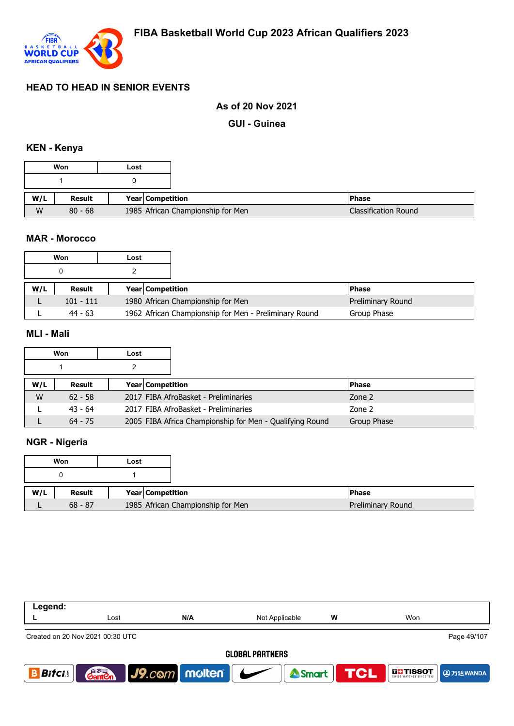

### **As of 20 Nov 2021**

**GUI - Guinea**

# **KEN - Kenya**

|     | Won       | Lost |                                   |  |
|-----|-----------|------|-----------------------------------|--|
|     |           |      |                                   |  |
|     |           |      |                                   |  |
| W/L | Result    |      | Year Competition                  |  |
| W   | $80 - 68$ |      | 1985 African Championship for Men |  |

#### **MAR - Morocco**

|     | Won         | Lost |                         |                                                       |                   |
|-----|-------------|------|-------------------------|-------------------------------------------------------|-------------------|
|     |             |      |                         |                                                       |                   |
| W/L | Result      |      | <b>Year Competition</b> |                                                       | l Phase           |
|     | $101 - 111$ |      |                         | 1980 African Championship for Men                     | Preliminary Round |
|     | $44 - 63$   |      |                         | 1962 African Championship for Men - Preliminary Round | Group Phase       |

#### **MLI - Mali**

|     | Won       | Lost |                                                          |              |
|-----|-----------|------|----------------------------------------------------------|--------------|
|     |           |      |                                                          |              |
| W/L | Result    |      | <b>Year Competition</b>                                  | <b>Phase</b> |
| W   | $62 - 58$ |      | 2017 FIBA AfroBasket - Preliminaries                     | Zone 2       |
|     | $43 - 64$ |      | 2017 FIBA AfroBasket - Preliminaries                     | Zone 2       |
|     | $64 - 75$ |      | 2005 FIBA Africa Championship for Men - Qualifying Round | Group Phase  |

# **NGR - Nigeria**

|     | Won       | Lost |                                   |  |
|-----|-----------|------|-----------------------------------|--|
|     |           |      |                                   |  |
| W/L | Result    |      | Year Competition                  |  |
|     | $68 - 87$ |      | 1985 African Championship for Men |  |

| Legend:                |                                                 |                 |                |   |                                 |  |  |  |
|------------------------|-------------------------------------------------|-----------------|----------------|---|---------------------------------|--|--|--|
|                        | Lost                                            | N/A             | Not Applicable | w | Won                             |  |  |  |
|                        | Page 49/107<br>Created on 20 Nov 2021 00:30 UTC |                 |                |   |                                 |  |  |  |
| <b>GLOBAL PARTNERS</b> |                                                 |                 |                |   |                                 |  |  |  |
| <b>Bitci</b>           | 音 <sub>岁Ⅲ</sub><br>Gant©n                       | J9.com molten G | <b>A</b> Smart |   | <b>TCL</b><br><b>THE TISSOT</b> |  |  |  |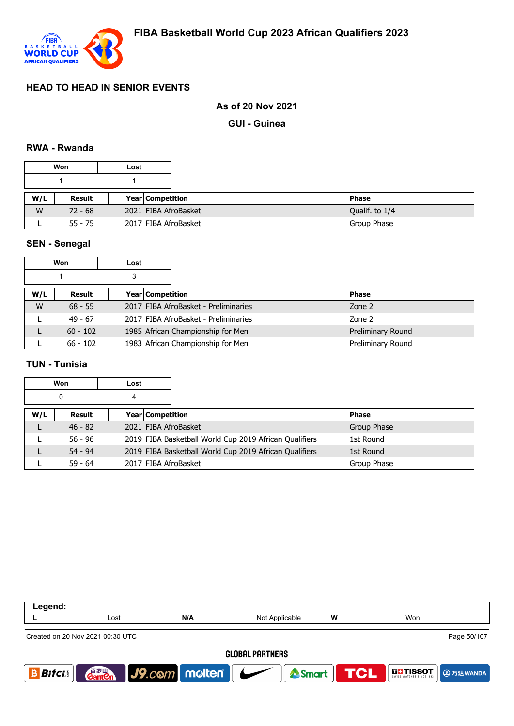

#### **As of 20 Nov 2021**

**GUI - Guinea**

#### **RWA - Rwanda**

|     | Won       | Lost |                         |                |
|-----|-----------|------|-------------------------|----------------|
|     |           |      |                         |                |
| W/L | Result    |      | <b>Year Competition</b> | <b>Phase</b>   |
| W   | $72 - 68$ |      | 2021 FIBA AfroBasket    | Qualif. to 1/4 |
|     | 55 - 75   |      | 2017 FIBA AfroBasket    | Group Phase    |

#### **SEN - Senegal**

|     | Won        | Lost |                  |                                      |                   |
|-----|------------|------|------------------|--------------------------------------|-------------------|
|     |            | 3    |                  |                                      |                   |
| W/L | Result     |      | Year Competition |                                      | <b>Phase</b>      |
| W   | $68 - 55$  |      |                  | 2017 FIBA AfroBasket - Preliminaries | Zone 2            |
|     | $49 - 67$  |      |                  | 2017 FIBA AfroBasket - Preliminaries | Zone 2            |
|     | $60 - 102$ |      |                  | 1985 African Championship for Men    | Preliminary Round |
|     | $66 - 102$ |      |                  | 1983 African Championship for Men    | Preliminary Round |

#### **TUN - Tunisia**

|     | Won       | Lost                    |                                                        |              |
|-----|-----------|-------------------------|--------------------------------------------------------|--------------|
|     | 0         | 4                       |                                                        |              |
| W/L | Result    | <b>Year Competition</b> |                                                        | <b>Phase</b> |
|     | $46 - 82$ | 2021 FIBA AfroBasket    |                                                        | Group Phase  |
|     | $56 - 96$ |                         | 2019 FIBA Basketball World Cup 2019 African Qualifiers | 1st Round    |
|     | $54 - 94$ |                         | 2019 FIBA Basketball World Cup 2019 African Qualifiers | 1st Round    |
|     | $59 - 64$ | 2017 FIBA AfroBasket    |                                                        | Group Phase  |

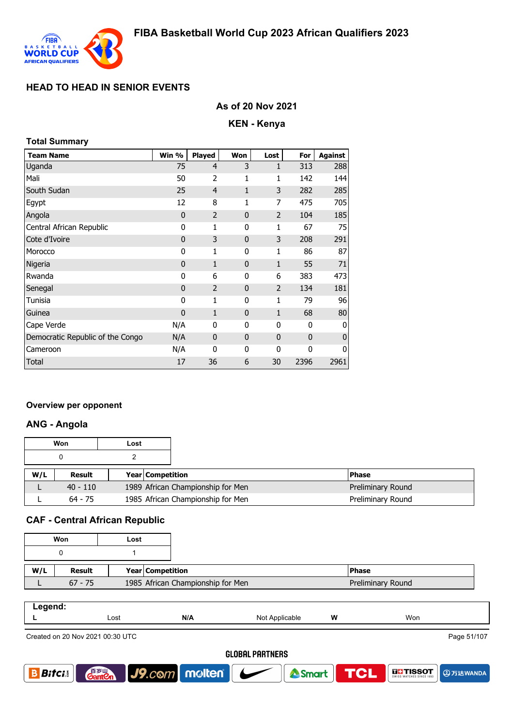

#### **As of 20 Nov 2021**

#### **KEN - Kenya**

| <b>Total Summary</b>             |              |                |              |                |              |                |
|----------------------------------|--------------|----------------|--------------|----------------|--------------|----------------|
| <b>Team Name</b>                 | Win %        | <b>Played</b>  | Won          | Lost           | For          | <b>Against</b> |
| Uganda                           | 75           | 4              | 3            | 1              | 313          | 288            |
| Mali                             | 50           | $\overline{2}$ | 1            | 1              | 142          | 144            |
| South Sudan                      | 25           | $\overline{4}$ | $\mathbf{1}$ | 3              | 282          | 285            |
| Egypt                            | 12           | 8              | 1            | 7              | 475          | 705            |
| Angola                           | $\mathbf 0$  | $\overline{2}$ | $\mathbf{0}$ | $\overline{2}$ | 104          | 185            |
| Central African Republic         | 0            | 1              | 0            | 1              | 67           | 75             |
| Cote d'Ivoire                    | $\mathbf 0$  | 3              | $\mathbf{0}$ | 3              | 208          | 291            |
| Morocco                          | 0            | 1              | 0            | 1              | 86           | 87             |
| Nigeria                          | $\mathbf 0$  | 1              | 0            | 1              | 55           | 71             |
| Rwanda                           | 0            | 6              | 0            | 6              | 383          | 473            |
| Senegal                          | $\mathbf{0}$ | $\overline{2}$ | $\mathbf{0}$ | $\overline{2}$ | 134          | 181            |
| Tunisia                          | 0            | 1              | 0            | $\mathbf{1}$   | 79           | 96             |
| Guinea                           | $\mathbf{0}$ | $\mathbf{1}$   | $\mathbf{0}$ | 1              | 68           | 80             |
| Cape Verde                       | N/A          | 0              | 0            | $\Omega$       | 0            | 0              |
| Democratic Republic of the Congo | N/A          | $\mathbf{0}$   | $\mathbf{0}$ | $\mathbf{0}$   | $\mathbf{0}$ | $\mathbf 0$    |
| Cameroon                         | N/A          | 0              | 0            | $\Omega$       | 0            | 0              |
| Total                            | 17           | 36             | 6            | 30             | 2396         | 2961           |

#### **Overview per opponent**

#### **ANG - Angola**

|     | Won        | Lost |                         |                                   |                   |
|-----|------------|------|-------------------------|-----------------------------------|-------------------|
|     |            |      |                         |                                   |                   |
| W/L | Result     |      | <b>Year Competition</b> |                                   | <b>Phase</b>      |
|     | $40 - 110$ |      |                         | 1989 African Championship for Men | Preliminary Round |
|     | $64 - 75$  |      |                         | 1985 African Championship for Men | Preliminary Round |

### **CAF - Central African Republic**

| Won<br>Lost |           |  |                                   |                   |
|-------------|-----------|--|-----------------------------------|-------------------|
|             |           |  |                                   |                   |
| W/L         | Result    |  | Year Competition                  | <b>IPhase</b>     |
|             | $67 - 75$ |  | 1985 African Championship for Men | Preliminary Round |

| $-0.000$<br>-- -<br>____ |      |     |                           |   |     |
|--------------------------|------|-----|---------------------------|---|-----|
|                          | Lost | N/A | N <sub>IO</sub><br>1.1011 | W | Won |
|                          |      |     |                           |   |     |

Created on 20 Nov 2021 00:30 UTC

Page 51/107

#### **GLOBAL PARTNERS**



J9.com molten

<sup>2</sup>Smart

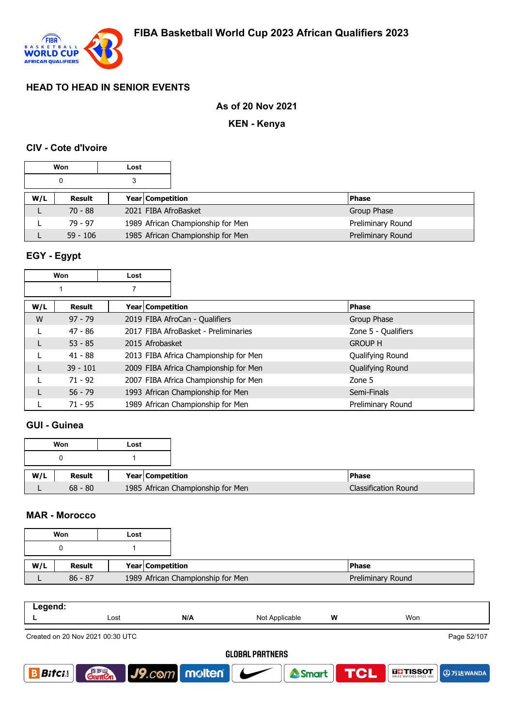

### **As of 20 Nov 2021**

**KEN - Kenya**

#### **CIV - Cote d'Ivoire**

|     | Won        | Lost |                                   |  |                   |
|-----|------------|------|-----------------------------------|--|-------------------|
|     | 0          |      |                                   |  |                   |
| W/L | Result     |      | Year Competition                  |  | <b>Phase</b>      |
|     | $70 - 88$  |      | 2021 FIBA AfroBasket              |  | Group Phase       |
|     | $79 - 97$  |      | 1989 African Championship for Men |  | Preliminary Round |
|     | $59 - 106$ |      | 1985 African Championship for Men |  | Preliminary Round |

# **EGY - Egypt**

|     | Won        | Lost               |                                       |                     |
|-----|------------|--------------------|---------------------------------------|---------------------|
|     |            |                    |                                       |                     |
| W/L | Result     | Year   Competition |                                       | <b>Phase</b>        |
| W   | $97 - 79$  |                    | 2019 FIBA AfroCan - Qualifiers        | Group Phase         |
|     | $47 - 86$  |                    | 2017 FIBA AfroBasket - Preliminaries  | Zone 5 - Qualifiers |
| L   | $53 - 85$  | 2015 Afrobasket    |                                       | <b>GROUP H</b>      |
| L   | $41 - 88$  |                    | 2013 FIBA Africa Championship for Men | Qualifying Round    |
| L   | $39 - 101$ |                    | 2009 FIBA Africa Championship for Men | Qualifying Round    |
|     | $71 - 92$  |                    | 2007 FIBA Africa Championship for Men | Zone 5              |
|     | $56 - 79$  |                    | 1993 African Championship for Men     | Semi-Finals         |
|     | $71 - 95$  |                    | 1989 African Championship for Men     | Preliminary Round   |

### **GUI - Guinea**

|     | Won       | Lost |                  |                                                                  |
|-----|-----------|------|------------------|------------------------------------------------------------------|
|     |           |      |                  |                                                                  |
| W/L | Result    |      | Year Competition | <b>Phase</b>                                                     |
|     | $68 - 80$ |      |                  | 1985 African Championship for Men<br><b>Classification Round</b> |

#### **MAR - Morocco**

| Legend: |      |     |                                |   |     |  |
|---------|------|-----|--------------------------------|---|-----|--|
| -       | Lost | N/A | NM+<br>Annlicable<br>1 Y V L . | W | Won |  |
|         |      |     |                                |   |     |  |

Created on 20 Nov 2021 00:30 UTC

Page 52/107

**A**万达WANDA

**THE TISSOT** 

#### **GLOBAL PARTNERS**

<sup>2</sup>Smart

**TCL** 



J9.com molten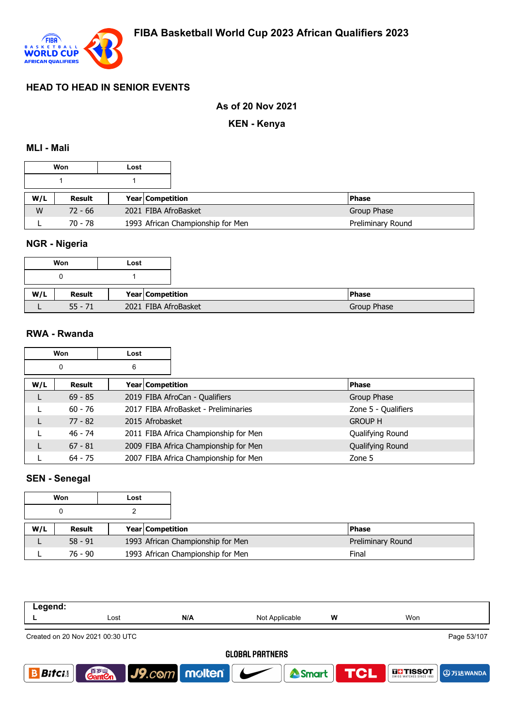

### **As of 20 Nov 2021**

**KEN - Kenya**

### **MLI - Mali**

|     | Won       | Lost |                      |                                   |                   |
|-----|-----------|------|----------------------|-----------------------------------|-------------------|
|     |           |      |                      |                                   |                   |
| W/L | Result    |      | Year   Competition   |                                   | <b>IPhase</b>     |
| W   | $72 - 66$ |      | 2021 FIBA AfroBasket |                                   | Group Phase       |
|     | 70 - 78   |      |                      | 1993 African Championship for Men | Preliminary Round |

# **NGR - Nigeria**

| Won |           | Lost |                      |
|-----|-----------|------|----------------------|
|     |           |      |                      |
| W/L | Result    |      | Year Competition     |
|     | $55 - 71$ |      | 2021 FIBA AfroBasket |

#### **RWA - Rwanda**

|     | Won       | Lost |                  |                                       |                     |
|-----|-----------|------|------------------|---------------------------------------|---------------------|
|     | 6<br>0    |      |                  |                                       |                     |
| W/L | Result    |      | Year Competition |                                       | <b>Phase</b>        |
|     | $69 - 85$ |      |                  | 2019 FIBA AfroCan - Qualifiers        | Group Phase         |
|     | $60 - 76$ |      |                  | 2017 FIBA AfroBasket - Preliminaries  | Zone 5 - Qualifiers |
|     | $77 - 82$ |      | 2015 Afrobasket  |                                       | <b>GROUP H</b>      |
|     | $46 - 74$ |      |                  | 2011 FIBA Africa Championship for Men | Qualifying Round    |
|     | $67 - 81$ |      |                  | 2009 FIBA Africa Championship for Men | Qualifying Round    |
|     | $64 - 75$ |      |                  | 2007 FIBA Africa Championship for Men | Zone 5              |

# **SEN - Senegal**

|     | Won       | Lost |                         |                                   |                   |
|-----|-----------|------|-------------------------|-----------------------------------|-------------------|
|     |           |      |                         |                                   |                   |
| W/L | Result    |      | <b>Year Competition</b> |                                   | <b>Phase</b>      |
|     | $58 - 91$ |      |                         | 1993 African Championship for Men | Preliminary Round |
|     | $76 - 90$ |      |                         | 1993 African Championship for Men | Final             |

| Legend:      |                                    |                                   |                        |            |                               |
|--------------|------------------------------------|-----------------------------------|------------------------|------------|-------------------------------|
|              | Lost                               | N/A                               | Not Applicable         | W          | Won                           |
|              | Created on 20 Nov 2021 00:30 UTC   |                                   |                        |            | Page 53/107                   |
|              |                                    |                                   | <b>GLOBAL PARTNERS</b> |            |                               |
| <b>Bitci</b> | 音 <sub>岁Ⅲ</sub><br>Gant <b>C</b> n | $\vert$ J9.com   molten   $\vert$ | Smart                  | <b>TCL</b> | <b>THE TISSOT</b><br>9万达WANDA |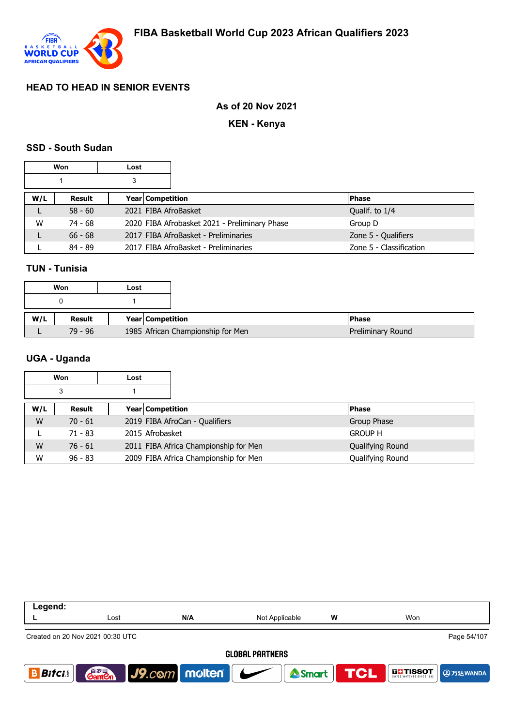

#### **As of 20 Nov 2021**

#### **KEN - Kenya**

#### **SSD - South Sudan**

| Won<br>Lost |           |  |                  |                                               |  |                         |
|-------------|-----------|--|------------------|-----------------------------------------------|--|-------------------------|
| 3           |           |  |                  |                                               |  |                         |
| W/L         | Result    |  | Year Competition |                                               |  | <b>Phase</b>            |
|             | $58 - 60$ |  |                  | 2021 FIBA AfroBasket                          |  | Qualif. to 1/4          |
| W           | 74 - 68   |  |                  | 2020 FIBA Afrobasket 2021 - Preliminary Phase |  | Group D                 |
|             | $66 - 68$ |  |                  | 2017 FIBA AfroBasket - Preliminaries          |  | Zone 5 - Qualifiers     |
|             | $84 - 89$ |  |                  | 2017 FIBA AfroBasket - Preliminaries          |  | Zone 5 - Classification |

### **TUN - Tunisia**

|     | Won       | Lost |                                   |                   |
|-----|-----------|------|-----------------------------------|-------------------|
|     |           |      |                                   |                   |
| W/L | Result    |      | Year Competition                  | <b>Phase</b>      |
|     | $79 - 96$ |      | 1985 African Championship for Men | Preliminary Round |

### **UGA - Uganda**

| Won<br>Lost |           |                                       |                                       |                  |
|-------------|-----------|---------------------------------------|---------------------------------------|------------------|
|             | 3         |                                       |                                       |                  |
| W/L         | Result    | <b>Year Competition</b>               |                                       | <b>Phase</b>     |
| W           | $70 - 61$ |                                       | 2019 FIBA AfroCan - Qualifiers        | Group Phase      |
|             | $71 - 83$ | 2015 Afrobasket                       |                                       | <b>GROUP H</b>   |
| W           | $76 - 61$ | 2011 FIBA Africa Championship for Men |                                       | Qualifying Round |
| W           | $96 - 83$ |                                       | 2009 FIBA Africa Championship for Men | Qualifying Round |

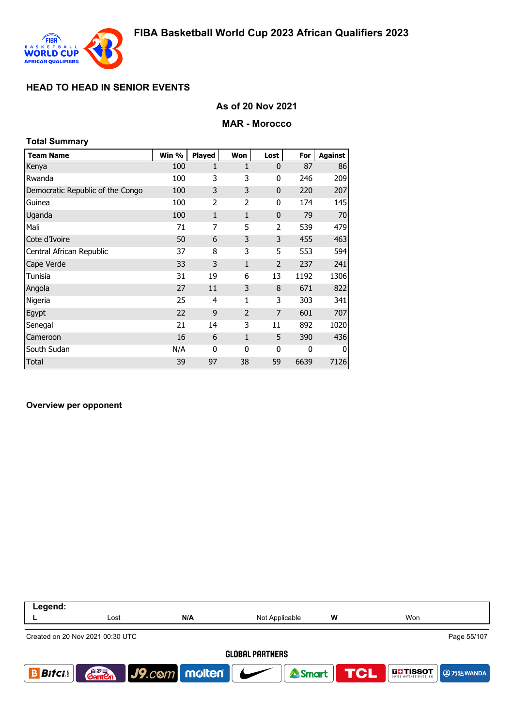

#### **As of 20 Nov 2021**

#### **MAR - Morocco**

| <b>Total Summary</b>             |       |               |                |                |      |                |
|----------------------------------|-------|---------------|----------------|----------------|------|----------------|
| <b>Team Name</b>                 | Win % | <b>Played</b> | Won            | Lost           | For  | <b>Against</b> |
| Kenya                            | 100   | 1             | 1              | $\mathbf{0}$   | 87   | 86             |
| Rwanda                           | 100   | 3             | 3              | 0              | 246  | 209            |
| Democratic Republic of the Congo | 100   | 3             | 3              | $\mathbf 0$    | 220  | 207            |
| Guinea                           | 100   | 2             | 2              | 0              | 174  | 145            |
| Uganda                           | 100   | $\mathbf{1}$  | $\mathbf{1}$   | $\mathbf 0$    | 79   | 70             |
| Mali                             | 71    | 7             | 5              | 2              | 539  | 479            |
| Cote d'Ivoire                    | 50    | 6             | 3              | 3              | 455  | 463            |
| Central African Republic         | 37    | 8             | 3              | 5              | 553  | 594            |
| Cape Verde                       | 33    | 3             | $\mathbf{1}$   | 2              | 237  | 241            |
| Tunisia                          | 31    | 19            | 6              | 13             | 1192 | 1306           |
| Angola                           | 27    | 11            | 3              | 8              | 671  | 822            |
| Nigeria                          | 25    | 4             | 1              | 3              | 303  | 341            |
| Egypt                            | 22    | 9             | $\overline{2}$ | $\overline{7}$ | 601  | 707            |
| Senegal                          | 21    | 14            | 3              | 11             | 892  | 1020           |
| Cameroon                         | 16    | 6             | $\mathbf{1}$   | 5              | 390  | 436            |
| South Sudan                      | N/A   | $\mathbf{0}$  | 0              | $\mathbf 0$    | 0    | 0              |
| <b>Total</b>                     | 39    | 97            | 38             | 59             | 6639 | 7126           |

#### **Overview per opponent**

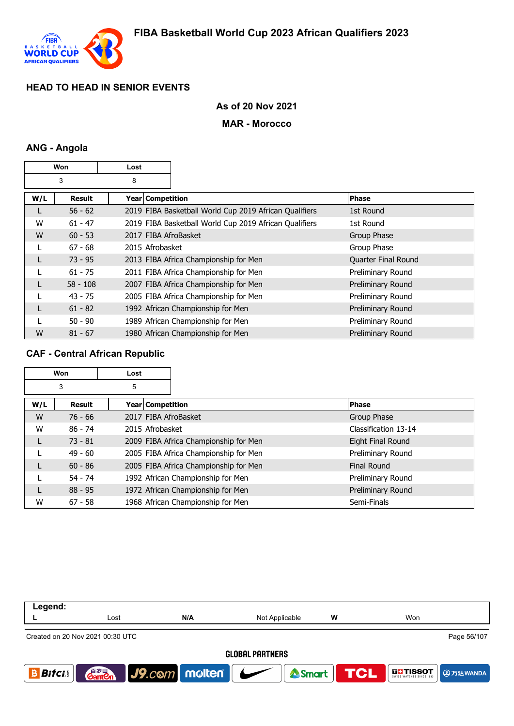

### **As of 20 Nov 2021**

### **MAR - Morocco**

#### **ANG - Angola**

|     | Won        | Lost |                    |                                                        |                     |
|-----|------------|------|--------------------|--------------------------------------------------------|---------------------|
|     | 3          | 8    |                    |                                                        |                     |
| W/L | Result     |      | Year   Competition |                                                        | <b>Phase</b>        |
| L   | $56 - 62$  |      |                    | 2019 FIBA Basketball World Cup 2019 African Qualifiers | 1st Round           |
| W   | $61 - 47$  |      |                    | 2019 FIBA Basketball World Cup 2019 African Qualifiers | 1st Round           |
| W   | $60 - 53$  |      |                    | 2017 FIBA AfroBasket                                   | Group Phase         |
| L   | $67 - 68$  |      | 2015 Afrobasket    |                                                        | Group Phase         |
| L   | $73 - 95$  |      |                    | 2013 FIBA Africa Championship for Men                  | Quarter Final Round |
|     | $61 - 75$  |      |                    | 2011 FIBA Africa Championship for Men                  | Preliminary Round   |
| L   | $58 - 108$ |      |                    | 2007 FIBA Africa Championship for Men                  | Preliminary Round   |
|     | $43 - 75$  |      |                    | 2005 FIBA Africa Championship for Men                  | Preliminary Round   |
| L   | $61 - 82$  |      |                    | 1992 African Championship for Men                      | Preliminary Round   |
|     | $50 - 90$  |      |                    | 1989 African Championship for Men                      | Preliminary Round   |
| W   | $81 - 67$  |      |                    | 1980 African Championship for Men                      | Preliminary Round   |

### **CAF - Central African Republic**

|     | Won       | Lost                 |                                       |                      |
|-----|-----------|----------------------|---------------------------------------|----------------------|
|     | 3         | 5                    |                                       |                      |
| W/L | Result    | Year Competition     |                                       | <b>Phase</b>         |
| W   | $76 - 66$ | 2017 FIBA AfroBasket |                                       | Group Phase          |
| W   | $86 - 74$ | 2015 Afrobasket      |                                       | Classification 13-14 |
| L   | $73 - 81$ |                      | 2009 FIBA Africa Championship for Men | Eight Final Round    |
|     | $49 - 60$ |                      | 2005 FIBA Africa Championship for Men | Preliminary Round    |
| L   | $60 - 86$ |                      | 2005 FIBA Africa Championship for Men | Final Round          |
|     | $54 - 74$ |                      | 1992 African Championship for Men     | Preliminary Round    |
| L   | $88 - 95$ |                      | 1972 African Championship for Men     | Preliminary Round    |
| W   | $67 - 58$ |                      | 1968 African Championship for Men     | Semi-Finals          |

| Legend:      |                                    |                                         |                        |            |                                  |
|--------------|------------------------------------|-----------------------------------------|------------------------|------------|----------------------------------|
|              | Lost                               | N/A                                     | Not Applicable         | w          | Won                              |
|              | Created on 20 Nov 2021 00:30 UTC   |                                         |                        |            | Page 56/107                      |
|              |                                    |                                         | <b>GLOBAL PARTNERS</b> |            |                                  |
| <b>Bitci</b> | 音 <sub>岁Ⅲ</sub><br>Gant <b>C</b> n | $\big $ J9.com molten $\big $ $\bigcup$ | Smart                  | <b>TCL</b> | <b>THESOT</b><br><b>4万达WANDA</b> |
|              |                                    |                                         |                        |            |                                  |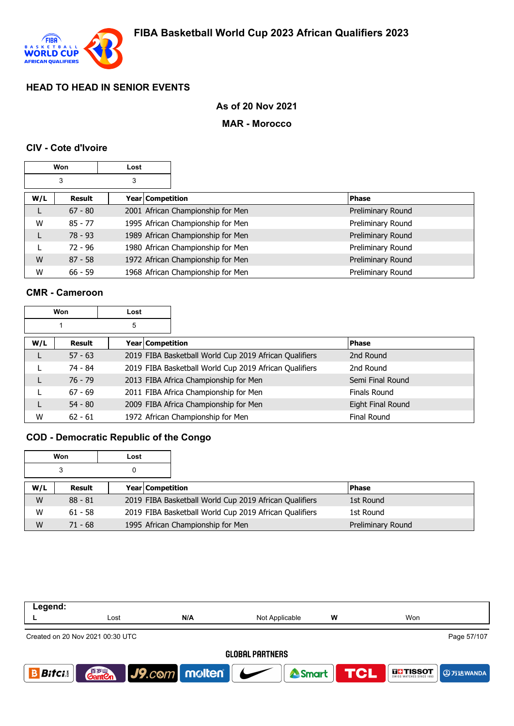

### **As of 20 Nov 2021**

#### **MAR - Morocco**

### **CIV - Cote d'Ivoire**

|     | Won       | Lost |                    |                                   |                   |
|-----|-----------|------|--------------------|-----------------------------------|-------------------|
|     | 3         | 3    |                    |                                   |                   |
| W/L | Result    |      | Year   Competition |                                   | <b>Phase</b>      |
|     | $67 - 80$ |      |                    | 2001 African Championship for Men | Preliminary Round |
| W   | $85 - 77$ |      |                    | 1995 African Championship for Men | Preliminary Round |
|     | $78 - 93$ |      |                    | 1989 African Championship for Men | Preliminary Round |
|     | $72 - 96$ |      |                    | 1980 African Championship for Men | Preliminary Round |
| W   | $87 - 58$ |      |                    | 1972 African Championship for Men | Preliminary Round |
| W   | $66 - 59$ |      |                    | 1968 African Championship for Men | Preliminary Round |

### **CMR - Cameroon**

|     | Won           | Lost |                                                        |                    |
|-----|---------------|------|--------------------------------------------------------|--------------------|
|     |               | 5    |                                                        |                    |
| W/L | <b>Result</b> |      | Year Competition                                       | <b>Phase</b>       |
|     | $57 - 63$     |      | 2019 FIBA Basketball World Cup 2019 African Qualifiers | 2nd Round          |
|     | 74 - 84       |      | 2019 FIBA Basketball World Cup 2019 African Qualifiers | 2nd Round          |
|     | $76 - 79$     |      | 2013 FIBA Africa Championship for Men                  | Semi Final Round   |
|     | $67 - 69$     |      | 2011 FIBA Africa Championship for Men                  | Finals Round       |
|     | $54 - 80$     |      | 2009 FIBA Africa Championship for Men                  | Eight Final Round  |
| W   | $62 - 61$     |      | 1972 African Championship for Men                      | <b>Final Round</b> |

# **COD - Democratic Republic of the Congo**

|        | Won       | Lost |                                                        |                                                        |                   |
|--------|-----------|------|--------------------------------------------------------|--------------------------------------------------------|-------------------|
| 3<br>0 |           |      |                                                        |                                                        |                   |
| W/L    | Result    |      | Year Competition                                       |                                                        | <b>Phase</b>      |
| W      | $88 - 81$ |      |                                                        | 2019 FIBA Basketball World Cup 2019 African Qualifiers | 1st Round         |
| W      | $61 - 58$ |      | 2019 FIBA Basketball World Cup 2019 African Qualifiers |                                                        | 1st Round         |
| W      | $71 - 68$ |      |                                                        | 1995 African Championship for Men                      | Preliminary Round |

| Legend:      |                                    |                                 |                        |            |                                  |
|--------------|------------------------------------|---------------------------------|------------------------|------------|----------------------------------|
|              | Lost                               | N/A                             | Not Applicable         | w          | Won                              |
|              | Created on 20 Nov 2021 00:30 UTC   |                                 |                        |            | Page 57/107                      |
|              |                                    |                                 | <b>GLOBAL PARTNERS</b> |            |                                  |
| <b>Bifci</b> | 音 <sub>岁Ⅲ</sub><br>Gant <b>C</b> n | $ $ J9. $com$ molten $ $ $\sim$ | Smart                  | <b>TCL</b> | <b>THESOT</b><br><b>4万达WANDA</b> |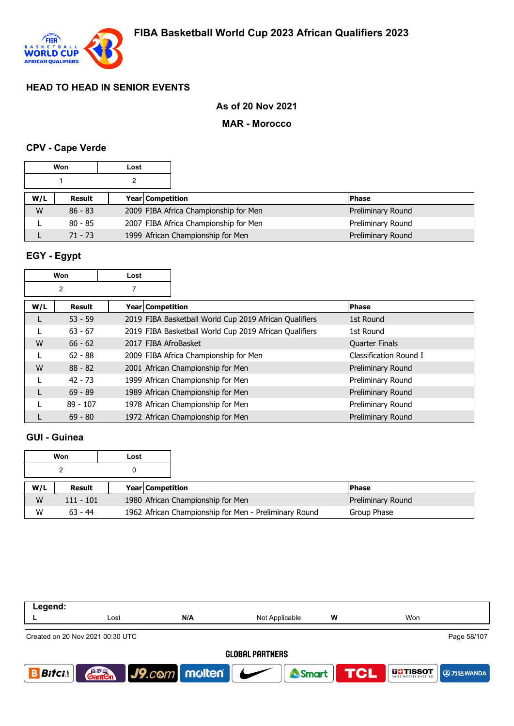

### **As of 20 Nov 2021**

#### **MAR - Morocco**

### **CPV - Cape Verde**

| Won |           | Lost |                                       |                   |
|-----|-----------|------|---------------------------------------|-------------------|
|     |           |      |                                       |                   |
| W/L | Result    |      | Year Competition                      | <b>Phase</b>      |
| W   | $86 - 83$ |      | 2009 FIBA Africa Championship for Men | Preliminary Round |
|     | $80 - 85$ |      | 2007 FIBA Africa Championship for Men | Preliminary Round |
|     | $71 - 73$ |      | 1999 African Championship for Men     | Preliminary Round |

# **EGY - Egypt**

| Won |            | Lost                    |                                                        |                        |
|-----|------------|-------------------------|--------------------------------------------------------|------------------------|
|     | 2          | 7                       |                                                        |                        |
| W/L | Result     | <b>Year Competition</b> |                                                        | <b>Phase</b>           |
| L   | $53 - 59$  |                         | 2019 FIBA Basketball World Cup 2019 African Qualifiers | 1st Round              |
|     | $63 - 67$  |                         | 2019 FIBA Basketball World Cup 2019 African Qualifiers | 1st Round              |
| W   | $66 - 62$  | 2017 FIBA AfroBasket    |                                                        | <b>Quarter Finals</b>  |
| L   | $62 - 88$  |                         | 2009 FIBA Africa Championship for Men                  | Classification Round I |
| W   | $88 - 82$  |                         | 2001 African Championship for Men                      | Preliminary Round      |
|     | $42 - 73$  |                         | 1999 African Championship for Men                      | Preliminary Round      |
| L   | $69 - 89$  |                         | 1989 African Championship for Men                      | Preliminary Round      |
|     | $89 - 107$ |                         | 1978 African Championship for Men                      | Preliminary Round      |
|     | $69 - 80$  |                         | 1972 African Championship for Men                      | Preliminary Round      |

### **GUI - Guinea**

|     | Won         | Lost |                  |                                                       |                   |
|-----|-------------|------|------------------|-------------------------------------------------------|-------------------|
|     |             |      |                  |                                                       |                   |
| W/L | Result      |      | Year Competition |                                                       | <b>Phase</b>      |
| W   | $111 - 101$ |      |                  | 1980 African Championship for Men                     | Preliminary Round |
| W   | $63 - 44$   |      |                  | 1962 African Championship for Men - Preliminary Round | Group Phase       |

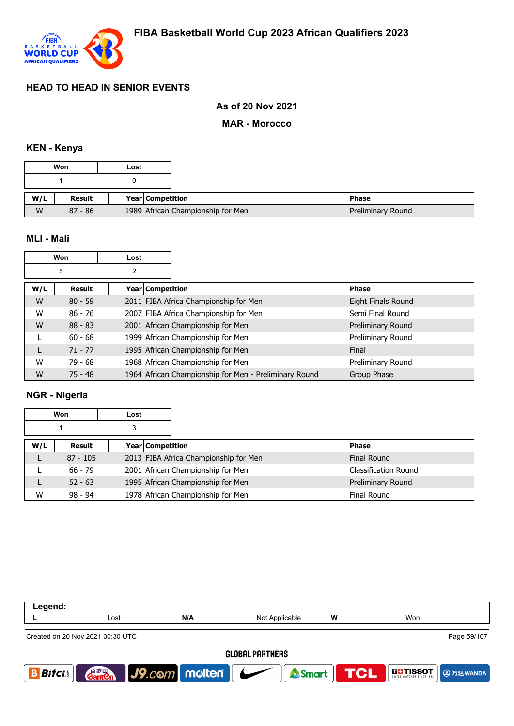

### **As of 20 Nov 2021**

**MAR - Morocco**

# **KEN - Kenya**

|     | Won       | Lost |                                   |
|-----|-----------|------|-----------------------------------|
|     |           |      |                                   |
| W/L | Result    |      | Year   Competition                |
| W   | $87 - 86$ |      | 1989 African Championship for Men |

#### **MLI - Mali**

| Won |           | Lost             |                                                       |                    |
|-----|-----------|------------------|-------------------------------------------------------|--------------------|
|     | 5         | 2                |                                                       |                    |
| W/L | Result    | Year Competition |                                                       | <b>Phase</b>       |
| W   | $80 - 59$ |                  | 2011 FIBA Africa Championship for Men                 | Eight Finals Round |
| W   | $86 - 76$ |                  | 2007 FIBA Africa Championship for Men                 | Semi Final Round   |
| W   | $88 - 83$ |                  | 2001 African Championship for Men                     | Preliminary Round  |
|     | $60 - 68$ |                  | 1999 African Championship for Men                     | Preliminary Round  |
|     | $71 - 77$ |                  | 1995 African Championship for Men                     | Final              |
| W   | $79 - 68$ |                  | 1968 African Championship for Men                     | Preliminary Round  |
| W   | $75 - 48$ |                  | 1964 African Championship for Men - Preliminary Round | Group Phase        |

# **NGR - Nigeria**

| Won |            | Lost |                  |                                       |                             |
|-----|------------|------|------------------|---------------------------------------|-----------------------------|
| 3   |            |      |                  |                                       |                             |
| W/L | Result     |      | Year Competition |                                       | <b>Phase</b>                |
|     | $87 - 105$ |      |                  | 2013 FIBA Africa Championship for Men | <b>Final Round</b>          |
|     | $66 - 79$  |      |                  | 2001 African Championship for Men     | <b>Classification Round</b> |
|     | $52 - 63$  |      |                  | 1995 African Championship for Men     | Preliminary Round           |
| W   | $98 - 94$  |      |                  | 1978 African Championship for Men     | <b>Final Round</b>          |

|                        | Legend:                                         |                             |     |                |                |     |                   |  |
|------------------------|-------------------------------------------------|-----------------------------|-----|----------------|----------------|-----|-------------------|--|
|                        |                                                 | Lost                        | N/A | Not Applicable |                | w   | Won               |  |
|                        | Page 59/107<br>Created on 20 Nov 2021 00:30 UTC |                             |     |                |                |     |                   |  |
| <b>GLOBAL PARTNERS</b> |                                                 |                             |     |                |                |     |                   |  |
|                        | <b>Bitci</b> s                                  | <b>Ganten</b> J9.com molten |     |                | <b>A</b> Smart | TCL | <b>THE TISSOT</b> |  |
|                        |                                                 |                             |     |                |                |     |                   |  |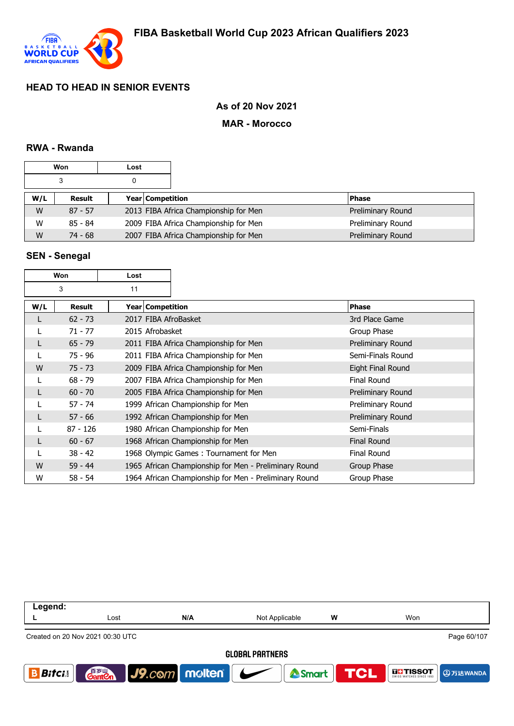

#### **As of 20 Nov 2021**

**MAR - Morocco**

### **RWA - Rwanda**

| Won |           | Lost |                                       |                   |
|-----|-----------|------|---------------------------------------|-------------------|
|     | 3         | 0    |                                       |                   |
| W/L | Result    |      | <b>Year Competition</b>               | <b>Phase</b>      |
| W   | $87 - 57$ |      | 2013 FIBA Africa Championship for Men | Preliminary Round |
| W   | $85 - 84$ |      | 2009 FIBA Africa Championship for Men | Preliminary Round |
| W   | $74 - 68$ |      | 2007 FIBA Africa Championship for Men | Preliminary Round |

### **SEN - Senegal**

| Won |            | Lost             |  |                                                       |                    |
|-----|------------|------------------|--|-------------------------------------------------------|--------------------|
|     | 3          | 11               |  |                                                       |                    |
| W/L | Result     | Year Competition |  |                                                       | <b>Phase</b>       |
|     | $62 - 73$  |                  |  | 2017 FIBA AfroBasket                                  | 3rd Place Game     |
|     | $71 - 77$  | 2015 Afrobasket  |  |                                                       | Group Phase        |
|     | $65 - 79$  |                  |  | 2011 FIBA Africa Championship for Men                 | Preliminary Round  |
|     | $75 - 96$  |                  |  | 2011 FIBA Africa Championship for Men                 | Semi-Finals Round  |
| W   | $75 - 73$  |                  |  | 2009 FIBA Africa Championship for Men                 | Eight Final Round  |
| L   | $68 - 79$  |                  |  | 2007 FIBA Africa Championship for Men                 | <b>Final Round</b> |
| L   | $60 - 70$  |                  |  | 2005 FIBA Africa Championship for Men                 | Preliminary Round  |
|     | $57 - 74$  |                  |  | 1999 African Championship for Men                     | Preliminary Round  |
|     | $57 - 66$  |                  |  | 1992 African Championship for Men                     | Preliminary Round  |
|     | $87 - 126$ |                  |  | 1980 African Championship for Men                     | Semi-Finals        |
|     | $60 - 67$  |                  |  | 1968 African Championship for Men                     | <b>Final Round</b> |
|     | $38 - 42$  |                  |  | 1968 Olympic Games: Tournament for Men                | <b>Final Round</b> |
| W   | $59 - 44$  |                  |  | 1965 African Championship for Men - Preliminary Round | Group Phase        |
| W   | $58 - 54$  |                  |  | 1964 African Championship for Men - Preliminary Round | Group Phase        |

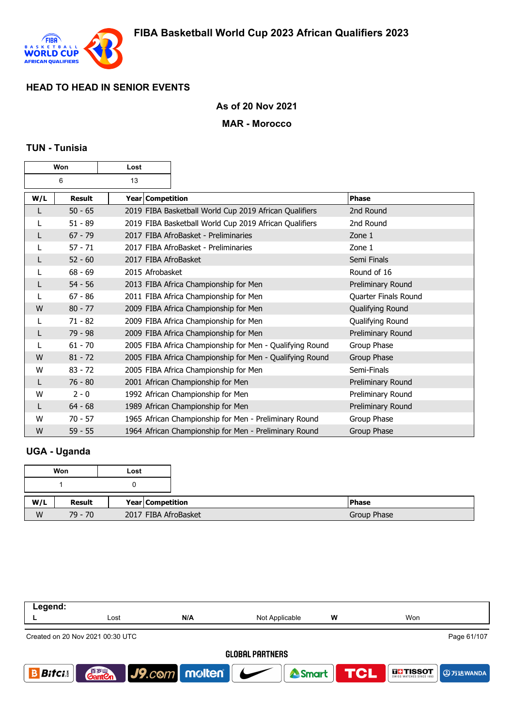

### **As of 20 Nov 2021**

### **MAR - Morocco**

#### **TUN - Tunisia**

| Won |               | Lost                    |                                                          |                      |
|-----|---------------|-------------------------|----------------------------------------------------------|----------------------|
|     | 6             | 13                      |                                                          |                      |
| W/L | <b>Result</b> | <b>Year Competition</b> |                                                          | Phase                |
|     | $50 - 65$     |                         | 2019 FIBA Basketball World Cup 2019 African Qualifiers   | 2nd Round            |
|     | $51 - 89$     |                         | 2019 FIBA Basketball World Cup 2019 African Qualifiers   | 2nd Round            |
| L   | $67 - 79$     |                         | 2017 FIBA AfroBasket - Preliminaries                     | Zone 1               |
| L   | $57 - 71$     |                         | 2017 FIBA AfroBasket - Preliminaries                     | Zone 1               |
| L   | $52 - 60$     | 2017 FIBA AfroBasket    |                                                          | Semi Finals          |
|     | $68 - 69$     | 2015 Afrobasket         |                                                          | Round of 16          |
| L   | $54 - 56$     |                         | 2013 FIBA Africa Championship for Men                    | Preliminary Round    |
| L   | $67 - 86$     |                         | 2011 FIBA Africa Championship for Men                    | Quarter Finals Round |
| W   | $80 - 77$     |                         | 2009 FIBA Africa Championship for Men                    | Qualifying Round     |
| L   | $71 - 82$     |                         | 2009 FIBA Africa Championship for Men                    | Qualifying Round     |
| L   | $79 - 98$     |                         | 2009 FIBA Africa Championship for Men                    | Preliminary Round    |
|     | $61 - 70$     |                         | 2005 FIBA Africa Championship for Men - Qualifying Round | Group Phase          |
| W   | $81 - 72$     |                         | 2005 FIBA Africa Championship for Men - Qualifying Round | Group Phase          |
| w   | $83 - 72$     |                         | 2005 FIBA Africa Championship for Men                    | Semi-Finals          |
| L   | $76 - 80$     |                         | 2001 African Championship for Men                        | Preliminary Round    |
| W   | $2 - 0$       |                         | 1992 African Championship for Men                        | Preliminary Round    |
| L   | $64 - 68$     |                         | 1989 African Championship for Men                        | Preliminary Round    |
| W   | $70 - 57$     |                         | 1965 African Championship for Men - Preliminary Round    | Group Phase          |
| W   | $59 - 55$     |                         | 1964 African Championship for Men - Preliminary Round    | Group Phase          |

# **UGA - Uganda**

|     | Won       | Lost                 |
|-----|-----------|----------------------|
|     |           |                      |
| W/L | Result    | Year Competition     |
| W   | $79 - 70$ | 2017 FIBA AfroBasket |

| Legend:                                         |                                    |                                                 |                |   |                                             |  |
|-------------------------------------------------|------------------------------------|-------------------------------------------------|----------------|---|---------------------------------------------|--|
|                                                 | Lost                               | N/A                                             | Not Applicable | w | Won                                         |  |
| Page 61/107<br>Created on 20 Nov 2021 00:30 UTC |                                    |                                                 |                |   |                                             |  |
| <b>GLOBAL PARTNERS</b>                          |                                    |                                                 |                |   |                                             |  |
| <b>Bitci</b>                                    | 音 <sub>罗山</sub><br>Gant <b>C</b> n | $\vert$ J9.com   molten $\vert$ $\vert$ $\vert$ | Smart          |   | <b>TCL</b><br><b>GLI TISSOT</b><br>9万达WANDA |  |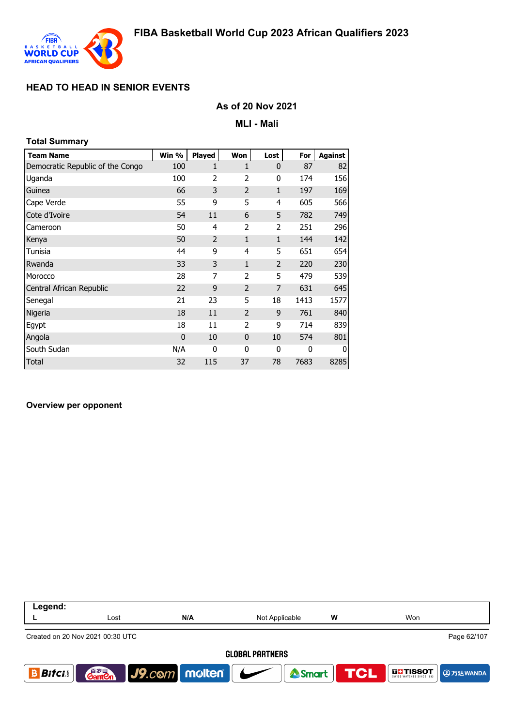

**Total Summary**

# **HEAD TO HEAD IN SENIOR EVENTS**

#### **As of 20 Nov 2021**

**MLI - Mali**

| TOLAI SUITIITIATY                |              |                |                |                |      |                |
|----------------------------------|--------------|----------------|----------------|----------------|------|----------------|
| <b>Team Name</b>                 | Win %        | <b>Played</b>  | Won            | Lost           | For  | <b>Against</b> |
| Democratic Republic of the Congo | 100          | 1              | 1              | 0              | 87   | 82             |
| Uganda                           | 100          | 2              | 2              | 0              | 174  | 156            |
| Guinea                           | 66           | 3              | $\overline{2}$ | $\mathbf{1}$   | 197  | 169            |
| Cape Verde                       | 55           | 9              | 5              | 4              | 605  | 566            |
| Cote d'Ivoire                    | 54           | 11             | 6              | 5              | 782  | 749            |
| Cameroon                         | 50           | 4              | 2              | 2              | 251  | 296            |
| Kenya                            | 50           | $\overline{2}$ | 1              | 1              | 144  | 142            |
| Tunisia                          | 44           | 9              | 4              | 5              | 651  | 654            |
| Rwanda                           | 33           | 3              | $\mathbf{1}$   | $\overline{2}$ | 220  | 230            |
| Morocco                          | 28           | 7              | 2              | 5              | 479  | 539            |
| Central African Republic         | 22           | 9              | 2              | 7              | 631  | 645            |
| Senegal                          | 21           | 23             | 5              | 18             | 1413 | 1577           |
| Nigeria                          | 18           | 11             | 2              | 9              | 761  | 840            |
| Egypt                            | 18           | 11             | 2              | 9              | 714  | 839            |
| Angola                           | $\mathbf{0}$ | 10             | $\mathbf{0}$   | 10             | 574  | 801            |
| South Sudan                      | N/A          | $\mathbf 0$    | $\Omega$       | 0              | 0    | 0              |
| Total                            | 32           | 115            | 37             | 78             | 7683 | 8285           |

#### **Overview per opponent**

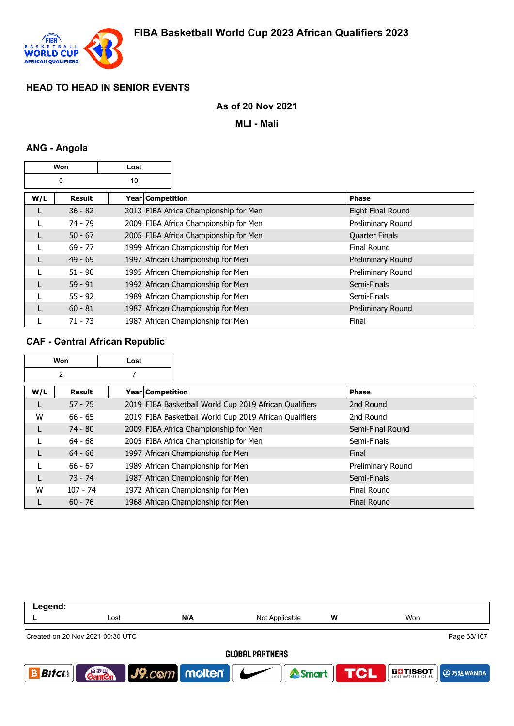

#### **As of 20 Nov 2021**

**MLI - Mali**

### **ANG - Angola**

|     | Won           | Lost             |                                                                |                   |  |
|-----|---------------|------------------|----------------------------------------------------------------|-------------------|--|
|     | 0             | 10               |                                                                |                   |  |
| W/L | <b>Result</b> | Year Competition |                                                                | <b>Phase</b>      |  |
| L   | $36 - 82$     |                  | 2013 FIBA Africa Championship for Men                          | Eight Final Round |  |
|     | $74 - 79$     |                  | 2009 FIBA Africa Championship for Men                          | Preliminary Round |  |
| L   | $50 - 67$     |                  | 2005 FIBA Africa Championship for Men<br><b>Quarter Finals</b> |                   |  |
|     | $69 - 77$     |                  | 1999 African Championship for Men                              | Final Round       |  |
|     | $49 - 69$     |                  | 1997 African Championship for Men                              | Preliminary Round |  |
|     | $51 - 90$     |                  | 1995 African Championship for Men                              | Preliminary Round |  |
| L   | $59 - 91$     |                  | 1992 African Championship for Men                              | Semi-Finals       |  |
|     | $55 - 92$     |                  | 1989 African Championship for Men<br>Semi-Finals               |                   |  |
|     | $60 - 81$     |                  | 1987 African Championship for Men                              | Preliminary Round |  |
|     | $71 - 73$     |                  | 1987 African Championship for Men                              | Final             |  |

#### **CAF - Central African Republic**

|     | Won            | Lost |                                                           |                                                        |  |                    |
|-----|----------------|------|-----------------------------------------------------------|--------------------------------------------------------|--|--------------------|
|     | $\overline{2}$ |      |                                                           |                                                        |  |                    |
| W/L | Result         |      | Year   Competition                                        |                                                        |  | <b>Phase</b>       |
|     | $57 - 75$      |      |                                                           | 2019 FIBA Basketball World Cup 2019 African Qualifiers |  | 2nd Round          |
| W   | $66 - 65$      |      |                                                           | 2019 FIBA Basketball World Cup 2019 African Qualifiers |  | 2nd Round          |
| L   | $74 - 80$      |      | 2009 FIBA Africa Championship for Men<br>Semi-Final Round |                                                        |  |                    |
|     | $64 - 68$      |      |                                                           | 2005 FIBA Africa Championship for Men                  |  | Semi-Finals        |
| L   | $64 - 66$      |      |                                                           | 1997 African Championship for Men                      |  | Final              |
|     | $66 - 67$      |      |                                                           | 1989 African Championship for Men                      |  | Preliminary Round  |
| L   | $73 - 74$      |      |                                                           | 1987 African Championship for Men                      |  | Semi-Finals        |
| W   | $107 - 74$     |      |                                                           | 1972 African Championship for Men                      |  | Final Round        |
|     | $60 - 76$      |      |                                                           | 1968 African Championship for Men                      |  | <b>Final Round</b> |

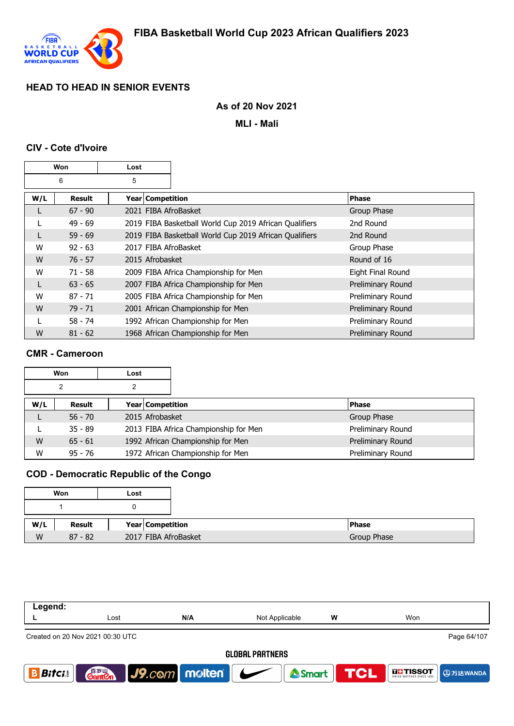

### **As of 20 Nov 2021**

**MLI - Mali**

### **CIV - Cote d'Ivoire**

|     | Won<br>Lost |                      |                                                        |                   |
|-----|-------------|----------------------|--------------------------------------------------------|-------------------|
|     | 6           | 5                    |                                                        |                   |
| W/L | Result      | Year   Competition   |                                                        | <b>Phase</b>      |
| L   | $67 - 90$   | 2021 FIBA AfroBasket |                                                        | Group Phase       |
|     | $49 - 69$   |                      | 2019 FIBA Basketball World Cup 2019 African Qualifiers | 2nd Round         |
| L   | $59 - 69$   |                      | 2019 FIBA Basketball World Cup 2019 African Qualifiers | 2nd Round         |
| W   | $92 - 63$   | 2017 FIBA AfroBasket |                                                        | Group Phase       |
| W   | $76 - 57$   | 2015 Afrobasket      |                                                        | Round of 16       |
| W   | $71 - 58$   |                      | 2009 FIBA Africa Championship for Men                  | Eight Final Round |
| L   | $63 - 65$   |                      | 2007 FIBA Africa Championship for Men                  | Preliminary Round |
| W   | $87 - 71$   |                      | 2005 FIBA Africa Championship for Men                  | Preliminary Round |
| W   | $79 - 71$   |                      | 2001 African Championship for Men                      | Preliminary Round |
| L   | $58 - 74$   |                      | 1992 African Championship for Men                      | Preliminary Round |
| W   | $81 - 62$   |                      | 1968 African Championship for Men                      | Preliminary Round |

#### **CMR - Cameroon**

|     | Won       | Lost |                                       |                   |
|-----|-----------|------|---------------------------------------|-------------------|
|     | 2         |      |                                       |                   |
| W/L | Result    |      | Year Competition                      | <b>Phase</b>      |
|     | $56 - 70$ |      | 2015 Afrobasket                       | Group Phase       |
|     | $35 - 89$ |      | 2013 FIBA Africa Championship for Men | Preliminary Round |
| W   | $65 - 61$ |      | 1992 African Championship for Men     | Preliminary Round |
| W   | $95 - 76$ |      | 1972 African Championship for Men     | Preliminary Round |

# **COD - Democratic Republic of the Congo**

|     | Won       | Lost |                         |
|-----|-----------|------|-------------------------|
|     |           |      |                         |
| W/L | Result    |      | <b>Year Competition</b> |
| W   | $87 - 82$ |      | 2017 FIBA AfroBasket    |

| Legend:      |                                  |                                   |                        |   |                                                   |
|--------------|----------------------------------|-----------------------------------|------------------------|---|---------------------------------------------------|
|              | Lost                             | N/A                               | Not Applicable         | w | Won                                               |
|              | Created on 20 Nov 2021 00:30 UTC |                                   |                        |   | Page 64/107                                       |
|              |                                  |                                   | <b>GLOBAL PARTNERS</b> |   |                                                   |
| <b>Bitci</b> | 百岁山<br><b>Gant</b> en            | $\vert$ J9.com   molten   $\vert$ |                        |   | Smart <b>TCL</b><br><b>THE TISSOT</b><br>9万达WANDA |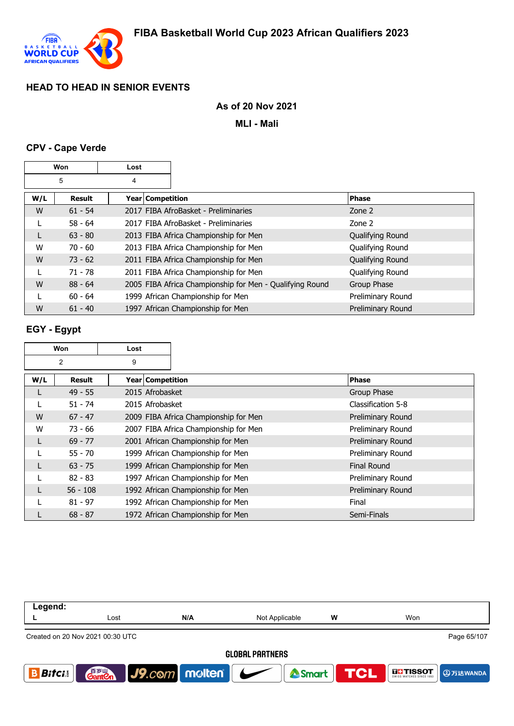

### **As of 20 Nov 2021**

**MLI - Mali**

# **CPV - Cape Verde**

|     | Won<br>Lost |                    |                                                          |                   |
|-----|-------------|--------------------|----------------------------------------------------------|-------------------|
|     | 5           | 4                  |                                                          |                   |
| W/L | Result      | Year   Competition |                                                          | <b>Phase</b>      |
| W   | $61 - 54$   |                    | 2017 FIBA AfroBasket - Preliminaries                     | Zone 2            |
|     | $58 - 64$   |                    | 2017 FIBA AfroBasket - Preliminaries                     | Zone 2            |
|     | $63 - 80$   |                    | 2013 FIBA Africa Championship for Men                    | Qualifying Round  |
| W   | $70 - 60$   |                    | 2013 FIBA Africa Championship for Men                    | Qualifying Round  |
| W   | $73 - 62$   |                    | 2011 FIBA Africa Championship for Men                    | Qualifying Round  |
|     | $71 - 78$   |                    | 2011 FIBA Africa Championship for Men                    | Qualifying Round  |
| W   | $88 - 64$   |                    | 2005 FIBA Africa Championship for Men - Qualifying Round | Group Phase       |
|     | $60 - 64$   |                    | 1999 African Championship for Men                        | Preliminary Round |
| W   | $61 - 40$   |                    | 1997 African Championship for Men                        | Preliminary Round |

# **EGY - Egypt**

| Won<br>Lost |            |                         |                                       |                    |
|-------------|------------|-------------------------|---------------------------------------|--------------------|
| 2<br>9      |            |                         |                                       |                    |
| W/L         | Result     | <b>Year Competition</b> |                                       | <b>Phase</b>       |
|             | $49 - 55$  | 2015 Afrobasket         |                                       | Group Phase        |
|             | $51 - 74$  | 2015 Afrobasket         |                                       | Classification 5-8 |
| W           | $67 - 47$  |                         | 2009 FIBA Africa Championship for Men | Preliminary Round  |
| W           | $73 - 66$  |                         | 2007 FIBA Africa Championship for Men | Preliminary Round  |
|             | $69 - 77$  |                         | 2001 African Championship for Men     | Preliminary Round  |
|             | $55 - 70$  |                         | 1999 African Championship for Men     | Preliminary Round  |
|             | $63 - 75$  |                         | 1999 African Championship for Men     | <b>Final Round</b> |
|             | $82 - 83$  |                         | 1997 African Championship for Men     | Preliminary Round  |
|             | $56 - 108$ |                         | 1992 African Championship for Men     | Preliminary Round  |
|             | $81 - 97$  |                         | 1992 African Championship for Men     | Final              |
|             | $68 - 87$  |                         | 1972 African Championship for Men     | Semi-Finals        |

| Legend:                          |      |                             |     |                        |                  |                   |             |
|----------------------------------|------|-----------------------------|-----|------------------------|------------------|-------------------|-------------|
|                                  | Lost |                             | N/A | Not Applicable         | w                | Won               |             |
| Created on 20 Nov 2021 00:30 UTC |      |                             |     |                        |                  |                   | Page 65/107 |
|                                  |      |                             |     | <b>GLOBAL PARTNERS</b> |                  |                   |             |
| <b>Bitci</b>                     |      | <b>Ganten J9.com molten</b> |     |                        | Smart <b>TCL</b> | <b>THE TISSOT</b> |             |
|                                  |      |                             |     |                        |                  |                   |             |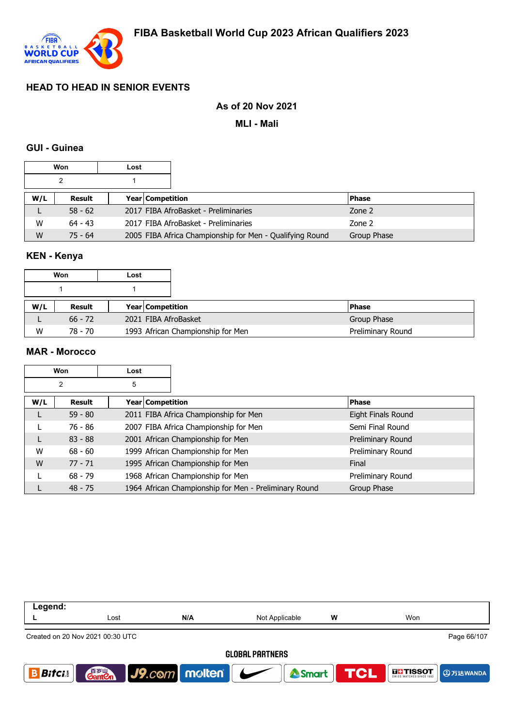

### **As of 20 Nov 2021**

**MLI - Mali**

# **GUI - Guinea**

|     | Won       | Lost |                                                          |              |
|-----|-----------|------|----------------------------------------------------------|--------------|
|     |           |      |                                                          |              |
| W/L | Result    |      | <b>Year Competition</b>                                  | <b>Phase</b> |
|     | $58 - 62$ |      | 2017 FIBA AfroBasket - Preliminaries                     | Zone 2       |
| W   | $64 - 43$ |      | 2017 FIBA AfroBasket - Preliminaries                     | Zone 2       |
| W   | $75 - 64$ |      | 2005 FIBA Africa Championship for Men - Qualifying Round | Group Phase  |

# **KEN - Kenya**

|     | Won       | Lost |                                   |                   |
|-----|-----------|------|-----------------------------------|-------------------|
|     |           |      |                                   |                   |
| W/L | Result    |      | <b>Year Competition</b>           | <b>Phase</b>      |
|     | $66 - 72$ |      | 2021 FIBA AfroBasket              | Group Phase       |
| W   | 78 - 70   |      | 1993 African Championship for Men | Preliminary Round |

#### **MAR - Morocco**

|     | Won           | Lost |                  |                                                       |                    |
|-----|---------------|------|------------------|-------------------------------------------------------|--------------------|
|     | 2             | 5    |                  |                                                       |                    |
| W/L | <b>Result</b> |      | Year Competition |                                                       | <b>Phase</b>       |
| L   | $59 - 80$     |      |                  | 2011 FIBA Africa Championship for Men                 | Eight Finals Round |
| L   | 76 - 86       |      |                  | 2007 FIBA Africa Championship for Men                 | Semi Final Round   |
| L   | $83 - 88$     |      |                  | 2001 African Championship for Men                     | Preliminary Round  |
| W   | $68 - 60$     |      |                  | 1999 African Championship for Men                     | Preliminary Round  |
| W   | $77 - 71$     |      |                  | 1995 African Championship for Men                     | Final              |
|     | $68 - 79$     |      |                  | 1968 African Championship for Men                     | Preliminary Round  |
|     | $48 - 75$     |      |                  | 1964 African Championship for Men - Preliminary Round | Group Phase        |

| Legend:      |                                                 |                                     |                           |   |                                               |  |  |
|--------------|-------------------------------------------------|-------------------------------------|---------------------------|---|-----------------------------------------------|--|--|
|              | Lost                                            | N/A                                 | Not Applicable            | W | Won                                           |  |  |
|              | Page 66/107<br>Created on 20 Nov 2021 00:30 UTC |                                     |                           |   |                                               |  |  |
|              | <b>GLOBAL PARTNERS</b>                          |                                     |                           |   |                                               |  |  |
| <b>Bifci</b> | 音 <sub>罗山</sub><br>Gant <b>C</b> n              | $ $ J9. $c$ © $m$   molten   $\sim$ | <b>A</b> Smart <b>TCL</b> |   | <b>DET TISSOT</b><br>SWASS WATCHES SINCE 1853 |  |  |
|              |                                                 |                                     |                           |   |                                               |  |  |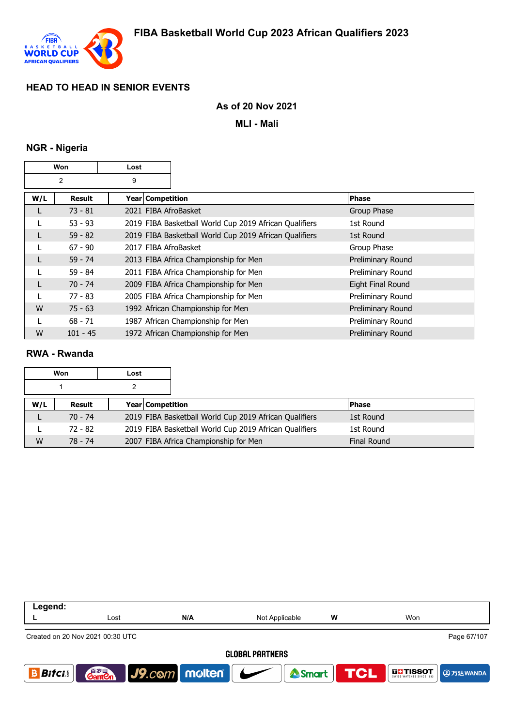

### **As of 20 Nov 2021**

**MLI - Mali**

### **NGR - Nigeria**

| Won |            | Lost                 |                                                        |                   |
|-----|------------|----------------------|--------------------------------------------------------|-------------------|
|     | 2          | 9                    |                                                        |                   |
| W/L | Result     | Year Competition     |                                                        | <b>Phase</b>      |
|     | $73 - 81$  | 2021 FIBA AfroBasket |                                                        | Group Phase       |
|     | $53 - 93$  |                      | 2019 FIBA Basketball World Cup 2019 African Qualifiers | 1st Round         |
|     | $59 - 82$  |                      | 2019 FIBA Basketball World Cup 2019 African Qualifiers | 1st Round         |
|     | $67 - 90$  | 2017 FIBA AfroBasket |                                                        | Group Phase       |
|     | $59 - 74$  |                      | 2013 FIBA Africa Championship for Men                  | Preliminary Round |
|     | $59 - 84$  |                      | 2011 FIBA Africa Championship for Men                  | Preliminary Round |
|     | $70 - 74$  |                      | 2009 FIBA Africa Championship for Men                  | Eight Final Round |
|     | $77 - 83$  |                      | 2005 FIBA Africa Championship for Men                  | Preliminary Round |
| W   | $75 - 63$  |                      | 1992 African Championship for Men                      | Preliminary Round |
|     | $68 - 71$  |                      | 1987 African Championship for Men                      | Preliminary Round |
| W   | $101 - 45$ |                      | 1972 African Championship for Men                      | Preliminary Round |

### **RWA - Rwanda**

|     | Won       | Lost                    |                                                        |                    |
|-----|-----------|-------------------------|--------------------------------------------------------|--------------------|
|     |           |                         |                                                        |                    |
| W/L | Result    | <b>Year Competition</b> |                                                        | <b>Phase</b>       |
|     | 70 - 74   |                         | 2019 FIBA Basketball World Cup 2019 African Qualifiers | 1st Round          |
|     | $72 - 82$ |                         | 2019 FIBA Basketball World Cup 2019 African Qualifiers | 1st Round          |
| W   | 78 - 74   |                         | 2007 FIBA Africa Championship for Men                  | <b>Final Round</b> |

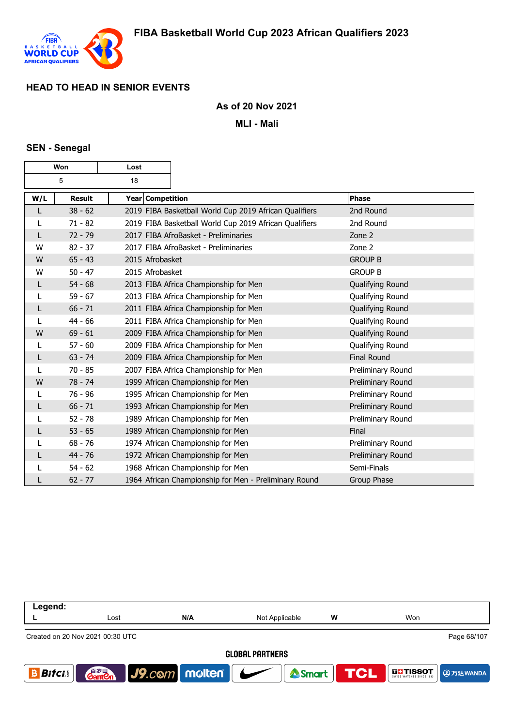

#### **As of 20 Nov 2021**

**MLI - Mali**

#### **SEN - Senegal**

Г

| Won |               | Lost             |                                                        |                    |
|-----|---------------|------------------|--------------------------------------------------------|--------------------|
|     | 5             | 18               |                                                        |                    |
| W/L | <b>Result</b> | Year Competition |                                                        | <b>Phase</b>       |
| L   | $38 - 62$     |                  | 2019 FIBA Basketball World Cup 2019 African Qualifiers | 2nd Round          |
| L   | $71 - 82$     |                  | 2019 FIBA Basketball World Cup 2019 African Qualifiers | 2nd Round          |
| L   | $72 - 79$     |                  | 2017 FIBA AfroBasket - Preliminaries                   | Zone 2             |
| W   | $82 - 37$     |                  | 2017 FIBA AfroBasket - Preliminaries                   | Zone 2             |
| W   | $65 - 43$     | 2015 Afrobasket  |                                                        | <b>GROUP B</b>     |
| W   | $50 - 47$     | 2015 Afrobasket  |                                                        | <b>GROUP B</b>     |
| L   | $54 - 68$     |                  | 2013 FIBA Africa Championship for Men                  | Qualifying Round   |
| L   | $59 - 67$     |                  | 2013 FIBA Africa Championship for Men                  | Qualifying Round   |
| L   | $66 - 71$     |                  | 2011 FIBA Africa Championship for Men                  | Qualifying Round   |
|     | $44 - 66$     |                  | 2011 FIBA Africa Championship for Men                  | Qualifying Round   |
| W   | $69 - 61$     |                  | 2009 FIBA Africa Championship for Men                  | Qualifying Round   |
| L   | $57 - 60$     |                  | 2009 FIBA Africa Championship for Men                  | Qualifying Round   |
| L   | $63 - 74$     |                  | 2009 FIBA Africa Championship for Men                  | <b>Final Round</b> |
| L   | $70 - 85$     |                  | 2007 FIBA Africa Championship for Men                  | Preliminary Round  |
| W   | $78 - 74$     |                  | 1999 African Championship for Men                      | Preliminary Round  |
|     | $76 - 96$     |                  | 1995 African Championship for Men                      | Preliminary Round  |
| L   | $66 - 71$     |                  | 1993 African Championship for Men                      | Preliminary Round  |
|     | $52 - 78$     |                  | 1989 African Championship for Men                      | Preliminary Round  |
| L   | $53 - 65$     |                  | 1989 African Championship for Men                      | Final              |
| L   | $68 - 76$     |                  | 1974 African Championship for Men                      | Preliminary Round  |
| L   | $44 - 76$     |                  | 1972 African Championship for Men                      | Preliminary Round  |
|     | $54 - 62$     |                  | 1968 African Championship for Men                      | Semi-Finals        |
|     | $62 - 77$     |                  | 1964 African Championship for Men - Preliminary Round  | Group Phase        |

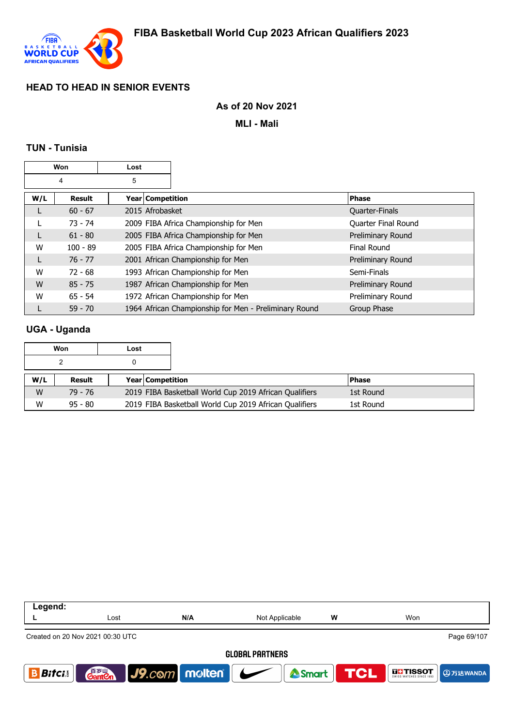

#### **As of 20 Nov 2021**

**MLI - Mali**

#### **TUN - Tunisia**

|     | Won        | Lost |                                                       |                       |
|-----|------------|------|-------------------------------------------------------|-----------------------|
|     | 4          | 5    |                                                       |                       |
| W/L | Result     |      | Year Competition                                      | <b>Phase</b>          |
|     | $60 - 67$  |      | 2015 Afrobasket                                       | <b>Quarter-Finals</b> |
|     | $73 - 74$  |      | 2009 FIBA Africa Championship for Men                 | Quarter Final Round   |
|     | $61 - 80$  |      | 2005 FIBA Africa Championship for Men                 | Preliminary Round     |
| W   | $100 - 89$ |      | 2005 FIBA Africa Championship for Men                 | Final Round           |
| L   | $76 - 77$  |      | 2001 African Championship for Men                     | Preliminary Round     |
| W   | $72 - 68$  |      | 1993 African Championship for Men                     | Semi-Finals           |
| W   | $85 - 75$  |      | 1987 African Championship for Men                     | Preliminary Round     |
| W   | $65 - 54$  |      | 1972 African Championship for Men                     | Preliminary Round     |
|     | $59 - 70$  |      | 1964 African Championship for Men - Preliminary Round | Group Phase           |

#### **UGA - Uganda**

|     | Won       | Lost |                         |                                                        |           |  |
|-----|-----------|------|-------------------------|--------------------------------------------------------|-----------|--|
|     |           |      |                         |                                                        |           |  |
| W/L | Result    |      | <b>Year Competition</b> |                                                        | l Phase   |  |
| W   | 79 - 76   |      |                         | 2019 FIBA Basketball World Cup 2019 African Qualifiers | 1st Round |  |
| W   | $95 - 80$ |      |                         | 2019 FIBA Basketball World Cup 2019 African Qualifiers | 1st Round |  |

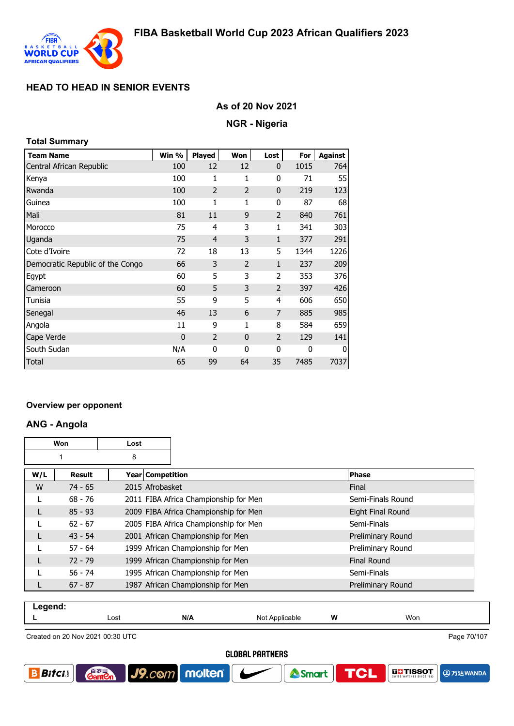

#### **As of 20 Nov 2021**

#### **NGR - Nigeria**

| <b>Total Summary</b>             |             |                |                |                |      |                |
|----------------------------------|-------------|----------------|----------------|----------------|------|----------------|
| <b>Team Name</b>                 | Win %       | <b>Played</b>  | <b>Won</b>     | Lost           | For  | <b>Against</b> |
| Central African Republic         | 100         | 12             | 12             | 0              | 1015 | 7641           |
| Kenya                            | 100         | 1              | 1              | 0              | 71   | 55             |
| Rwanda                           | 100         | 2              | $\overline{2}$ | 0              | 219  | 123            |
| Guinea                           | 100         | 1              | 1              | 0              | 87   | 68             |
| Mali                             | 81          | 11             | 9              | $\overline{2}$ | 840  | 761            |
| Morocco                          | 75          | 4              | 3              | 1              | 341  | 303            |
| Uganda                           | 75          | $\overline{4}$ | 3              | $\mathbf{1}$   | 377  | 291            |
| Cote d'Ivoire                    | 72          | 18             | 13             | 5              | 1344 | 1226           |
| Democratic Republic of the Congo | 66          | 3              | $\overline{2}$ | $\mathbf{1}$   | 237  | 209            |
| Egypt                            | 60          | 5              | 3              | 2              | 353  | 376            |
| Cameroon                         | 60          | 5              | 3              | $\overline{2}$ | 397  | 426            |
| Tunisia                          | 55          | 9              | 5              | 4              | 606  | 650            |
| Senegal                          | 46          | 13             | 6              | 7              | 885  | 985            |
| Angola                           | 11          | 9              | 1              | 8              | 584  | 659            |
| Cape Verde                       | $\mathbf 0$ | $\overline{2}$ | $\mathbf{0}$   | $\overline{2}$ | 129  | 141            |
| South Sudan                      | N/A         | $\Omega$       | 0              | 0              | 0    | 0              |
| <b>Total</b>                     | 65          | 99             | 64             | 35             | 7485 | 7037           |

#### **Overview per opponent**

#### **ANG - Angola**

|     | Won       | Lost |                                       |                    |
|-----|-----------|------|---------------------------------------|--------------------|
|     |           | 8    |                                       |                    |
| W/L | Result    |      | <b>Year Competition</b>               | <b>Phase</b>       |
| W   | $74 - 65$ |      | 2015 Afrobasket                       | Final              |
|     | $68 - 76$ |      | 2011 FIBA Africa Championship for Men | Semi-Finals Round  |
|     | $85 - 93$ |      | 2009 FIBA Africa Championship for Men | Eight Final Round  |
|     | $62 - 67$ |      | 2005 FIBA Africa Championship for Men | Semi-Finals        |
|     | $43 - 54$ |      | 2001 African Championship for Men     | Preliminary Round  |
|     | $57 - 64$ |      | 1999 African Championship for Men     | Preliminary Round  |
|     | $72 - 79$ |      | 1999 African Championship for Men     | <b>Final Round</b> |
|     | $56 - 74$ |      | 1995 African Championship for Men     | Semi-Finals        |
|     | $67 - 87$ |      | 1987 African Championship for Men     | Preliminary Round  |

| -----<br>- 9 - |      |     |                  |   |     |
|----------------|------|-----|------------------|---|-----|
|                | Lost | N/A | nnlır<br>Νc<br>᠃ | W | Won |
|                |      |     |                  |   |     |

Created on 20 Nov 2021 00:30 UTC

**GLOBAL PARTNERS** 

Page 70/107

**A元达WANDA** 

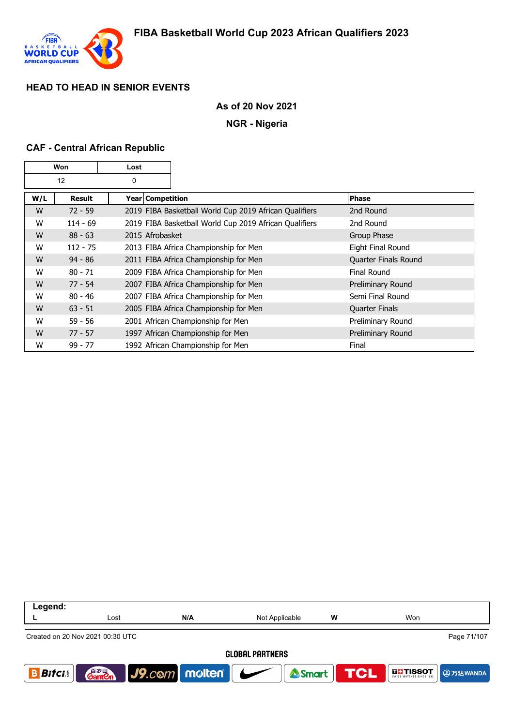

#### **As of 20 Nov 2021**

#### **NGR - Nigeria**

#### **CAF - Central African Republic**

| Won |            | Lost               |                                                        |                       |
|-----|------------|--------------------|--------------------------------------------------------|-----------------------|
|     | 12         | $\mathbf 0$        |                                                        |                       |
| W/L | Result     | Year   Competition |                                                        | <b>Phase</b>          |
| W   | $72 - 59$  |                    | 2019 FIBA Basketball World Cup 2019 African Qualifiers | 2nd Round             |
| W   | $114 - 69$ |                    | 2019 FIBA Basketball World Cup 2019 African Qualifiers | 2nd Round             |
| W   | $88 - 63$  | 2015 Afrobasket    |                                                        | Group Phase           |
| W   | $112 - 75$ |                    | 2013 FIBA Africa Championship for Men                  | Eight Final Round     |
| W   | $94 - 86$  |                    | 2011 FIBA Africa Championship for Men                  | Quarter Finals Round  |
| W   | $80 - 71$  |                    | 2009 FIBA Africa Championship for Men                  | Final Round           |
| W   | $77 - 54$  |                    | 2007 FIBA Africa Championship for Men                  | Preliminary Round     |
| W   | $80 - 46$  |                    | 2007 FIBA Africa Championship for Men                  | Semi Final Round      |
| W   | $63 - 51$  |                    | 2005 FIBA Africa Championship for Men                  | <b>Quarter Finals</b> |
| W   | $59 - 56$  |                    | 2001 African Championship for Men                      | Preliminary Round     |
| W   | $77 - 57$  |                    | 1997 African Championship for Men                      | Preliminary Round     |
| W   | $99 - 77$  |                    | 1992 African Championship for Men                      | Final                 |

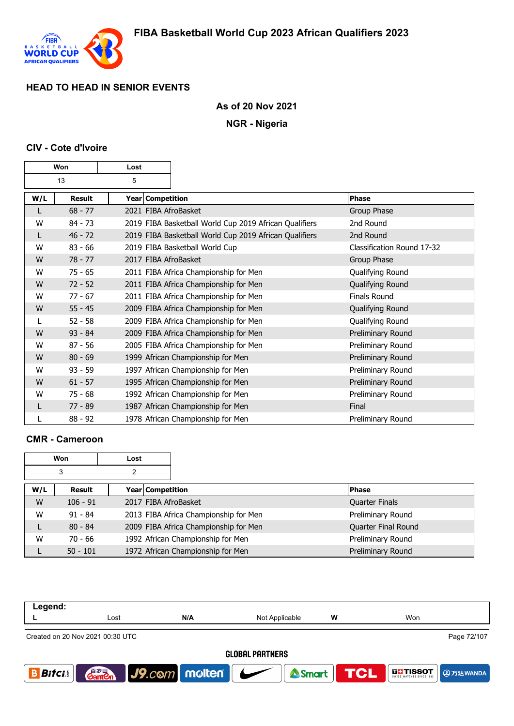

### **As of 20 Nov 2021**

### **NGR - Nigeria**

### **CIV - Cote d'Ivoire**

| Won |           | Lost                 |                                                        |                            |
|-----|-----------|----------------------|--------------------------------------------------------|----------------------------|
|     | 13        | 5                    |                                                        |                            |
| W/L | Result    | Year Competition     |                                                        | Phase                      |
|     | $68 - 77$ | 2021 FIBA AfroBasket |                                                        | Group Phase                |
| W   | $84 - 73$ |                      | 2019 FIBA Basketball World Cup 2019 African Qualifiers | 2nd Round                  |
| L   | $46 - 72$ |                      | 2019 FIBA Basketball World Cup 2019 African Qualifiers | 2nd Round                  |
| W   | $83 - 66$ |                      | 2019 FIBA Basketball World Cup                         | Classification Round 17-32 |
| W   | $78 - 77$ | 2017 FIBA AfroBasket |                                                        | Group Phase                |
| W   | $75 - 65$ |                      | 2011 FIBA Africa Championship for Men                  | Qualifying Round           |
| W   | $72 - 52$ |                      | 2011 FIBA Africa Championship for Men                  | Qualifying Round           |
| W   | $77 - 67$ |                      | 2011 FIBA Africa Championship for Men                  | Finals Round               |
| W   | $55 - 45$ |                      | 2009 FIBA Africa Championship for Men                  | Qualifying Round           |
|     | $52 - 58$ |                      | 2009 FIBA Africa Championship for Men                  | Qualifying Round           |
| W   | $93 - 84$ |                      | 2009 FIBA Africa Championship for Men                  | Preliminary Round          |
| W   | $87 - 56$ |                      | 2005 FIBA Africa Championship for Men                  | Preliminary Round          |
| W   | $80 - 69$ |                      | 1999 African Championship for Men                      | Preliminary Round          |
| W   | $93 - 59$ |                      | 1997 African Championship for Men                      | Preliminary Round          |
| W   | $61 - 57$ |                      | 1995 African Championship for Men                      | Preliminary Round          |
| W   | $75 - 68$ |                      | 1992 African Championship for Men                      | Preliminary Round          |
| L   | $77 - 89$ |                      | 1987 African Championship for Men                      | Final                      |
| L   | $88 - 92$ |                      | 1978 African Championship for Men                      | Preliminary Round          |

### **CMR - Cameroon**

| Won |            | Lost             |                                       |                     |
|-----|------------|------------------|---------------------------------------|---------------------|
| 3   |            | 2                |                                       |                     |
| W/L | Result     | Year Competition |                                       | <b>Phase</b>        |
| W   | $106 - 91$ |                  | 2017 FIBA AfroBasket                  | Quarter Finals      |
| W   | $91 - 84$  |                  | 2013 FIBA Africa Championship for Men | Preliminary Round   |
|     | $80 - 84$  |                  | 2009 FIBA Africa Championship for Men | Quarter Final Round |
| W   | $70 - 66$  |                  | 1992 African Championship for Men     | Preliminary Round   |
|     | $50 - 101$ |                  | 1972 African Championship for Men     | Preliminary Round   |

| Legend:                                         |                                    |                                 |                |   |                              |  |  |  |  |
|-------------------------------------------------|------------------------------------|---------------------------------|----------------|---|------------------------------|--|--|--|--|
|                                                 | Lost                               | N/A                             | Not Applicable | w | Won                          |  |  |  |  |
| Page 72/107<br>Created on 20 Nov 2021 00:30 UTC |                                    |                                 |                |   |                              |  |  |  |  |
| <b>GLOBAL PARTNERS</b>                          |                                    |                                 |                |   |                              |  |  |  |  |
| <b>Bifcis</b>                                   | 音 <sub>岁Ⅲ</sub><br>Gant <b>C</b> n | $ $ J9. $com$ molten $ $ $\sim$ | <b>A</b> Smart |   | <b>TCL</b><br><b>THISSOT</b> |  |  |  |  |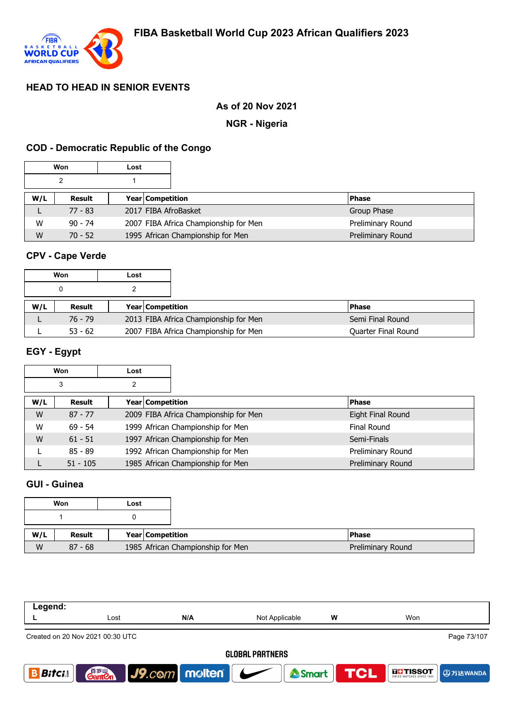

# **As of 20 Nov 2021**

#### **NGR - Nigeria**

# **COD - Democratic Republic of the Congo**

|     | Won       |  |                                       |                   |
|-----|-----------|--|---------------------------------------|-------------------|
|     |           |  |                                       |                   |
| W/L | Result    |  | <b>Year Competition</b>               | <b>Phase</b>      |
|     | $77 - 83$ |  | 2017 FIBA AfroBasket                  | Group Phase       |
| W   | $90 - 74$ |  | 2007 FIBA Africa Championship for Men | Preliminary Round |
| W   | $70 - 52$ |  | 1995 African Championship for Men     | Preliminary Round |

### **CPV - Cape Verde**

|     | Won       | Lost |                                       |                                       |                     |
|-----|-----------|------|---------------------------------------|---------------------------------------|---------------------|
|     |           |      |                                       |                                       |                     |
| W/L | Result    |      | <b>Year Competition</b>               |                                       | <b>IPhase</b>       |
|     | $76 - 79$ |      |                                       | 2013 FIBA Africa Championship for Men | Semi Final Round    |
|     | $53 - 62$ |      | 2007 FIBA Africa Championship for Men |                                       | Quarter Final Round |

# **EGY - Egypt**

|     | Won        | Lost |                  |                                       |                    |
|-----|------------|------|------------------|---------------------------------------|--------------------|
|     | 3          | 2    |                  |                                       |                    |
| W/L | Result     |      | Year Competition |                                       | <b>Phase</b>       |
| W   | $87 - 77$  |      |                  | 2009 FIBA Africa Championship for Men | Eight Final Round  |
| W   | $69 - 54$  |      |                  | 1999 African Championship for Men     | <b>Final Round</b> |
| W   | $61 - 51$  |      |                  | 1997 African Championship for Men     | Semi-Finals        |
|     | $85 - 89$  |      |                  | 1992 African Championship for Men     | Preliminary Round  |
|     | $51 - 105$ |      |                  | 1985 African Championship for Men     | Preliminary Round  |

# **GUI - Guinea**

|     | Won       | Lost             |                                   |  |
|-----|-----------|------------------|-----------------------------------|--|
|     |           |                  |                                   |  |
| W/L | Result    | Year Competition |                                   |  |
| W   | $87 - 68$ |                  | 1985 African Championship for Men |  |

| Legend:                                         |                           |                                     |                |   |                                                 |  |
|-------------------------------------------------|---------------------------|-------------------------------------|----------------|---|-------------------------------------------------|--|
|                                                 | Lost                      | N/A                                 | Not Applicable | W | Won                                             |  |
| Page 73/107<br>Created on 20 Nov 2021 00:30 UTC |                           |                                     |                |   |                                                 |  |
| <b>GLOBAL PARTNERS</b>                          |                           |                                     |                |   |                                                 |  |
| <b>Bitci</b>                                    | 音 <sub>岁Ⅲ</sub><br>Gant©n | $ $ J9. $c$ © $m$   molten   $\sim$ | <b>A</b> Smart |   | <b>TCL</b><br><b>THISSOT</b><br><b>4万达WANDA</b> |  |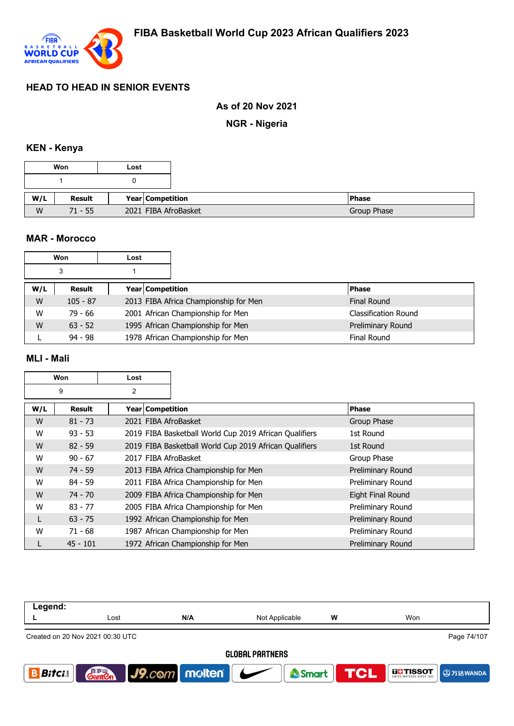

# **As of 20 Nov 2021**

**NGR - Nigeria**

# **KEN - Kenya**

|     | Won       | Lost                 |
|-----|-----------|----------------------|
|     |           |                      |
| W/L | Result    | Year Competition     |
| W   | $71 - 55$ | 2021 FIBA AfroBasket |

### **MAR - Morocco**

|     | Won        | Lost |                  |                                       |  |                             |
|-----|------------|------|------------------|---------------------------------------|--|-----------------------------|
|     | 3          |      |                  |                                       |  |                             |
| W/L | Result     |      | Year Competition |                                       |  | <b>Phase</b>                |
| W   | $105 - 87$ |      |                  | 2013 FIBA Africa Championship for Men |  | Final Round                 |
| W   | 79 - 66    |      |                  | 2001 African Championship for Men     |  | <b>Classification Round</b> |
| W   | $63 - 52$  |      |                  | 1995 African Championship for Men     |  | Preliminary Round           |
|     | $94 - 98$  |      |                  | 1978 African Championship for Men     |  | <b>Final Round</b>          |

# **MLI - Mali**

| <b>Won</b> |            | Lost                    |                                                        |                   |
|------------|------------|-------------------------|--------------------------------------------------------|-------------------|
|            | 9          | $\overline{2}$          |                                                        |                   |
| W/L        | Result     | <b>Year Competition</b> |                                                        | <b>Phase</b>      |
| W          | $81 - 73$  | 2021 FIBA AfroBasket    |                                                        | Group Phase       |
| W          | $93 - 53$  |                         | 2019 FIBA Basketball World Cup 2019 African Qualifiers | 1st Round         |
| W          | $82 - 59$  |                         | 2019 FIBA Basketball World Cup 2019 African Qualifiers | 1st Round         |
| W          | $90 - 67$  | 2017 FIBA AfroBasket    |                                                        | Group Phase       |
| W          | $74 - 59$  |                         | 2013 FIBA Africa Championship for Men                  | Preliminary Round |
| W          | $84 - 59$  |                         | 2011 FIBA Africa Championship for Men                  | Preliminary Round |
| W          | $74 - 70$  |                         | 2009 FIBA Africa Championship for Men                  | Eight Final Round |
| W          | $83 - 77$  |                         | 2005 FIBA Africa Championship for Men                  | Preliminary Round |
| L          | $63 - 75$  |                         | 1992 African Championship for Men                      | Preliminary Round |
| W          | $71 - 68$  |                         | 1987 African Championship for Men                      | Preliminary Round |
| L          | $45 - 101$ |                         | 1972 African Championship for Men                      | Preliminary Round |

| Legend:                |                                                 |                                         |                  |   |                           |  |  |
|------------------------|-------------------------------------------------|-----------------------------------------|------------------|---|---------------------------|--|--|
|                        | Lost                                            | N/A                                     | Not Applicable   | w | Won                       |  |  |
|                        | Page 74/107<br>Created on 20 Nov 2021 00:30 UTC |                                         |                  |   |                           |  |  |
| <b>GLOBAL PARTNERS</b> |                                                 |                                         |                  |   |                           |  |  |
| <b>Bifci</b>           | 百岁山<br><b>Gant</b> en                           | $\big $ J9.com molten $\big $ $\bigcup$ | Smart <b>TCL</b> |   | <b>THESOT</b><br>9万达WANDA |  |  |
|                        |                                                 |                                         |                  |   |                           |  |  |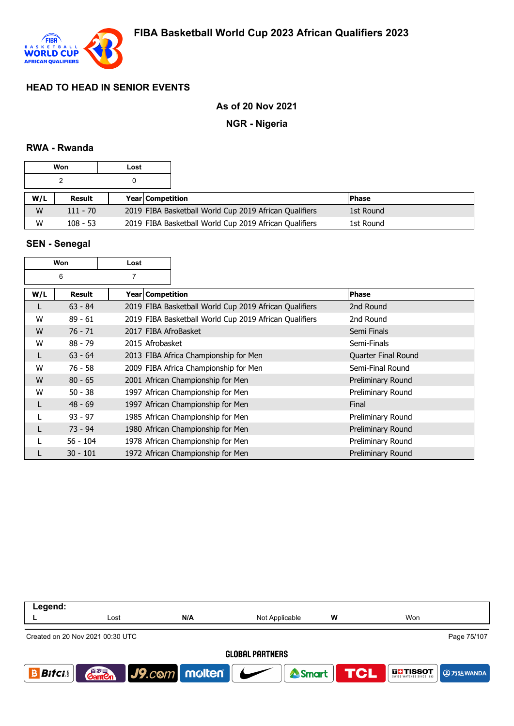

### **As of 20 Nov 2021**

#### **NGR - Nigeria**

#### **RWA - Rwanda**

|     | Won        | Lost |                         |                                                        |           |
|-----|------------|------|-------------------------|--------------------------------------------------------|-----------|
|     |            |      |                         |                                                        |           |
| W/L | Result     |      | <b>Year Competition</b> |                                                        | l Phase   |
| W   | $111 - 70$ |      |                         | 2019 FIBA Basketball World Cup 2019 African Qualifiers | 1st Round |
| W   | $108 - 53$ |      |                         | 2019 FIBA Basketball World Cup 2019 African Qualifiers | 1st Round |

#### **SEN - Senegal**

 $\Gamma$ 

| Won |            | Lost                 |                                                        |                     |
|-----|------------|----------------------|--------------------------------------------------------|---------------------|
|     | 6          | $\overline{7}$       |                                                        |                     |
| W/L | Result     | Year   Competition   |                                                        | <b>Phase</b>        |
| L   | $63 - 84$  |                      | 2019 FIBA Basketball World Cup 2019 African Qualifiers | 2nd Round           |
| W   | $89 - 61$  |                      | 2019 FIBA Basketball World Cup 2019 African Qualifiers | 2nd Round           |
| W   | $76 - 71$  | 2017 FIBA AfroBasket |                                                        | Semi Finals         |
| W   | $88 - 79$  | 2015 Afrobasket      |                                                        | Semi-Finals         |
| L   | $63 - 64$  |                      | 2013 FIBA Africa Championship for Men                  | Quarter Final Round |
| W   | $76 - 58$  |                      | 2009 FIBA Africa Championship for Men                  | Semi-Final Round    |
| W   | $80 - 65$  |                      | 2001 African Championship for Men                      | Preliminary Round   |
| W   | $50 - 38$  |                      | 1997 African Championship for Men                      | Preliminary Round   |
| L   | $48 - 69$  |                      | 1997 African Championship for Men                      | Final               |
|     | $93 - 97$  |                      | 1985 African Championship for Men                      | Preliminary Round   |
|     | $73 - 94$  |                      | 1980 African Championship for Men                      | Preliminary Round   |
|     | $56 - 104$ |                      | 1978 African Championship for Men                      | Preliminary Round   |
|     | $30 - 101$ |                      | 1972 African Championship for Men                      | Preliminary Round   |

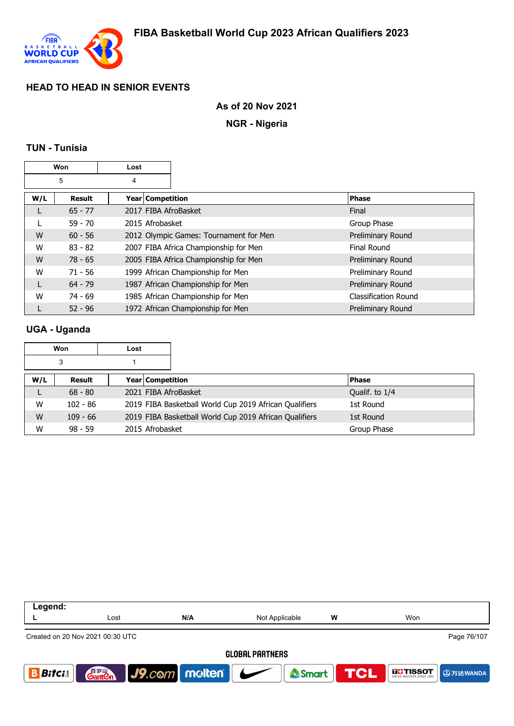

### **As of 20 Nov 2021**

#### **NGR - Nigeria**

### **TUN - Tunisia**

|     | Won       | Lost                 |                                        |                      |
|-----|-----------|----------------------|----------------------------------------|----------------------|
|     | 5         | 4                    |                                        |                      |
| W/L | Result    | Year   Competition   |                                        | <b>Phase</b>         |
| L   | $65 - 77$ | 2017 FIBA AfroBasket |                                        | Final                |
|     | $59 - 70$ | 2015 Afrobasket      |                                        | Group Phase          |
| W   | $60 - 56$ |                      | 2012 Olympic Games: Tournament for Men | Preliminary Round    |
| W   | $83 - 82$ |                      | 2007 FIBA Africa Championship for Men  | Final Round          |
| W   | 78 - 65   |                      | 2005 FIBA Africa Championship for Men  | Preliminary Round    |
| W   | $71 - 56$ |                      | 1999 African Championship for Men      | Preliminary Round    |
| L   | $64 - 79$ |                      | 1987 African Championship for Men      | Preliminary Round    |
| W   | $74 - 69$ |                      | 1985 African Championship for Men      | Classification Round |
|     | $52 - 96$ |                      | 1972 African Championship for Men      | Preliminary Round    |

### **UGA - Uganda**

|     | Won        | Lost                    |                                                        |                |
|-----|------------|-------------------------|--------------------------------------------------------|----------------|
|     | 3          |                         |                                                        |                |
| W/L | Result     | <b>Year Competition</b> |                                                        | <b>Phase</b>   |
|     | $68 - 80$  |                         | 2021 FIBA AfroBasket                                   | Qualif. to 1/4 |
| W   | $102 - 86$ |                         | 2019 FIBA Basketball World Cup 2019 African Qualifiers | 1st Round      |
| W   | $109 - 66$ |                         | 2019 FIBA Basketball World Cup 2019 African Qualifiers | 1st Round      |
| W   | $98 - 59$  | 2015 Afrobasket         |                                                        | Group Phase    |

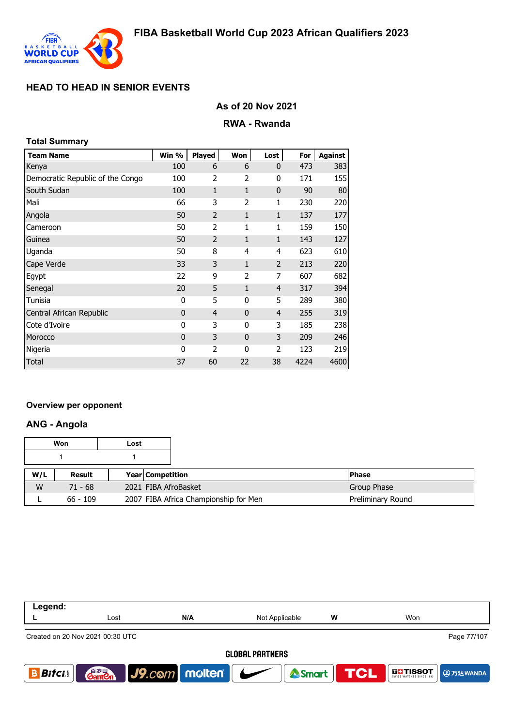

#### **As of 20 Nov 2021**

#### **RWA - Rwanda**

| <b>Total Summary</b>             |              |                |              |                |     |                |
|----------------------------------|--------------|----------------|--------------|----------------|-----|----------------|
| <b>Team Name</b>                 | Win %        | <b>Played</b>  | Won          | Lost           | For | <b>Against</b> |
| Kenya                            | 100          | 6              | 6            | $\mathbf{0}$   | 473 | 383            |
| Democratic Republic of the Congo | 100          | 2              | 2            | 0              | 171 | 155            |
| South Sudan                      | 100          | $\mathbf{1}$   | 1            | 0              | 90  | 80             |
| Mali                             | 66           | 3              | 2            | 1              | 230 | 220            |
| Angola                           | 50           | $\overline{2}$ | 1            | 1              | 137 | 177            |
| Cameroon                         | 50           | $\overline{2}$ | 1            | 1              | 159 | 150            |
| Guinea                           | 50           | $\overline{2}$ | 1            | 1              | 143 | 127            |
| Uganda                           | 50           | 8              | 4            | 4              | 623 | 610            |
| Cape Verde                       | 33           | 3              | $\mathbf{1}$ | $\overline{2}$ | 213 | 220            |
| Egypt                            | 22           | 9              | 2            | 7              | 607 | 682            |
| Senegal                          | 20           | 5              | 1            | $\overline{4}$ | 317 | 394            |
| Tunisia                          | 0            | 5              | 0            | 5              | 289 | 380            |
| Central African Republic         | $\mathbf{0}$ | 4              | $\mathbf{0}$ | $\overline{4}$ | 255 | 319            |
| Cote d'Ivoire                    | $\Omega$     | 3              | 0            | 3              | 185 | 238            |
| Morocco                          | $\mathbf 0$  | 3              | 0            | 3              | 209 | 246            |

Nigeria 0 2 0 2 123 219 Total 37 60 22 38 4224 4600

#### **Overview per opponent**

#### **ANG - Angola**

| Won<br>Lost |            |  |                         |                                       |                   |  |
|-------------|------------|--|-------------------------|---------------------------------------|-------------------|--|
|             |            |  |                         |                                       |                   |  |
| W/L         | Result     |  | <b>Year Competition</b> |                                       | <b>Phase</b>      |  |
| W           | $71 - 68$  |  |                         | 2021 FIBA AfroBasket                  | Group Phase       |  |
|             | $66 - 109$ |  |                         | 2007 FIBA Africa Championship for Men | Preliminary Round |  |

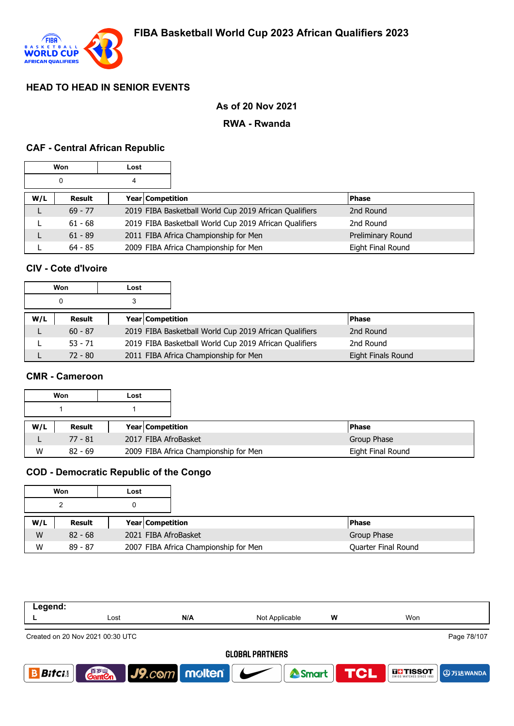

# **As of 20 Nov 2021**

### **RWA - Rwanda**

# **CAF - Central African Republic**

| Won |           | Lost |                  |                                                        |                   |
|-----|-----------|------|------------------|--------------------------------------------------------|-------------------|
| 0   |           | 4    |                  |                                                        |                   |
| W/L | Result    |      | Year Competition |                                                        | <b>Phase</b>      |
| L   | $69 - 77$ |      |                  | 2019 FIBA Basketball World Cup 2019 African Qualifiers | 2nd Round         |
|     | $61 - 68$ |      |                  | 2019 FIBA Basketball World Cup 2019 African Qualifiers | 2nd Round         |
|     | $61 - 89$ |      |                  | 2011 FIBA Africa Championship for Men                  | Preliminary Round |
|     | $64 - 85$ |      |                  | 2009 FIBA Africa Championship for Men                  | Eight Final Round |

# **CIV - Cote d'Ivoire**

|     | Won       | Lost |                         |                                                        |  |                    |
|-----|-----------|------|-------------------------|--------------------------------------------------------|--|--------------------|
|     |           |      |                         |                                                        |  |                    |
| W/L | Result    |      | <b>Year Competition</b> |                                                        |  | <b>Phase</b>       |
|     | $60 - 87$ |      |                         | 2019 FIBA Basketball World Cup 2019 African Qualifiers |  | 2nd Round          |
|     | $53 - 71$ |      |                         | 2019 FIBA Basketball World Cup 2019 African Qualifiers |  | 2nd Round          |
|     | $72 - 80$ |      |                         | 2011 FIBA Africa Championship for Men                  |  | Eight Finals Round |

# **CMR - Cameroon**

|     | Won       | Lost |                                       |                   |
|-----|-----------|------|---------------------------------------|-------------------|
|     |           |      |                                       |                   |
| W/L | Result    |      | <b>Year Competition</b>               | l Phase           |
|     | $77 - 81$ |      | 2017 FIBA AfroBasket                  | Group Phase       |
| W   | $82 - 69$ |      | 2009 FIBA Africa Championship for Men | Eight Final Round |

# **COD - Democratic Republic of the Congo**

|     | Won       | Lost |                         |                                       |                     |
|-----|-----------|------|-------------------------|---------------------------------------|---------------------|
|     |           |      |                         |                                       |                     |
| W/L | Result    |      | <b>Year Competition</b> |                                       | <b>Phase</b>        |
| W   | $82 - 68$ |      |                         | 2021 FIBA AfroBasket                  | Group Phase         |
| W   | $89 - 87$ |      |                         | 2007 FIBA Africa Championship for Men | Quarter Final Round |

| Legend:                |                                                 |                         |                    |   |                                         |  |  |  |
|------------------------|-------------------------------------------------|-------------------------|--------------------|---|-----------------------------------------|--|--|--|
|                        | Lost                                            | N/A                     | Not Applicable     | W | Won                                     |  |  |  |
|                        | Page 78/107<br>Created on 20 Nov 2021 00:30 UTC |                         |                    |   |                                         |  |  |  |
| <b>GLOBAL PARTNERS</b> |                                                 |                         |                    |   |                                         |  |  |  |
| <b>Bitci</b>           | 音 <sub>罗山</sub><br>Gant <b>C</b> n              | $ $ J9. $c$ om   molten | <sup>2</sup> Smart |   | <b>TCL</b><br><b>THESOT</b><br>9万达WANDA |  |  |  |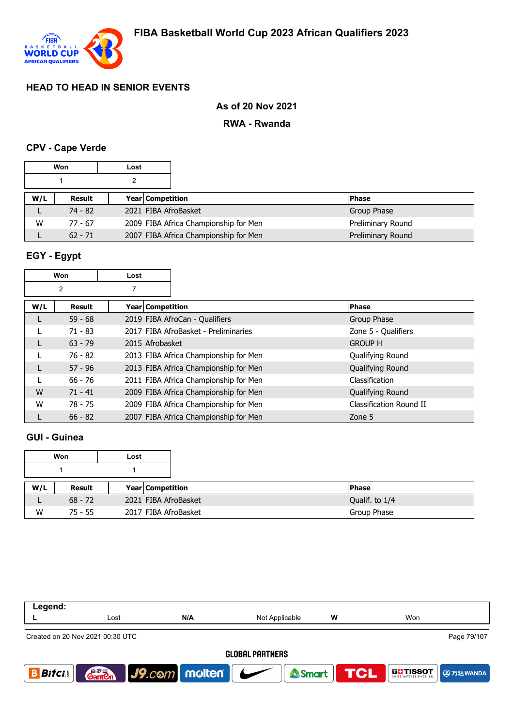

### **As of 20 Nov 2021**

#### **RWA - Rwanda**

### **CPV - Cape Verde**

|     | Won       | Lost |                                       |                   |
|-----|-----------|------|---------------------------------------|-------------------|
|     |           |      |                                       |                   |
| W/L | Result    |      | <b>Year Competition</b>               | <b>Phase</b>      |
|     | $74 - 82$ |      | 2021 FIBA AfroBasket                  | Group Phase       |
| W   | $77 - 67$ |      | 2009 FIBA Africa Championship for Men | Preliminary Round |
|     | $62 - 71$ |      | 2007 FIBA Africa Championship for Men | Preliminary Round |

# **EGY - Egypt**

| Won            |               | Lost             |                                       |                         |
|----------------|---------------|------------------|---------------------------------------|-------------------------|
| $\overline{2}$ |               |                  |                                       |                         |
| W/L            | <b>Result</b> | Year Competition |                                       | <b>Phase</b>            |
| L              | $59 - 68$     |                  | 2019 FIBA AfroCan - Qualifiers        | Group Phase             |
|                | $71 - 83$     |                  | 2017 FIBA AfroBasket - Preliminaries  | Zone 5 - Qualifiers     |
| L              | $63 - 79$     | 2015 Afrobasket  |                                       | <b>GROUP H</b>          |
|                | 76 - 82       |                  | 2013 FIBA Africa Championship for Men | Qualifying Round        |
| L              | $57 - 96$     |                  | 2013 FIBA Africa Championship for Men | Qualifying Round        |
|                | $66 - 76$     |                  | 2011 FIBA Africa Championship for Men | Classification          |
| W              | $71 - 41$     |                  | 2009 FIBA Africa Championship for Men | Qualifying Round        |
| W              | 78 - 75       |                  | 2009 FIBA Africa Championship for Men | Classification Round II |
|                | $66 - 82$     |                  | 2007 FIBA Africa Championship for Men | Zone 5                  |

### **GUI - Guinea**

|     | Won       | Lost |                         |
|-----|-----------|------|-------------------------|
|     |           |      |                         |
| W/L | Result    |      | <b>Year Competition</b> |
|     | $68 - 72$ |      | 2021 FIBA AfroBasket    |
| W   | $75 - 55$ |      | 2017 FIBA AfroBasket    |

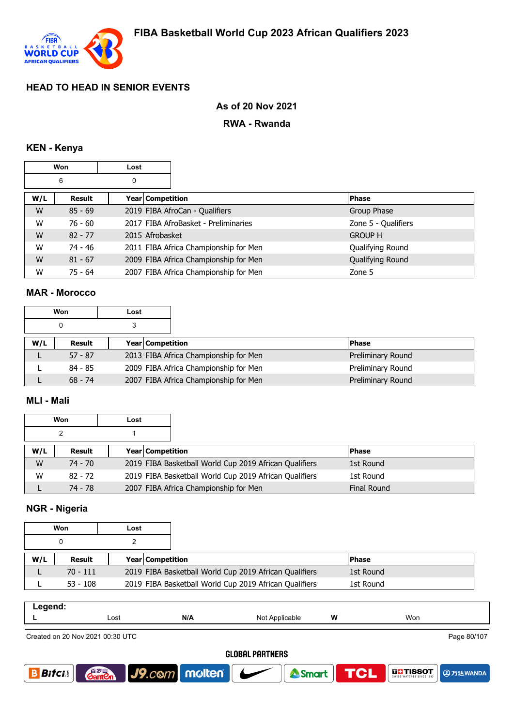

### **As of 20 Nov 2021**

#### **RWA - Rwanda**

### **KEN - Kenya**

|        | Won<br>Lost |  |                    |                                       |                     |
|--------|-------------|--|--------------------|---------------------------------------|---------------------|
| 6<br>0 |             |  |                    |                                       |                     |
| W/L    | Result      |  | Year   Competition |                                       | <b>Phase</b>        |
| W      | $85 - 69$   |  |                    | 2019 FIBA AfroCan - Qualifiers        | Group Phase         |
| W      | $76 - 60$   |  |                    | 2017 FIBA AfroBasket - Preliminaries  | Zone 5 - Qualifiers |
| W      | $82 - 77$   |  | 2015 Afrobasket    |                                       | <b>GROUP H</b>      |
| W      | 74 - 46     |  |                    | 2011 FIBA Africa Championship for Men | Qualifying Round    |
| W      | $81 - 67$   |  |                    | 2009 FIBA Africa Championship for Men | Qualifying Round    |
| W      | $75 - 64$   |  |                    | 2007 FIBA Africa Championship for Men | Zone 5              |

#### **MAR - Morocco**

|     | Won           | Lost |                                       |  |                   |
|-----|---------------|------|---------------------------------------|--|-------------------|
|     | 0             |      |                                       |  |                   |
| W/L | <b>Result</b> |      | Year Competition                      |  | <b>IPhase</b>     |
|     | $57 - 87$     |      | 2013 FIBA Africa Championship for Men |  | Preliminary Round |
|     | $84 - 85$     |      | 2009 FIBA Africa Championship for Men |  | Preliminary Round |
|     | $68 - 74$     |      | 2007 FIBA Africa Championship for Men |  | Preliminary Round |

#### **MLI - Mali**

|     | Won       | Lost                    |                                                        |               |  |
|-----|-----------|-------------------------|--------------------------------------------------------|---------------|--|
|     |           |                         |                                                        |               |  |
| W/L | Result    | <b>Year Competition</b> |                                                        | <b>IPhase</b> |  |
| W   | 74 - 70   |                         | 2019 FIBA Basketball World Cup 2019 African Qualifiers | 1st Round     |  |
| W   | $82 - 72$ |                         | 2019 FIBA Basketball World Cup 2019 African Qualifiers | 1st Round     |  |
|     | 74 - 78   |                         | 2007 FIBA Africa Championship for Men                  | Final Round   |  |

### **NGR - Nigeria**

|     | Won        | Lost |                    |                                                        |              |  |
|-----|------------|------|--------------------|--------------------------------------------------------|--------------|--|
|     |            |      |                    |                                                        |              |  |
| W/L | Result     |      | Year   Competition |                                                        | <b>Phase</b> |  |
|     | $70 - 111$ |      |                    | 2019 FIBA Basketball World Cup 2019 African Qualifiers | 1st Round    |  |
|     | $53 - 108$ |      |                    | 2019 FIBA Basketball World Cup 2019 African Qualifiers | 1st Round    |  |

| -----<br>- ت |      |                            |                      |        |     |
|--------------|------|----------------------------|----------------------|--------|-----|
| _            | Lost | <b>NIA</b><br>$\mathbf{m}$ | הוח<br>$\sim$ $\sim$ | W<br>. | Won |
|              |      |                            |                      |        |     |

Created on 20 Nov 2021 00:30 UTC

Page 80/107

**4万达WANDA** 

**THE TISSOT** 

#### **GLOBAL PARTNERS**

<sup>2</sup>Smart

**TCL** 

J9.com molten

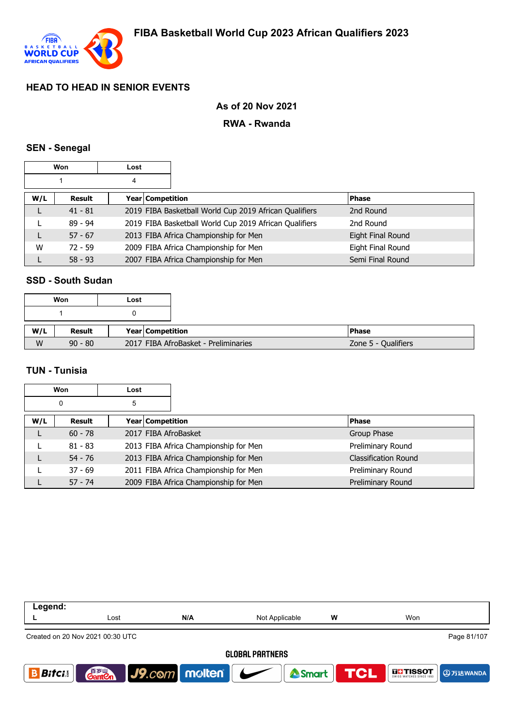

### **As of 20 Nov 2021**

#### **RWA - Rwanda**

### **SEN - Senegal**

|     | <b>Won</b> | Lost |                  |                                                        |                   |
|-----|------------|------|------------------|--------------------------------------------------------|-------------------|
| 4   |            |      |                  |                                                        |                   |
| W/L | Result     |      | Year Competition |                                                        | <b>Phase</b>      |
|     | $41 - 81$  |      |                  | 2019 FIBA Basketball World Cup 2019 African Qualifiers | 2nd Round         |
|     | $89 - 94$  |      |                  | 2019 FIBA Basketball World Cup 2019 African Qualifiers | 2nd Round         |
|     | $57 - 67$  |      |                  | 2013 FIBA Africa Championship for Men                  | Eight Final Round |
| W   | $72 - 59$  |      |                  | 2009 FIBA Africa Championship for Men                  | Eight Final Round |
|     | $58 - 93$  |      |                  | 2007 FIBA Africa Championship for Men                  | Semi Final Round  |

# **SSD - South Sudan**

|     | Won       | Lost |                    |                                      |                     |
|-----|-----------|------|--------------------|--------------------------------------|---------------------|
|     |           |      |                    |                                      |                     |
| W/L | Result    |      | Year   Competition |                                      | <b>IPhase</b>       |
| W   | $90 - 80$ |      |                    | 2017 FIBA AfroBasket - Preliminaries | Zone 5 - Qualifiers |

#### **TUN - Tunisia**

|     | Won       | Lost |                  |                                       |                             |
|-----|-----------|------|------------------|---------------------------------------|-----------------------------|
|     | 0         | 5    |                  |                                       |                             |
| W/L | Result    |      | Year Competition |                                       | <b>Phase</b>                |
|     | $60 - 78$ |      |                  | 2017 FIBA AfroBasket                  | Group Phase                 |
|     | $81 - 83$ |      |                  | 2013 FIBA Africa Championship for Men | Preliminary Round           |
|     | $54 - 76$ |      |                  | 2013 FIBA Africa Championship for Men | <b>Classification Round</b> |
|     | $37 - 69$ |      |                  | 2011 FIBA Africa Championship for Men | Preliminary Round           |
|     | $57 - 74$ |      |                  | 2009 FIBA Africa Championship for Men | Preliminary Round           |

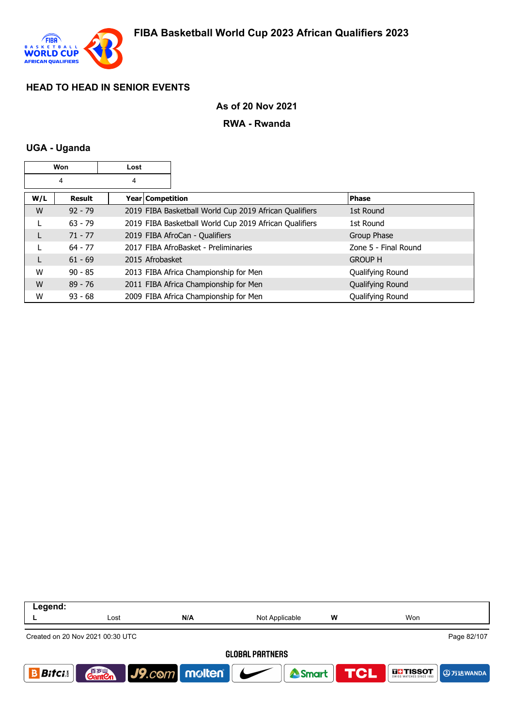

### **As of 20 Nov 2021**

#### **RWA - Rwanda**

### **UGA - Uganda**

|     | Won       | Lost             |                                                        |                      |
|-----|-----------|------------------|--------------------------------------------------------|----------------------|
|     | 4         | 4                |                                                        |                      |
| W/L | Result    | Year Competition |                                                        | <b>Phase</b>         |
| W   | $92 - 79$ |                  | 2019 FIBA Basketball World Cup 2019 African Qualifiers | 1st Round            |
|     | $63 - 79$ |                  | 2019 FIBA Basketball World Cup 2019 African Qualifiers | 1st Round            |
| L   | $71 - 77$ |                  | 2019 FIBA AfroCan - Qualifiers                         | Group Phase          |
|     | $64 - 77$ |                  | 2017 FIBA AfroBasket - Preliminaries                   | Zone 5 - Final Round |
| L   | $61 - 69$ | 2015 Afrobasket  |                                                        | <b>GROUP H</b>       |
| W   | $90 - 85$ |                  | 2013 FIBA Africa Championship for Men                  | Qualifying Round     |
| W   | $89 - 76$ |                  | 2011 FIBA Africa Championship for Men                  | Qualifying Round     |
| W   | $93 - 68$ |                  | 2009 FIBA Africa Championship for Men                  | Qualifying Round     |

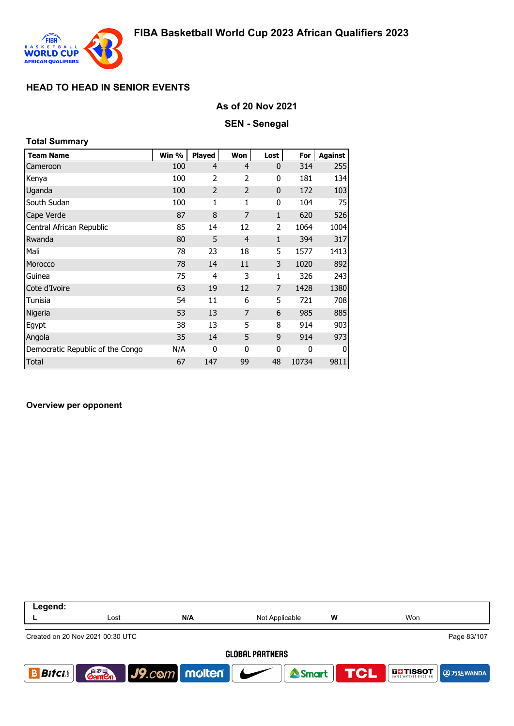

#### **As of 20 Nov 2021**

#### **SEN - Senegal**

| <b>Total Summary</b>             |       |                |                |              |       |         |  |  |  |  |
|----------------------------------|-------|----------------|----------------|--------------|-------|---------|--|--|--|--|
| <b>Team Name</b>                 | Win % | <b>Played</b>  | Won            | Lost         | For   | Against |  |  |  |  |
| Cameroon                         | 100   | $\overline{4}$ | 4              | 0            | 314   | 255     |  |  |  |  |
| Kenya                            | 100   | 2              | 2              | 0            | 181   | 134     |  |  |  |  |
| Uganda                           | 100   | $\overline{2}$ | $\overline{2}$ | $\mathbf 0$  | 172   | 103     |  |  |  |  |
| South Sudan                      | 100   | 1              | 1              | 0            | 104   | 75      |  |  |  |  |
| Cape Verde                       | 87    | 8              | 7              | $\mathbf{1}$ | 620   | 526     |  |  |  |  |
| Central African Republic         | 85    | 14             | 12             | 2            | 1064  | 1004    |  |  |  |  |
| Rwanda                           | 80    | 5              | 4              | $\mathbf{1}$ | 394   | 317     |  |  |  |  |
| Mali                             | 78    | 23             | 18             | 5            | 1577  | 1413    |  |  |  |  |
| Morocco                          | 78    | 14             | 11             | 3            | 1020  | 892     |  |  |  |  |
| Guinea                           | 75    | 4              | 3              | 1            | 326   | 243     |  |  |  |  |
| Cote d'Ivoire                    | 63    | 19             | 12             | 7            | 1428  | 1380    |  |  |  |  |
| Tunisia                          | 54    | 11             | 6              | 5            | 721   | 708     |  |  |  |  |
| Nigeria                          | 53    | 13             | 7              | 6            | 985   | 885     |  |  |  |  |
| Egypt                            | 38    | 13             | 5              | 8            | 914   | 903     |  |  |  |  |
| Angola                           | 35    | 14             | 5              | 9            | 914   | 973     |  |  |  |  |
| Democratic Republic of the Congo | N/A   | 0              | 0              | 0            | 0     | 0       |  |  |  |  |
| Total                            | 67    | 147            | 99             | 48           | 10734 | 9811    |  |  |  |  |

#### **Overview per opponent**

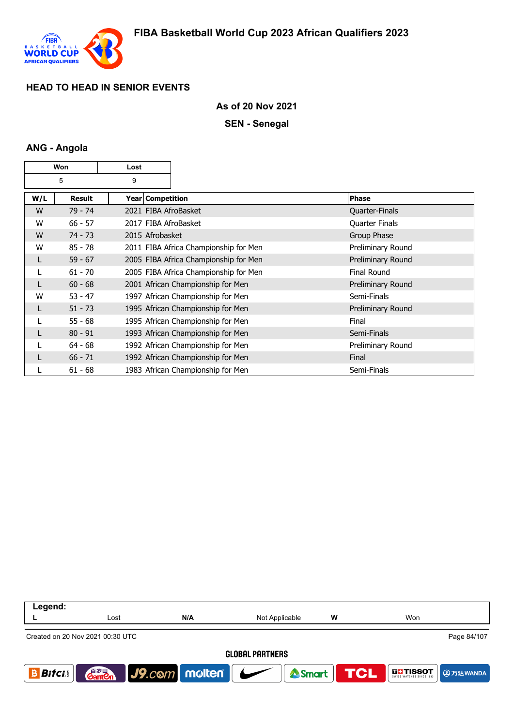

### **As of 20 Nov 2021**

**SEN - Senegal**

# **ANG - Angola**

| Won |           | Lost                 |                                       |                       |
|-----|-----------|----------------------|---------------------------------------|-----------------------|
|     | 5         | 9                    |                                       |                       |
| W/L | Result    | Year   Competition   |                                       | <b>Phase</b>          |
| W   | $79 - 74$ | 2021 FIBA AfroBasket |                                       | <b>Quarter-Finals</b> |
| W   | $66 - 57$ | 2017 FIBA AfroBasket |                                       | <b>Quarter Finals</b> |
| W   | $74 - 73$ | 2015 Afrobasket      |                                       | Group Phase           |
| W   | $85 - 78$ |                      | 2011 FIBA Africa Championship for Men | Preliminary Round     |
|     | $59 - 67$ |                      | 2005 FIBA Africa Championship for Men | Preliminary Round     |
|     | $61 - 70$ |                      | 2005 FIBA Africa Championship for Men | Final Round           |
|     | $60 - 68$ |                      | 2001 African Championship for Men     | Preliminary Round     |
| W   | $53 - 47$ |                      | 1997 African Championship for Men     | Semi-Finals           |
| L   | $51 - 73$ |                      | 1995 African Championship for Men     | Preliminary Round     |
|     | $55 - 68$ |                      | 1995 African Championship for Men     | Final                 |
|     | $80 - 91$ |                      | 1993 African Championship for Men     | Semi-Finals           |
|     | $64 - 68$ |                      | 1992 African Championship for Men     | Preliminary Round     |
|     | $66 - 71$ |                      | 1992 African Championship for Men     | Final                 |
|     | $61 - 68$ |                      | 1983 African Championship for Men     | Semi-Finals           |

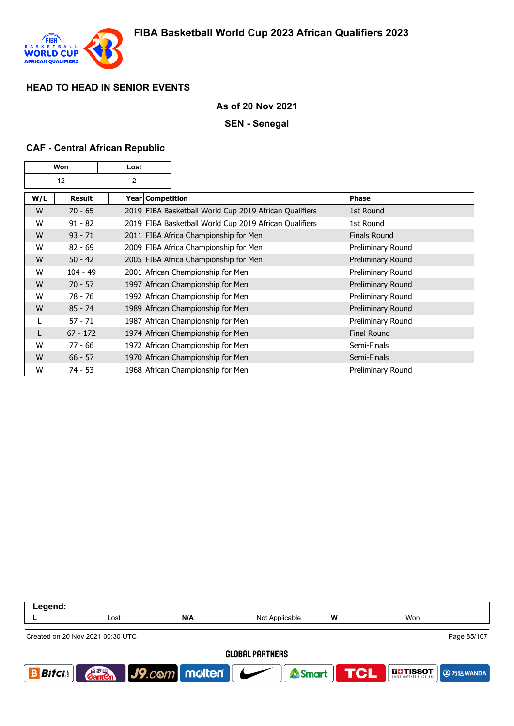

### **As of 20 Nov 2021**

#### **SEN - Senegal**

### **CAF - Central African Republic**

| Won |            | Lost             |                                                        |                     |
|-----|------------|------------------|--------------------------------------------------------|---------------------|
| 12  |            | 2                |                                                        |                     |
| W/L | Result     | Year Competition |                                                        | <b>Phase</b>        |
| W   | $70 - 65$  |                  | 2019 FIBA Basketball World Cup 2019 African Qualifiers | 1st Round           |
| W   | $91 - 82$  |                  | 2019 FIBA Basketball World Cup 2019 African Qualifiers | 1st Round           |
| W   | $93 - 71$  |                  | 2011 FIBA Africa Championship for Men                  | <b>Finals Round</b> |
| W   | $82 - 69$  |                  | 2009 FIBA Africa Championship for Men                  | Preliminary Round   |
| W   | $50 - 42$  |                  | 2005 FIBA Africa Championship for Men                  | Preliminary Round   |
| W   | $104 - 49$ |                  | 2001 African Championship for Men                      | Preliminary Round   |
| W   | $70 - 57$  |                  | 1997 African Championship for Men                      | Preliminary Round   |
| W   | 78 - 76    |                  | 1992 African Championship for Men                      | Preliminary Round   |
| W   | $85 - 74$  |                  | 1989 African Championship for Men                      | Preliminary Round   |
| L   | $57 - 71$  |                  | 1987 African Championship for Men                      | Preliminary Round   |
| L   | $67 - 172$ |                  | 1974 African Championship for Men                      | <b>Final Round</b>  |
| W   | $77 - 66$  |                  | 1972 African Championship for Men                      | Semi-Finals         |
| W   | $66 - 57$  |                  | 1970 African Championship for Men                      | Semi-Finals         |
| W   | $74 - 53$  |                  | 1968 African Championship for Men                      | Preliminary Round   |

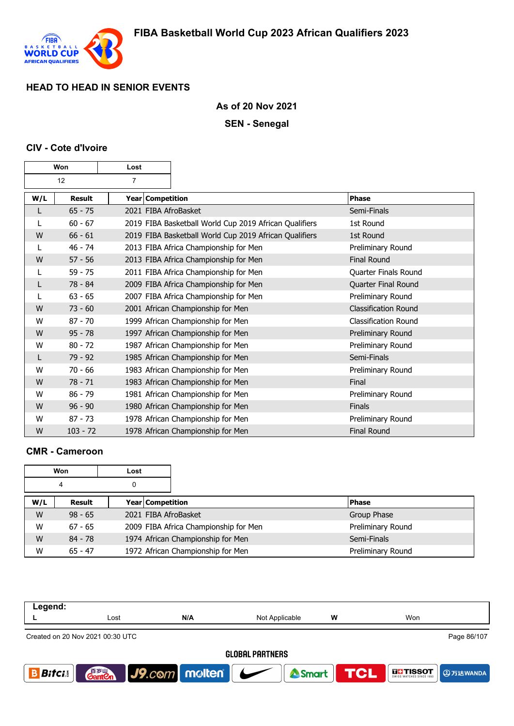

# **As of 20 Nov 2021**

# **SEN - Senegal**

### **CIV - Cote d'Ivoire**

| Won |               | Lost                 |                                                        |                             |
|-----|---------------|----------------------|--------------------------------------------------------|-----------------------------|
|     | 12            | $\overline{7}$       |                                                        |                             |
| W/L | <b>Result</b> | Year Competition     |                                                        | <b>Phase</b>                |
|     | $65 - 75$     | 2021 FIBA AfroBasket |                                                        | Semi-Finals                 |
| L   | $60 - 67$     |                      | 2019 FIBA Basketball World Cup 2019 African Qualifiers | 1st Round                   |
| W   | $66 - 61$     |                      | 2019 FIBA Basketball World Cup 2019 African Qualifiers | 1st Round                   |
|     | $46 - 74$     |                      | 2013 FIBA Africa Championship for Men                  | Preliminary Round           |
| W   | $57 - 56$     |                      | 2013 FIBA Africa Championship for Men                  | <b>Final Round</b>          |
| L   | $59 - 75$     |                      | 2011 FIBA Africa Championship for Men                  | Quarter Finals Round        |
| L   | $78 - 84$     |                      | 2009 FIBA Africa Championship for Men                  | Quarter Final Round         |
| L   | $63 - 65$     |                      | 2007 FIBA Africa Championship for Men                  | Preliminary Round           |
| W   | $73 - 60$     |                      | 2001 African Championship for Men                      | <b>Classification Round</b> |
| W   | $87 - 70$     |                      | 1999 African Championship for Men                      | Classification Round        |
| W   | $95 - 78$     |                      | 1997 African Championship for Men                      | Preliminary Round           |
| W   | $80 - 72$     |                      | 1987 African Championship for Men                      | Preliminary Round           |
| L   | $79 - 92$     |                      | 1985 African Championship for Men                      | Semi-Finals                 |
| W   | $70 - 66$     |                      | 1983 African Championship for Men                      | Preliminary Round           |
| W   | $78 - 71$     |                      | 1983 African Championship for Men                      | Final                       |
| W   | $86 - 79$     |                      | 1981 African Championship for Men                      | Preliminary Round           |
| W   | $96 - 90$     |                      | 1980 African Championship for Men                      | Finals                      |
| W   | $87 - 73$     |                      | 1978 African Championship for Men                      | Preliminary Round           |
| W   | $103 - 72$    |                      | 1978 African Championship for Men                      | <b>Final Round</b>          |

### **CMR - Cameroon**

|     | Won       | Lost |                  |                                       |                   |
|-----|-----------|------|------------------|---------------------------------------|-------------------|
|     | 4         | 0    |                  |                                       |                   |
| W/L | Result    |      | Year Competition |                                       | <b>Phase</b>      |
| W   | $98 - 65$ |      |                  | 2021 FIBA AfroBasket                  | Group Phase       |
| W   | $67 - 65$ |      |                  | 2009 FIBA Africa Championship for Men | Preliminary Round |
| W   | $84 - 78$ |      |                  | 1974 African Championship for Men     | Semi-Finals       |
| W   | $65 - 47$ |      |                  | 1972 African Championship for Men     | Preliminary Round |

| Legend:        |                                    |                                         |                        |   |                                                 |
|----------------|------------------------------------|-----------------------------------------|------------------------|---|-------------------------------------------------|
|                | Lost                               | N/A                                     | Not Applicable         | W | Won                                             |
|                | Created on 20 Nov 2021 00:30 UTC   |                                         |                        |   | Page 86/107                                     |
|                |                                    |                                         | <b>GLOBAL PARTNERS</b> |   |                                                 |
| <b>Bifci</b> . | 音 <sub>罗山</sub><br>Gant <b>C</b> n | $\big $ J9.com molten $\big $ $\bigcup$ | <b>A</b> Smart         |   | <b>TCL</b><br><b>THESOT</b><br><b>4</b> 万达WANDA |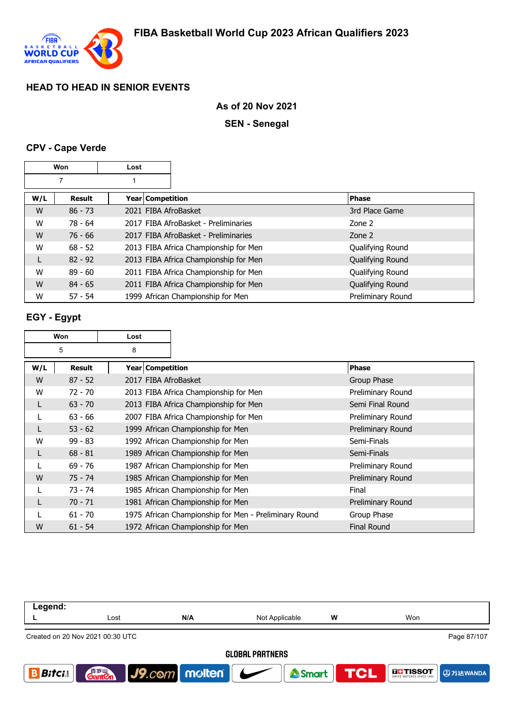

### **As of 20 Nov 2021**

#### **SEN - Senegal**

### **CPV - Cape Verde**

|     | Won       | Lost                 |                                       |                   |
|-----|-----------|----------------------|---------------------------------------|-------------------|
|     |           |                      |                                       |                   |
| W/L | Result    | Year Competition     |                                       | <b>Phase</b>      |
| W   | $86 - 73$ | 2021 FIBA AfroBasket |                                       | 3rd Place Game    |
| W   | $78 - 64$ |                      | 2017 FIBA AfroBasket - Preliminaries  | Zone 2            |
| W   | $76 - 66$ |                      | 2017 FIBA AfroBasket - Preliminaries  | Zone 2            |
| W   | $68 - 52$ |                      | 2013 FIBA Africa Championship for Men | Qualifying Round  |
| L   | $82 - 92$ |                      | 2013 FIBA Africa Championship for Men | Qualifying Round  |
| W   | $89 - 60$ |                      | 2011 FIBA Africa Championship for Men | Qualifying Round  |
| W   | $84 - 65$ |                      | 2011 FIBA Africa Championship for Men | Qualifying Round  |
| W   | $57 - 54$ |                      | 1999 African Championship for Men     | Preliminary Round |

# **EGY - Egypt**

|     | Won       | Lost                 |                                                       |                    |
|-----|-----------|----------------------|-------------------------------------------------------|--------------------|
|     | 5         | 8                    |                                                       |                    |
| W/L | Result    | Year   Competition   |                                                       | <b>Phase</b>       |
| W   | $87 - 52$ | 2017 FIBA AfroBasket |                                                       | Group Phase        |
| W   | $72 - 70$ |                      | 2013 FIBA Africa Championship for Men                 | Preliminary Round  |
| L   | $63 - 70$ |                      | 2013 FIBA Africa Championship for Men                 | Semi Final Round   |
|     | $63 - 66$ |                      | 2007 FIBA Africa Championship for Men                 | Preliminary Round  |
|     | $53 - 62$ |                      | 1999 African Championship for Men                     | Preliminary Round  |
| W   | $99 - 83$ |                      | 1992 African Championship for Men                     | Semi-Finals        |
|     | $68 - 81$ |                      | 1989 African Championship for Men                     | Semi-Finals        |
|     | $69 - 76$ |                      | 1987 African Championship for Men                     | Preliminary Round  |
| W   | $75 - 74$ |                      | 1985 African Championship for Men                     | Preliminary Round  |
|     | $73 - 74$ |                      | 1985 African Championship for Men                     | Final              |
|     | $70 - 71$ |                      | 1981 African Championship for Men                     | Preliminary Round  |
|     | $61 - 70$ |                      | 1975 African Championship for Men - Preliminary Round | Group Phase        |
| W   | $61 - 54$ |                      | 1972 African Championship for Men                     | <b>Final Round</b> |

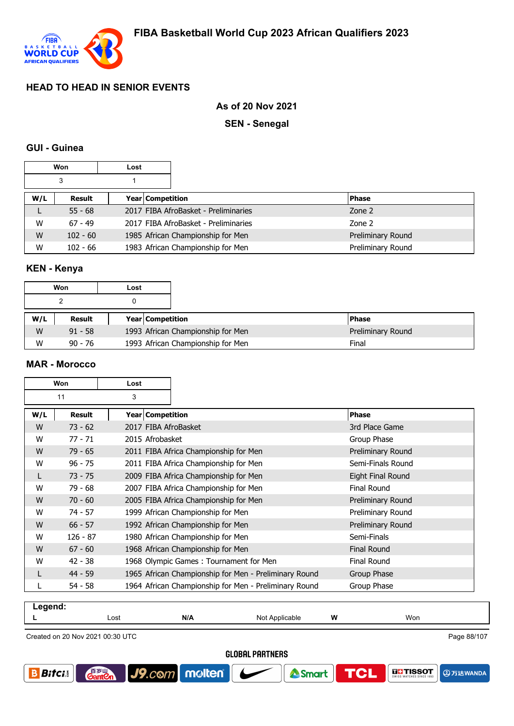

### **As of 20 Nov 2021**

#### **SEN - Senegal**

#### **GUI - Guinea**

|     | Won        | Lost |                  |                                      |                   |
|-----|------------|------|------------------|--------------------------------------|-------------------|
|     | 3          |      |                  |                                      |                   |
| W/L | Result     |      | Year Competition |                                      | <b>Phase</b>      |
| L   | $55 - 68$  |      |                  | 2017 FIBA AfroBasket - Preliminaries | Zone 2            |
| W   | $67 - 49$  |      |                  | 2017 FIBA AfroBasket - Preliminaries | Zone 2            |
| W   | $102 - 60$ |      |                  | 1985 African Championship for Men    | Preliminary Round |
| W   | $102 - 66$ |      |                  | 1983 African Championship for Men    | Preliminary Round |

# **KEN - Kenya**

|     | Won       | Lost |                  |                                   |                   |
|-----|-----------|------|------------------|-----------------------------------|-------------------|
|     |           |      |                  |                                   |                   |
| W/L | Result    |      | Year Competition |                                   | <b>Phase</b>      |
| W   | $91 - 58$ |      |                  | 1993 African Championship for Men | Preliminary Round |
| W   | $90 - 76$ |      |                  | 1993 African Championship for Men | Final             |

#### **MAR - Morocco**

|     | Won        | Lost |                                                       |                    |
|-----|------------|------|-------------------------------------------------------|--------------------|
|     | 11         | 3    |                                                       |                    |
| W/L | Result     |      | Year   Competition                                    | <b>Phase</b>       |
| W   | $73 - 62$  |      | 2017 FIBA AfroBasket                                  | 3rd Place Game     |
| W   | $77 - 71$  |      | 2015 Afrobasket                                       | Group Phase        |
| W   | $79 - 65$  |      | 2011 FIBA Africa Championship for Men                 | Preliminary Round  |
| W   | $96 - 75$  |      | 2011 FIBA Africa Championship for Men                 | Semi-Finals Round  |
| L   | $73 - 75$  |      | 2009 FIBA Africa Championship for Men                 | Eight Final Round  |
| W   | $79 - 68$  |      | 2007 FIBA Africa Championship for Men                 | Final Round        |
| W   | $70 - 60$  |      | 2005 FIBA Africa Championship for Men                 | Preliminary Round  |
| W   | $74 - 57$  |      | 1999 African Championship for Men                     | Preliminary Round  |
| W   | $66 - 57$  |      | 1992 African Championship for Men                     | Preliminary Round  |
| W   | $126 - 87$ |      | 1980 African Championship for Men                     | Semi-Finals        |
| W   | $67 - 60$  |      | 1968 African Championship for Men                     | <b>Final Round</b> |
| W   | $42 - 38$  |      | 1968 Olympic Games: Tournament for Men                | <b>Final Round</b> |
| L   | $44 - 59$  |      | 1965 African Championship for Men - Preliminary Round | Group Phase        |
|     | $54 - 58$  |      | 1964 African Championship for Men - Preliminary Round | Group Phase        |

| Legend: |                                  |     |                |   |             |
|---------|----------------------------------|-----|----------------|---|-------------|
|         | Lost                             | N/A | Not Applicable | W | Won         |
|         | Created on 20 Nov 2021 00:30 UTC |     |                |   | Page 88/107 |
|         |                                  |     |                |   |             |

Created on 20 Nov 2021 00:30 UTC

**Gant**<sup>2</sup>

J9.com molten

**GLOBAL PARTNERS** 



г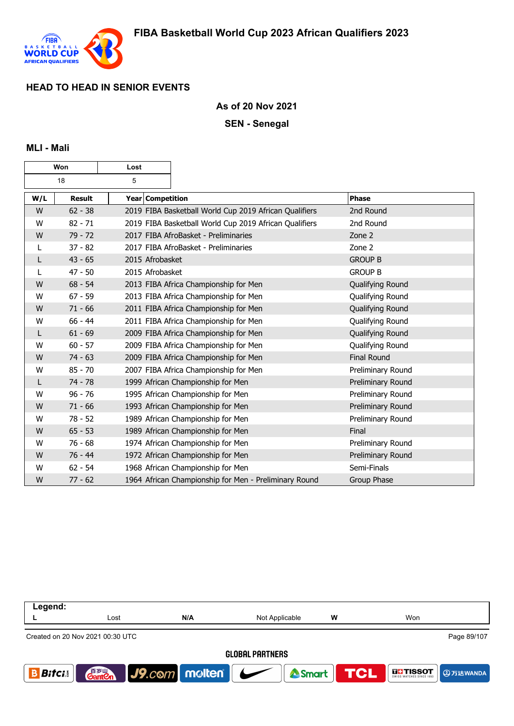

### **As of 20 Nov 2021**

#### **SEN - Senegal**

#### **MLI - Mali**

|     | Won           | Lost             |                                                        |                    |
|-----|---------------|------------------|--------------------------------------------------------|--------------------|
|     | 18            | 5                |                                                        |                    |
| W/L | <b>Result</b> | Year Competition |                                                        | <b>Phase</b>       |
| W   | $62 - 38$     |                  | 2019 FIBA Basketball World Cup 2019 African Qualifiers | 2nd Round          |
| W   | $82 - 71$     |                  | 2019 FIBA Basketball World Cup 2019 African Qualifiers | 2nd Round          |
| W   | $79 - 72$     |                  | 2017 FIBA AfroBasket - Preliminaries                   | Zone 2             |
| L   | $37 - 82$     |                  | 2017 FIBA AfroBasket - Preliminaries                   | Zone 2             |
| L   | $43 - 65$     | 2015 Afrobasket  |                                                        | <b>GROUP B</b>     |
| L   | $47 - 50$     | 2015 Afrobasket  |                                                        | <b>GROUP B</b>     |
| W   | $68 - 54$     |                  | 2013 FIBA Africa Championship for Men                  | Qualifying Round   |
| W   | $67 - 59$     |                  | 2013 FIBA Africa Championship for Men                  | Qualifying Round   |
| W   | $71 - 66$     |                  | 2011 FIBA Africa Championship for Men                  | Qualifying Round   |
| W   | $66 - 44$     |                  | 2011 FIBA Africa Championship for Men                  | Qualifying Round   |
| L   | $61 - 69$     |                  | 2009 FIBA Africa Championship for Men                  | Qualifying Round   |
| W   | $60 - 57$     |                  | 2009 FIBA Africa Championship for Men                  | Qualifying Round   |
| W   | $74 - 63$     |                  | 2009 FIBA Africa Championship for Men                  | <b>Final Round</b> |
| W   | $85 - 70$     |                  | 2007 FIBA Africa Championship for Men                  | Preliminary Round  |
| L   | $74 - 78$     |                  | 1999 African Championship for Men                      | Preliminary Round  |
| W   | $96 - 76$     |                  | 1995 African Championship for Men                      | Preliminary Round  |
| W   | $71 - 66$     |                  | 1993 African Championship for Men                      | Preliminary Round  |
| W   | $78 - 52$     |                  | 1989 African Championship for Men                      | Preliminary Round  |
| W   | $65 - 53$     |                  | 1989 African Championship for Men                      | Final              |
| W   | $76 - 68$     |                  | 1974 African Championship for Men                      | Preliminary Round  |
| W   | $76 - 44$     |                  | 1972 African Championship for Men                      | Preliminary Round  |
| W   | $62 - 54$     |                  | 1968 African Championship for Men                      | Semi-Finals        |
| W   | $77 - 62$     |                  | 1964 African Championship for Men - Preliminary Round  | Group Phase        |

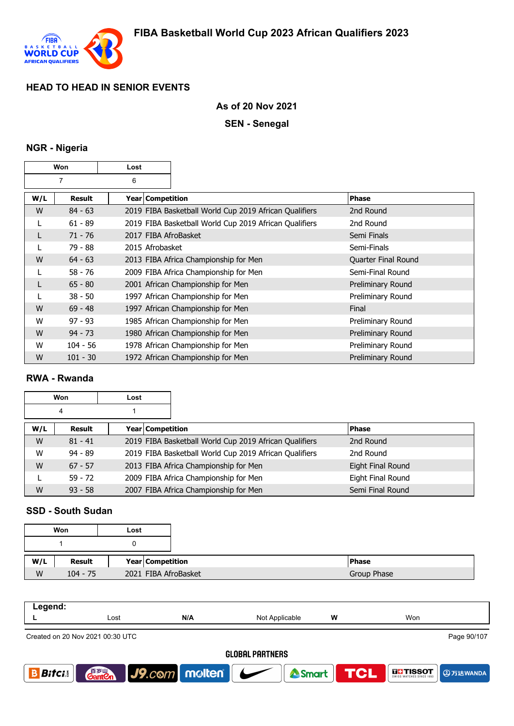

### **As of 20 Nov 2021**

#### **SEN - Senegal**

### **NGR - Nigeria**

|     | Won            | Lost                 |                                                        |                     |
|-----|----------------|----------------------|--------------------------------------------------------|---------------------|
|     | $\overline{7}$ | 6                    |                                                        |                     |
| W/L | Result         | Year   Competition   |                                                        | <b>Phase</b>        |
| W   | $84 - 63$      |                      | 2019 FIBA Basketball World Cup 2019 African Qualifiers | 2nd Round           |
|     | $61 - 89$      |                      | 2019 FIBA Basketball World Cup 2019 African Qualifiers | 2nd Round           |
| L   | $71 - 76$      | 2017 FIBA AfroBasket |                                                        | Semi Finals         |
|     | 79 - 88        | 2015 Afrobasket      |                                                        | Semi-Finals         |
| W   | $64 - 63$      |                      | 2013 FIBA Africa Championship for Men                  | Quarter Final Round |
|     | $58 - 76$      |                      | 2009 FIBA Africa Championship for Men                  | Semi-Final Round    |
| L   | $65 - 80$      |                      | 2001 African Championship for Men                      | Preliminary Round   |
|     | $38 - 50$      |                      | 1997 African Championship for Men                      | Preliminary Round   |
| W   | $69 - 48$      |                      | 1997 African Championship for Men                      | Final               |
| W   | $97 - 93$      |                      | 1985 African Championship for Men                      | Preliminary Round   |
| W   | $94 - 73$      |                      | 1980 African Championship for Men                      | Preliminary Round   |
| W   | $104 - 56$     |                      | 1978 African Championship for Men                      | Preliminary Round   |
| W   | $101 - 30$     |                      | 1972 African Championship for Men                      | Preliminary Round   |

#### **RWA - Rwanda**

|     | Won       | Lost             |                                                        |                   |
|-----|-----------|------------------|--------------------------------------------------------|-------------------|
|     | 4         |                  |                                                        |                   |
| W/L | Result    | Year Competition |                                                        | <b>Phase</b>      |
| W   | $81 - 41$ |                  | 2019 FIBA Basketball World Cup 2019 African Qualifiers | 2nd Round         |
| W   | $94 - 89$ |                  | 2019 FIBA Basketball World Cup 2019 African Qualifiers | 2nd Round         |
| W   | $67 - 57$ |                  | 2013 FIBA Africa Championship for Men                  | Eight Final Round |
|     | $59 - 72$ |                  | 2009 FIBA Africa Championship for Men                  | Eight Final Round |
| W   | $93 - 58$ |                  | 2007 FIBA Africa Championship for Men                  | Semi Final Round  |

# **SSD - South Sudan**

|     | Won        | Lost |                      |
|-----|------------|------|----------------------|
|     |            |      |                      |
| W/L | Result     |      | Year Competition     |
| W   | $104 - 75$ |      | 2021 FIBA AfroBasket |

| .<br>__⊸ყ <del>∈</del> ⊓u. |      |     |                                                                    |   |     |
|----------------------------|------|-----|--------------------------------------------------------------------|---|-----|
| -                          | Lost | N/A | <i>⊶</i> u Annlicable<br>Nnt<br>$\sim$ $\sim$ $\sim$ $\sim$ $\sim$ | W | Won |
|                            |      |     |                                                                    |   |     |

Created on 20 Nov 2021 00:30 UTC

Page 90/107

**4万达WANDA** 

**THE TISSOT** 

#### **GLOBAL PARTNERS**

Smart

**TCL** 



J9.com molten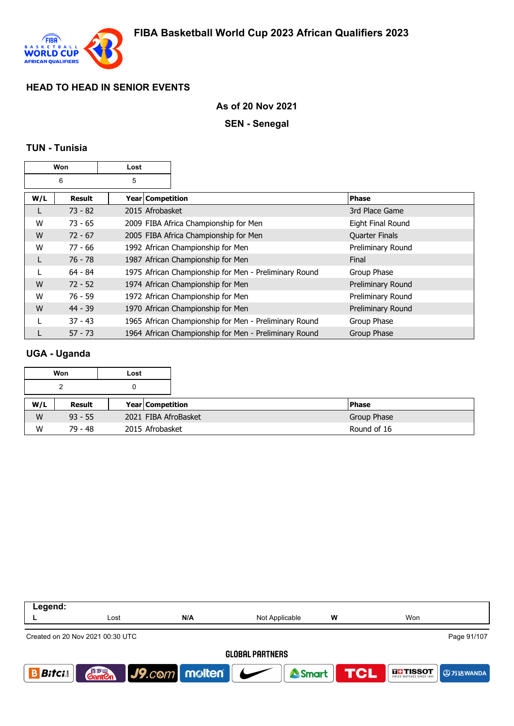

### **As of 20 Nov 2021**

#### **SEN - Senegal**

### **TUN - Tunisia**

|     | Won       | Lost |                  |                                                       |                       |
|-----|-----------|------|------------------|-------------------------------------------------------|-----------------------|
|     | 6         | 5    |                  |                                                       |                       |
| W/L | Result    |      | Year Competition |                                                       | <b>Phase</b>          |
| L   | $73 - 82$ |      | 2015 Afrobasket  |                                                       | 3rd Place Game        |
| W   | $73 - 65$ |      |                  | 2009 FIBA Africa Championship for Men                 | Eight Final Round     |
| W   | $72 - 67$ |      |                  | 2005 FIBA Africa Championship for Men                 | <b>Quarter Finals</b> |
| W   | 77 - 66   |      |                  | 1992 African Championship for Men                     | Preliminary Round     |
| L   | 76 - 78   |      |                  | 1987 African Championship for Men                     | Final                 |
|     | $64 - 84$ |      |                  | 1975 African Championship for Men - Preliminary Round | Group Phase           |
| W   | $72 - 52$ |      |                  | 1974 African Championship for Men                     | Preliminary Round     |
| W   | $76 - 59$ |      |                  | 1972 African Championship for Men                     | Preliminary Round     |
| W   | $44 - 39$ |      |                  | 1970 African Championship for Men                     | Preliminary Round     |
|     | $37 - 43$ |      |                  | 1965 African Championship for Men - Preliminary Round | Group Phase           |
|     | $57 - 73$ |      |                  | 1964 African Championship for Men - Preliminary Round | Group Phase           |

### **UGA - Uganda**

|     | Won       | Lost |                         |               |
|-----|-----------|------|-------------------------|---------------|
|     | っ         |      |                         |               |
| W/L | Result    |      | <b>Year Competition</b> | <b>IPhase</b> |
| W   | $93 - 55$ |      | 2021 FIBA AfroBasket    | Group Phase   |
| W   | 79 - 48   |      | 2015 Afrobasket         | Round of 16   |

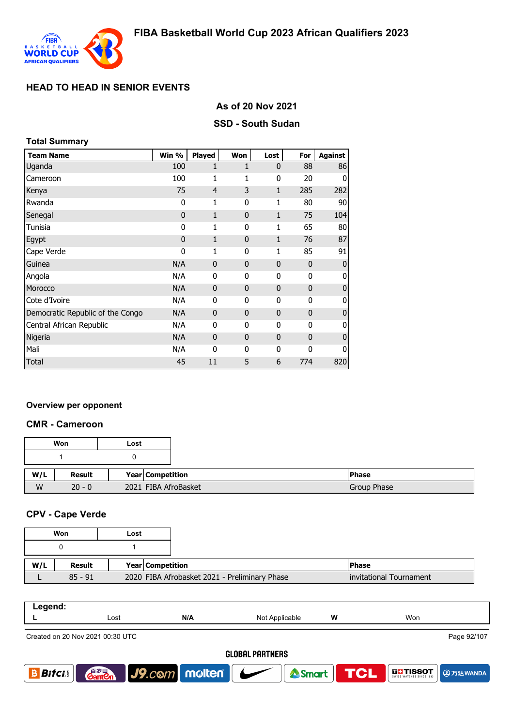

### **As of 20 Nov 2021**

#### **SSD - South Sudan**

| <b>Total Summary</b>             |       |                |              |              |              |                |
|----------------------------------|-------|----------------|--------------|--------------|--------------|----------------|
| <b>Team Name</b>                 | Win % | <b>Played</b>  | Won          | Lost         | For          | <b>Against</b> |
| Uganda                           | 100   | 1              | 1            | $\mathbf{0}$ | 88           | 86             |
| Cameroon                         | 100   | 1              | 1            | 0            | 20           | 0              |
| Kenya                            | 75    | $\overline{4}$ | 3            | 1            | 285          | 282            |
| Rwanda                           | 0     | 1              | 0            | 1            | 80           | 90             |
| Senegal                          | 0     | $\mathbf{1}$   | $\mathbf{0}$ | 1            | 75           | 104            |
| Tunisia                          | 0     | 1              | 0            | 1            | 65           | 80             |
| Egypt                            | 0     | $\mathbf{1}$   | $\mathbf{0}$ | $\mathbf{1}$ | 76           | 87             |
| Cape Verde                       | 0     | 1              | 0            | $\mathbf{1}$ | 85           | 91             |
| Guinea                           | N/A   | $\mathbf 0$    | 0            | $\mathbf{0}$ | $\mathbf{0}$ | $\mathbf{0}$   |
| Angola                           | N/A   | $\mathbf{0}$   | 0            | 0            | 0            | 0              |
| Morocco                          | N/A   | $\mathbf{0}$   | $\mathbf{0}$ | $\mathbf{0}$ | $\mathbf{0}$ | $\pmb{0}$      |
| Cote d'Ivoire                    | N/A   | $\mathbf{0}$   | 0            | 0            | 0            | 0              |
| Democratic Republic of the Congo | N/A   | $\mathbf{0}$   | $\mathbf{0}$ | $\mathbf{0}$ | $\mathbf{0}$ | 0              |
| Central African Republic         | N/A   | 0              | 0            | 0            | 0            | 0              |
| Nigeria                          | N/A   | $\mathbf 0$    | $\mathbf{0}$ | $\mathbf 0$  | $\mathbf{0}$ | 0              |
| Mali                             | N/A   | $\Omega$       | 0            | 0            | $\Omega$     | 0              |
| Total                            | 45    | 11             | 5            | 6            | 774          | 820            |

#### **Overview per opponent**

### **CMR - Cameroon**

|     | Won      | Lost |                  |                      |              |
|-----|----------|------|------------------|----------------------|--------------|
|     |          |      |                  |                      |              |
| W/L | Result   |      | Year Competition |                      | <b>Phase</b> |
| W   | $20 - 0$ |      |                  | 2021 FIBA AfroBasket | Group Phase  |

## **CPV - Cape Verde**

|     | Won       | Lost             |                                               |                         |
|-----|-----------|------------------|-----------------------------------------------|-------------------------|
|     |           |                  |                                               |                         |
| W/L | Result    | Year Competition |                                               | <b>Phase</b>            |
|     | $85 - 91$ |                  | 2020 FIBA Afrobasket 2021 - Preliminary Phase | invitational Tournament |

| ____<br>__ |      |     |                |   |     |
|------------|------|-----|----------------|---|-----|
|            | Lost | N/A | Not<br>પાcabl∈ | W | Won |
|            |      |     |                |   |     |

Created on 20 Nov 2021 00:30 UTC

Page 92/107

**4万达WANDA** 

**DE-TISSOT** 

#### **GLOBAL PARTNERS**

<sup>2</sup>Smart

**TCL** 

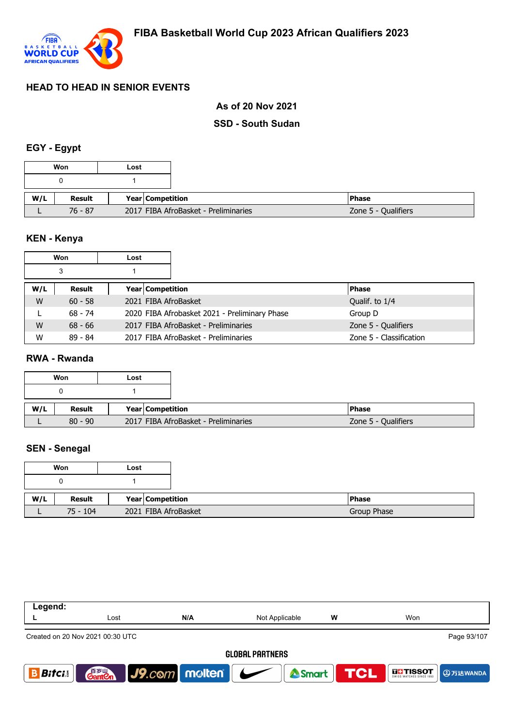

# **As of 20 Nov 2021**

### **SSD - South Sudan**

# **EGY - Egypt**

|     | Won       | Lost                                 |
|-----|-----------|--------------------------------------|
|     |           |                                      |
|     |           |                                      |
| W/L | Result    | Year Competition                     |
|     | $76 - 87$ | 2017 FIBA AfroBasket - Preliminaries |

# **KEN - Kenya**

|     | Won       | Lost             |                                               |                         |
|-----|-----------|------------------|-----------------------------------------------|-------------------------|
|     | 3         |                  |                                               |                         |
| W/L | Result    | Year Competition |                                               | <b>Phase</b>            |
| W   | $60 - 58$ |                  | 2021 FIBA AfroBasket                          | Qualif. to 1/4          |
|     | $68 - 74$ |                  | 2020 FIBA Afrobasket 2021 - Preliminary Phase | Group D                 |
| W   | $68 - 66$ |                  | 2017 FIBA AfroBasket - Preliminaries          | Zone 5 - Qualifiers     |
| W   | $89 - 84$ |                  | 2017 FIBA AfroBasket - Preliminaries          | Zone 5 - Classification |

# **RWA - Rwanda**

|     | Won       | Lost |                                      |
|-----|-----------|------|--------------------------------------|
|     |           |      |                                      |
| W/L | Result    |      | Year Competition                     |
|     | $80 - 90$ |      | 2017 FIBA AfroBasket - Preliminaries |

# **SEN - Senegal**

|     | Won        | Lost |                         |
|-----|------------|------|-------------------------|
|     |            |      |                         |
|     |            |      |                         |
| W/L | Result     |      | <b>Year Competition</b> |
|     | $75 - 104$ |      | 2021 FIBA AfroBasket    |

| Legend:                          |                                    |                          |                |                  |                   |  |
|----------------------------------|------------------------------------|--------------------------|----------------|------------------|-------------------|--|
|                                  | Lost                               | N/A                      | Not Applicable | w                | Won               |  |
| Created on 20 Nov 2021 00:30 UTC |                                    |                          |                |                  | Page 93/107       |  |
| <b>GLOBAL PARTNERS</b>           |                                    |                          |                |                  |                   |  |
| <b>Bitci</b>                     | 音 <sub>罗山</sub><br>Gant <b>C</b> n | $ $ J9. $com$ molten $ $ |                | Smart <b>TCL</b> | <b>GLI TISSOT</b> |  |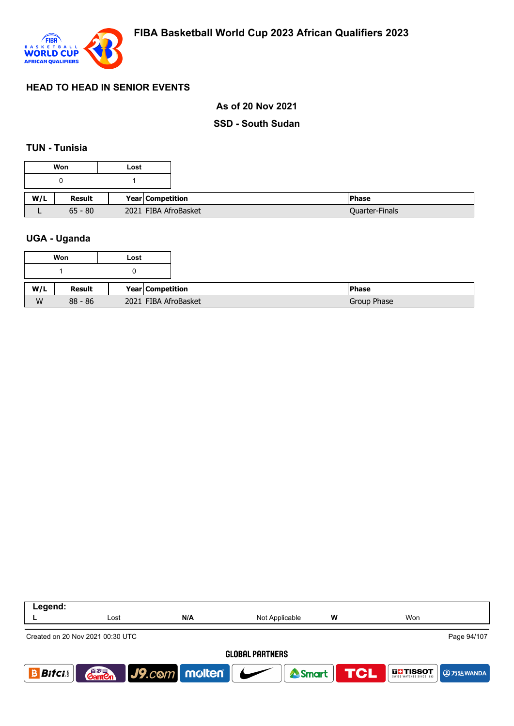

### **As of 20 Nov 2021**

### **SSD - South Sudan**

#### **TUN - Tunisia**

|     | Won       | Lost               |                      |
|-----|-----------|--------------------|----------------------|
|     |           |                    |                      |
| W/L | Result    | Year   Competition |                      |
| ட   | $65 - 80$ |                    | 2021 FIBA AfroBasket |

# **UGA - Uganda**

| Won |           | Lost |                         |
|-----|-----------|------|-------------------------|
|     |           |      |                         |
| W/L | Result    |      | <b>Year Competition</b> |
| W   | $88 - 86$ |      | 2021 FIBA AfroBasket    |

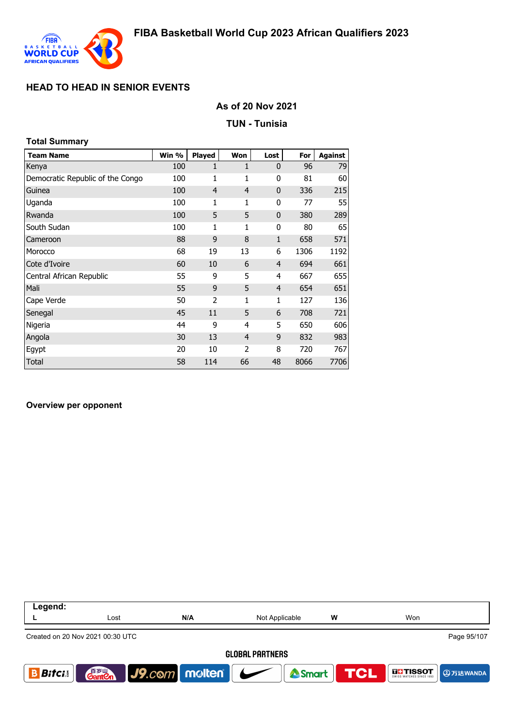

### **As of 20 Nov 2021**

#### **TUN - Tunisia**

## **Total Summary**

| <b>Team Name</b>                 | Win % | <b>Played</b>  | Won | Lost           | For  | <b>Against</b> |
|----------------------------------|-------|----------------|-----|----------------|------|----------------|
| Kenya                            | 100   | 1              | 1   | $\mathbf{0}$   | 96   | 79             |
| Democratic Republic of the Congo | 100   | 1              | 1   | 0              | 81   | 60             |
| Guinea                           | 100   | $\overline{4}$ | 4   | $\mathbf 0$    | 336  | 215            |
| Uganda                           | 100   | 1              | 1   | 0              | 77   | 55             |
| Rwanda                           | 100   | 5              | 5   | $\mathbf 0$    | 380  | 289            |
| South Sudan                      | 100   | 1              | 1   | 0              | 80   | 65             |
| Cameroon                         | 88    | 9              | 8   | $\mathbf{1}$   | 658  | 571            |
| Morocco                          | 68    | 19             | 13  | 6              | 1306 | 1192           |
| Cote d'Ivoire                    | 60    | 10             | 6   | 4              | 694  | 661            |
| Central African Republic         | 55    | 9              | 5   | 4              | 667  | 655            |
| Mali                             | 55    | 9              | 5   | $\overline{4}$ | 654  | 651            |
| Cape Verde                       | 50    | $\overline{2}$ | 1   | 1              | 127  | 136            |
| Senegal                          | 45    | 11             | 5   | 6              | 708  | 721            |
| Nigeria                          | 44    | 9              | 4   | 5              | 650  | 606            |
| Angola                           | 30    | 13             | 4   | 9              | 832  | 983            |
| Egypt                            | 20    | 10             | 2   | 8              | 720  | 767            |
| Total                            | 58    | 114            | 66  | 48             | 8066 | 7706           |

#### **Overview per opponent**

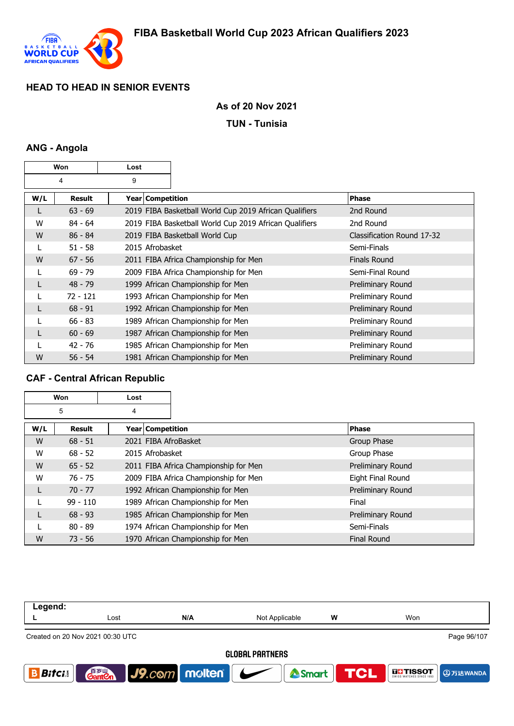

# **As of 20 Nov 2021**

### **TUN - Tunisia**

### **ANG - Angola**

| Won |            | Lost               |                                                        |                            |
|-----|------------|--------------------|--------------------------------------------------------|----------------------------|
|     | 4          | 9                  |                                                        |                            |
| W/L | Result     | Year   Competition |                                                        | <b>Phase</b>               |
| L   | $63 - 69$  |                    | 2019 FIBA Basketball World Cup 2019 African Qualifiers | 2nd Round                  |
| W   | $84 - 64$  |                    | 2019 FIBA Basketball World Cup 2019 African Qualifiers | 2nd Round                  |
| W   | $86 - 84$  |                    | 2019 FIBA Basketball World Cup                         | Classification Round 17-32 |
|     | $51 - 58$  | 2015 Afrobasket    |                                                        | Semi-Finals                |
| W   | $67 - 56$  |                    | 2011 FIBA Africa Championship for Men                  | <b>Finals Round</b>        |
|     | $69 - 79$  |                    | 2009 FIBA Africa Championship for Men                  | Semi-Final Round           |
| L   | $48 - 79$  |                    | 1999 African Championship for Men                      | Preliminary Round          |
| L   | $72 - 121$ |                    | 1993 African Championship for Men                      | Preliminary Round          |
| L   | $68 - 91$  |                    | 1992 African Championship for Men                      | Preliminary Round          |
|     | $66 - 83$  |                    | 1989 African Championship for Men                      | Preliminary Round          |
|     | $60 - 69$  |                    | 1987 African Championship for Men                      | Preliminary Round          |
|     | $42 - 76$  |                    | 1985 African Championship for Men                      | Preliminary Round          |
| W   | $56 - 54$  |                    | 1981 African Championship for Men                      | Preliminary Round          |

# **CAF - Central African Republic**

|     | Won           | Lost                 |                                       |                    |
|-----|---------------|----------------------|---------------------------------------|--------------------|
|     | 5             | 4                    |                                       |                    |
| W/L | <b>Result</b> | Year Competition     |                                       | <b>Phase</b>       |
| W   | $68 - 51$     | 2021 FIBA AfroBasket |                                       | Group Phase        |
| W   | $68 - 52$     | 2015 Afrobasket      |                                       | Group Phase        |
| W   | $65 - 52$     |                      | 2011 FIBA Africa Championship for Men | Preliminary Round  |
| W   | $76 - 75$     |                      | 2009 FIBA Africa Championship for Men | Eight Final Round  |
|     | $70 - 77$     |                      | 1992 African Championship for Men     | Preliminary Round  |
|     | $99 - 110$    |                      | 1989 African Championship for Men     | Final              |
|     | $68 - 93$     |                      | 1985 African Championship for Men     | Preliminary Round  |
|     | $80 - 89$     |                      | 1974 African Championship for Men     | Semi-Finals        |
| W   | $73 - 56$     |                      | 1970 African Championship for Men     | <b>Final Round</b> |

| Legend:                                         |                                    |                  |                |                  |                                      |  |
|-------------------------------------------------|------------------------------------|------------------|----------------|------------------|--------------------------------------|--|
|                                                 | Lost                               | N/A              | Not Applicable | w                | Won                                  |  |
| Page 96/107<br>Created on 20 Nov 2021 00:30 UTC |                                    |                  |                |                  |                                      |  |
| <b>GLOBAL PARTNERS</b>                          |                                    |                  |                |                  |                                      |  |
| <b>Bitci</b>                                    | 音 <sub>罗山</sub><br>Gant <b>C</b> n | $J9$ .com molten |                | Smart <b>TCL</b> | <b>THE TISSOT</b><br><b>4万达WANDA</b> |  |
|                                                 |                                    |                  |                |                  |                                      |  |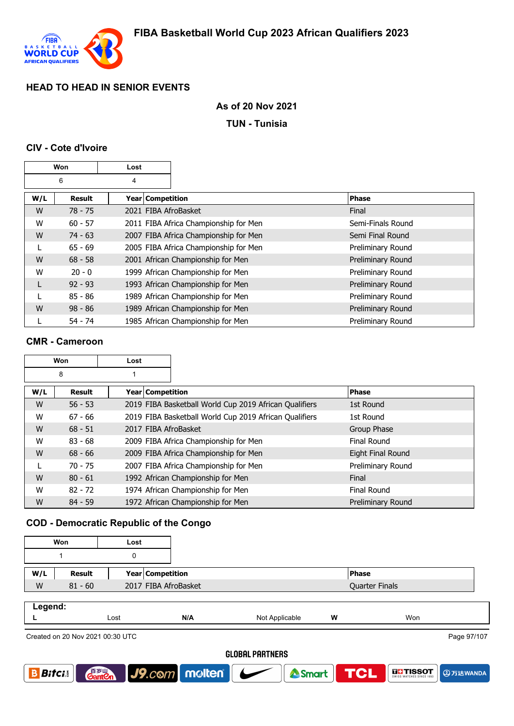

### **As of 20 Nov 2021**

#### **TUN - Tunisia**

#### **CIV - Cote d'Ivoire**

| Won    |               | Lost                 |                                       |                   |
|--------|---------------|----------------------|---------------------------------------|-------------------|
| 6<br>4 |               |                      |                                       |                   |
| W/L    | <b>Result</b> | Year Competition     |                                       | <b>Phase</b>      |
| W      | $78 - 75$     | 2021 FIBA AfroBasket |                                       | Final             |
| W      | $60 - 57$     |                      | 2011 FIBA Africa Championship for Men | Semi-Finals Round |
| W      | $74 - 63$     |                      | 2007 FIBA Africa Championship for Men | Semi Final Round  |
|        | $65 - 69$     |                      | 2005 FIBA Africa Championship for Men | Preliminary Round |
| W      | $68 - 58$     |                      | 2001 African Championship for Men     | Preliminary Round |
| W      | $20 - 0$      |                      | 1999 African Championship for Men     | Preliminary Round |
| L      | $92 - 93$     |                      | 1993 African Championship for Men     | Preliminary Round |
|        | $85 - 86$     |                      | 1989 African Championship for Men     | Preliminary Round |
| W      | $98 - 86$     |                      | 1989 African Championship for Men     | Preliminary Round |
|        | $54 - 74$     |                      | 1985 African Championship for Men     | Preliminary Round |

#### **CMR - Cameroon**

|     | Won       | Lost |                         |                                                        |                   |
|-----|-----------|------|-------------------------|--------------------------------------------------------|-------------------|
|     | 8         |      |                         |                                                        |                   |
| W/L | Result    |      | <b>Year Competition</b> |                                                        | <b>Phase</b>      |
| W   | $56 - 53$ |      |                         | 2019 FIBA Basketball World Cup 2019 African Qualifiers | 1st Round         |
| W   | $67 - 66$ |      |                         | 2019 FIBA Basketball World Cup 2019 African Qualifiers | 1st Round         |
| W   | $68 - 51$ |      |                         | 2017 FIBA AfroBasket                                   | Group Phase       |
| W   | $83 - 68$ |      |                         | 2009 FIBA Africa Championship for Men                  | Final Round       |
| W   | $68 - 66$ |      |                         | 2009 FIBA Africa Championship for Men                  | Eight Final Round |
|     | $70 - 75$ |      |                         | 2007 FIBA Africa Championship for Men                  | Preliminary Round |
| W   | $80 - 61$ |      |                         | 1992 African Championship for Men                      | Final             |
| W   | $82 - 72$ |      |                         | 1974 African Championship for Men                      | Final Round       |
| W   | $84 - 59$ |      |                         | 1972 African Championship for Men                      | Preliminary Round |

### **COD - Democratic Republic of the Congo**

|         | Won           | Lost |                      |                |   |                       |  |
|---------|---------------|------|----------------------|----------------|---|-----------------------|--|
|         |               | 0    |                      |                |   |                       |  |
| W/L     | <b>Result</b> |      | Year Competition     |                |   | <b>Phase</b>          |  |
| W       | $81 - 60$     |      | 2017 FIBA AfroBasket |                |   | <b>Quarter Finals</b> |  |
| Legend: |               |      |                      |                |   |                       |  |
|         |               | Lost | N/A                  | Not Applicable | W | Won                   |  |

Created on 20 Nov 2021 00:30 UTC

**GantOn** 

J9.com molten

Page 97/107

**4万达WANDA** 

**EL: TISSOT** 

**GLOBAL PARTNERS** 

Smart

**TCL** 

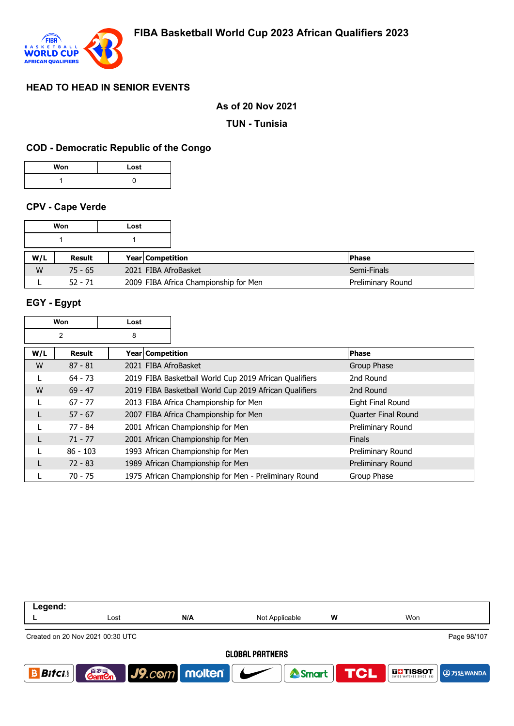

#### **As of 20 Nov 2021**

**TUN - Tunisia**

### **COD - Democratic Republic of the Congo**

| Won | Lost |
|-----|------|
|     |      |

### **CPV - Cape Verde**

| Won<br>Lost |           |  |                    |                                       |                   |
|-------------|-----------|--|--------------------|---------------------------------------|-------------------|
|             |           |  |                    |                                       |                   |
| W/L         | Result    |  | Year   Competition |                                       | <b>Phase</b>      |
| W           | $75 - 65$ |  |                    | 2021 FIBA AfroBasket                  | Semi-Finals       |
|             | 52 - 71   |  |                    | 2009 FIBA Africa Championship for Men | Preliminary Round |

#### **EGY - Egypt**

| Won                 |               | Lost                    |                                                        |                     |
|---------------------|---------------|-------------------------|--------------------------------------------------------|---------------------|
| $\overline{2}$<br>8 |               |                         |                                                        |                     |
| W/L                 | <b>Result</b> | <b>Year Competition</b> |                                                        | <b>Phase</b>        |
| W                   | $87 - 81$     | 2021 FIBA AfroBasket    |                                                        | Group Phase         |
|                     | $64 - 73$     |                         | 2019 FIBA Basketball World Cup 2019 African Qualifiers | 2nd Round           |
| W                   | $69 - 47$     |                         | 2019 FIBA Basketball World Cup 2019 African Qualifiers | 2nd Round           |
|                     | $67 - 77$     |                         | 2013 FIBA Africa Championship for Men                  | Eight Final Round   |
| L                   | $57 - 67$     |                         | 2007 FIBA Africa Championship for Men                  | Quarter Final Round |
|                     | 77 - 84       |                         | 2001 African Championship for Men                      | Preliminary Round   |
| L                   | $71 - 77$     |                         | 2001 African Championship for Men                      | <b>Finals</b>       |
|                     | $86 - 103$    |                         | 1993 African Championship for Men                      | Preliminary Round   |
| L                   | $72 - 83$     |                         | 1989 African Championship for Men                      | Preliminary Round   |
|                     | $70 - 75$     |                         | 1975 African Championship for Men - Preliminary Round  | Group Phase         |

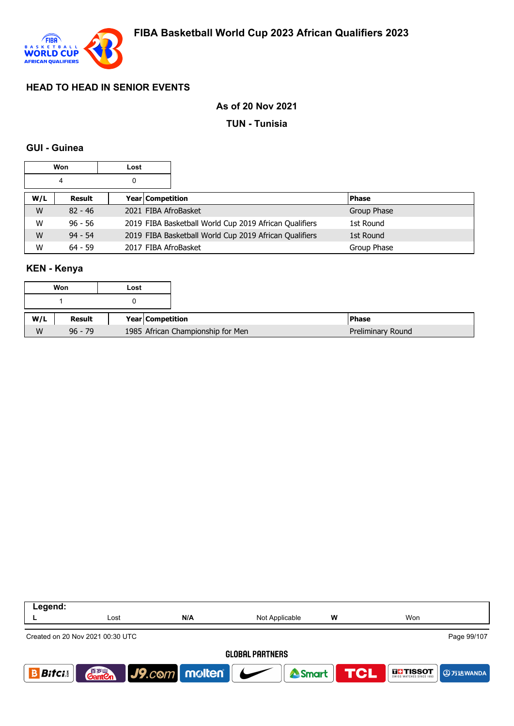

### **As of 20 Nov 2021**

#### **TUN - Tunisia**

#### **GUI - Guinea**

|     | Won       | Lost                 |                                                        |              |
|-----|-----------|----------------------|--------------------------------------------------------|--------------|
|     | 4         | 0                    |                                                        |              |
| W/L | Result    | Year Competition     |                                                        | <b>Phase</b> |
| W   | $82 - 46$ | 2021 FIBA AfroBasket |                                                        | Group Phase  |
| W   | $96 - 56$ |                      | 2019 FIBA Basketball World Cup 2019 African Qualifiers | 1st Round    |
| W   | $94 - 54$ |                      | 2019 FIBA Basketball World Cup 2019 African Qualifiers | 1st Round    |
| W   | $64 - 59$ | 2017 FIBA AfroBasket |                                                        | Group Phase  |

#### **KEN - Kenya**

|     | Won       | Lost |                  |                                   |                   |
|-----|-----------|------|------------------|-----------------------------------|-------------------|
|     |           |      |                  |                                   |                   |
| W/L | Result    |      | Year Competition |                                   | <b>Phase</b>      |
| W   | $96 - 79$ |      |                  | 1985 African Championship for Men | Preliminary Round |

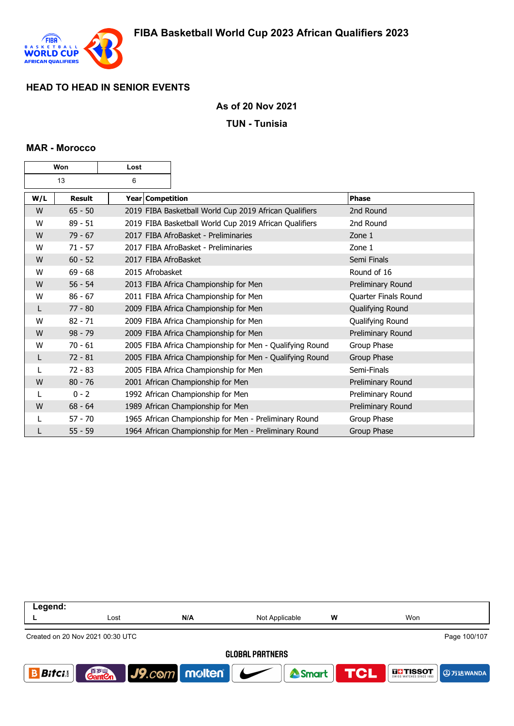

### **As of 20 Nov 2021**

#### **TUN - Tunisia**

#### **MAR - Morocco**

| Won |               | Lost                 |                                                          |                      |
|-----|---------------|----------------------|----------------------------------------------------------|----------------------|
|     | 13            | 6                    |                                                          |                      |
| W/L | <b>Result</b> | Year Competition     |                                                          | Phase                |
| W   | $65 - 50$     |                      | 2019 FIBA Basketball World Cup 2019 African Qualifiers   | 2nd Round            |
| W   | $89 - 51$     |                      | 2019 FIBA Basketball World Cup 2019 African Qualifiers   | 2nd Round            |
| W   | $79 - 67$     |                      | 2017 FIBA AfroBasket - Preliminaries                     | Zone 1               |
| W   | $71 - 57$     |                      | 2017 FIBA AfroBasket - Preliminaries                     | Zone 1               |
| W   | $60 - 52$     | 2017 FIBA AfroBasket |                                                          | Semi Finals          |
| w   | $69 - 68$     | 2015 Afrobasket      |                                                          | Round of 16          |
| W   | $56 - 54$     |                      | 2013 FIBA Africa Championship for Men                    | Preliminary Round    |
| W   | $86 - 67$     |                      | 2011 FIBA Africa Championship for Men                    | Quarter Finals Round |
|     | $77 - 80$     |                      | 2009 FIBA Africa Championship for Men                    | Qualifying Round     |
| W   | $82 - 71$     |                      | 2009 FIBA Africa Championship for Men                    | Qualifying Round     |
| W   | $98 - 79$     |                      | 2009 FIBA Africa Championship for Men                    | Preliminary Round    |
| W   | $70 - 61$     |                      | 2005 FIBA Africa Championship for Men - Qualifying Round | Group Phase          |
| L   | $72 - 81$     |                      | 2005 FIBA Africa Championship for Men - Qualifying Round | Group Phase          |
|     | $72 - 83$     |                      | 2005 FIBA Africa Championship for Men                    | Semi-Finals          |
| W   | $80 - 76$     |                      | 2001 African Championship for Men                        | Preliminary Round    |
|     | $0 - 2$       |                      | 1992 African Championship for Men                        | Preliminary Round    |
| W   | $68 - 64$     |                      | 1989 African Championship for Men                        | Preliminary Round    |
|     | $57 - 70$     |                      | 1965 African Championship for Men - Preliminary Round    | Group Phase          |
|     | $55 - 59$     |                      | 1964 African Championship for Men - Preliminary Round    | Group Phase          |

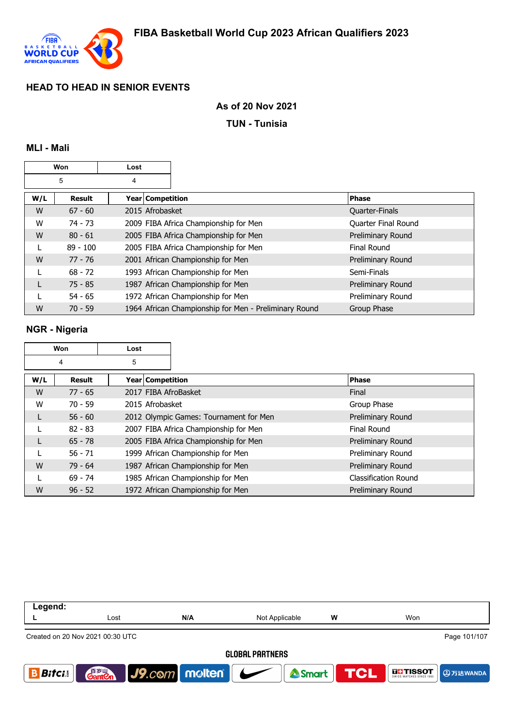

# **As of 20 Nov 2021**

### **TUN - Tunisia**

### **MLI - Mali**

|     | Won        | Lost               |                                                       |                       |
|-----|------------|--------------------|-------------------------------------------------------|-----------------------|
|     | 5          | 4                  |                                                       |                       |
| W/L | Result     | Year   Competition |                                                       | <b>Phase</b>          |
| W   | $67 - 60$  | 2015 Afrobasket    |                                                       | <b>Quarter-Finals</b> |
| W   | 74 - 73    |                    | 2009 FIBA Africa Championship for Men                 | Quarter Final Round   |
| W   | $80 - 61$  |                    | 2005 FIBA Africa Championship for Men                 | Preliminary Round     |
| L   | $89 - 100$ |                    | 2005 FIBA Africa Championship for Men                 | Final Round           |
| W   | $77 - 76$  |                    | 2001 African Championship for Men                     | Preliminary Round     |
|     | $68 - 72$  |                    | 1993 African Championship for Men                     | Semi-Finals           |
| L   | $75 - 85$  |                    | 1987 African Championship for Men                     | Preliminary Round     |
|     | $54 - 65$  |                    | 1972 African Championship for Men                     | Preliminary Round     |
| W   | $70 - 59$  |                    | 1964 African Championship for Men - Preliminary Round | Group Phase           |

# **NGR - Nigeria**

|     | Won       | Lost                 |                                        |                             |
|-----|-----------|----------------------|----------------------------------------|-----------------------------|
|     | 4         | 5                    |                                        |                             |
| W/L | Result    | Year Competition     |                                        | <b>Phase</b>                |
| W   | $77 - 65$ | 2017 FIBA AfroBasket |                                        | Final                       |
| W   | $70 - 59$ | 2015 Afrobasket      |                                        | Group Phase                 |
|     | $56 - 60$ |                      | 2012 Olympic Games: Tournament for Men | Preliminary Round           |
|     | $82 - 83$ |                      | 2007 FIBA Africa Championship for Men  | Final Round                 |
|     | $65 - 78$ |                      | 2005 FIBA Africa Championship for Men  | Preliminary Round           |
|     | $56 - 71$ |                      | 1999 African Championship for Men      | Preliminary Round           |
| W   | $79 - 64$ |                      | 1987 African Championship for Men      | Preliminary Round           |
|     | $69 - 74$ |                      | 1985 African Championship for Men      | <b>Classification Round</b> |
| W   | $96 - 52$ |                      | 1972 African Championship for Men      | Preliminary Round           |

| Legend:                                          |                       |               |                     |                  |                   |  |  |  |  |
|--------------------------------------------------|-----------------------|---------------|---------------------|------------------|-------------------|--|--|--|--|
|                                                  | Lost                  | N/A           | W<br>Not Applicable |                  | Won               |  |  |  |  |
| Page 101/107<br>Created on 20 Nov 2021 00:30 UTC |                       |               |                     |                  |                   |  |  |  |  |
| <b>GLOBAL PARTNERS</b>                           |                       |               |                     |                  |                   |  |  |  |  |
| <b>Bitci</b>                                     | 百岁山<br><b>Gant</b> en | J9.com molten |                     | Smart <b>TCL</b> | <b>THE TISSOT</b> |  |  |  |  |
|                                                  |                       |               |                     |                  |                   |  |  |  |  |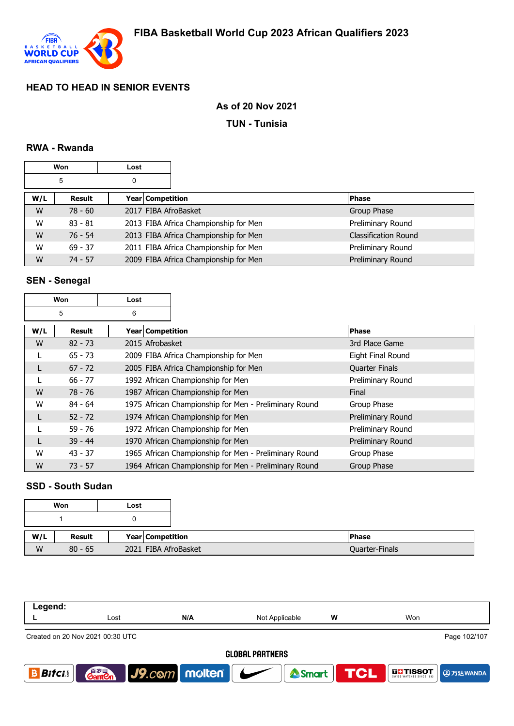

# **As of 20 Nov 2021**

### **TUN - Tunisia**

# **RWA - Rwanda**

|     | Won       | Lost             |  |                                       |                             |
|-----|-----------|------------------|--|---------------------------------------|-----------------------------|
|     | 5         | 0                |  |                                       |                             |
| W/L | Result    | Year Competition |  |                                       | <b>Phase</b>                |
| W   | $78 - 60$ |                  |  | 2017 FIBA AfroBasket                  | Group Phase                 |
| W   | $83 - 81$ |                  |  | 2013 FIBA Africa Championship for Men | Preliminary Round           |
| W   | $76 - 54$ |                  |  | 2013 FIBA Africa Championship for Men | <b>Classification Round</b> |
| W   | $69 - 37$ |                  |  | 2011 FIBA Africa Championship for Men | Preliminary Round           |
| W   | $74 - 57$ |                  |  | 2009 FIBA Africa Championship for Men | Preliminary Round           |

# **SEN - Senegal**

| Won |               | Lost             |                                                       |                       |
|-----|---------------|------------------|-------------------------------------------------------|-----------------------|
|     | 5             | 6                |                                                       |                       |
| W/L | <b>Result</b> | Year Competition |                                                       | <b>Phase</b>          |
| W   | $82 - 73$     | 2015 Afrobasket  |                                                       | 3rd Place Game        |
|     | $65 - 73$     |                  | 2009 FIBA Africa Championship for Men                 | Eight Final Round     |
| L   | $67 - 72$     |                  | 2005 FIBA Africa Championship for Men                 | <b>Quarter Finals</b> |
|     | $66 - 77$     |                  | 1992 African Championship for Men                     | Preliminary Round     |
| W   | 78 - 76       |                  | 1987 African Championship for Men                     | Final                 |
| W   | $84 - 64$     |                  | 1975 African Championship for Men - Preliminary Round | Group Phase           |
| L   | $52 - 72$     |                  | 1974 African Championship for Men                     | Preliminary Round     |
|     | 59 - 76       |                  | 1972 African Championship for Men                     | Preliminary Round     |
| L   | $39 - 44$     |                  | 1970 African Championship for Men                     | Preliminary Round     |
| W   | $43 - 37$     |                  | 1965 African Championship for Men - Preliminary Round | Group Phase           |
| W   | $73 - 57$     |                  | 1964 African Championship for Men - Preliminary Round | Group Phase           |

# **SSD - South Sudan**

|     | Won       | Lost |                      |
|-----|-----------|------|----------------------|
|     |           |      |                      |
| W/L | Result    |      | Year   Competition   |
| W   | $80 - 65$ |      | 2021 FIBA AfroBasket |

| Legend:                |                                                  |                                    |                |  |                                       |  |  |  |
|------------------------|--------------------------------------------------|------------------------------------|----------------|--|---------------------------------------|--|--|--|
|                        | Lost                                             | N/A                                | Not Applicable |  | Won                                   |  |  |  |
|                        | Page 102/107<br>Created on 20 Nov 2021 00:30 UTC |                                    |                |  |                                       |  |  |  |
| <b>GLOBAL PARTNERS</b> |                                                  |                                    |                |  |                                       |  |  |  |
| <b>Bitci</b>           |                                                  | <b>Ganten</b> J9.com molten Ganten |                |  | Smart <b>TCL</b><br><b>THE TISSOT</b> |  |  |  |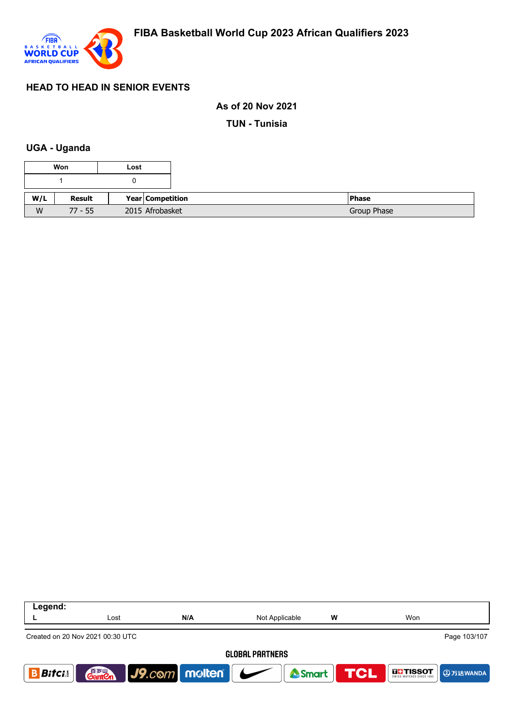

### **As of 20 Nov 2021**

**TUN - Tunisia**

#### **UGA - Uganda**

|     | Won       | Lost |                  |  |               |
|-----|-----------|------|------------------|--|---------------|
|     |           |      |                  |  |               |
| W/L | Result    |      | Year Competition |  | <b>IPhase</b> |
| W   | $77 - 55$ |      | 2015 Afrobasket  |  | Group Phase   |

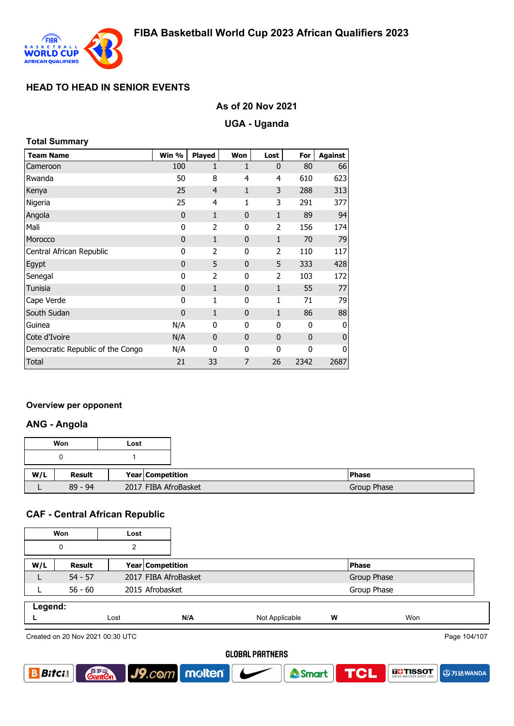

### **As of 20 Nov 2021**

#### **UGA - Uganda**

| <b>Total Summary</b>             |             |                |                |                |              |                |
|----------------------------------|-------------|----------------|----------------|----------------|--------------|----------------|
| <b>Team Name</b>                 | Win %       | <b>Played</b>  | Won            | Lost           | For          | <b>Against</b> |
| Cameroon                         | 100         | 1              | 1              | 0              | 80           | 66             |
| Rwanda                           | 50          | 8              | 4              | 4              | 610          | 623            |
| Kenya                            | 25          | $\overline{4}$ | $\mathbf{1}$   | 3              | 288          | 313            |
| Nigeria                          | 25          | 4              | 1              | 3              | 291          | 377            |
| Angola                           | 0           | $\mathbf{1}$   | 0              | $\mathbf{1}$   | 89           | 94             |
| Mali                             | 0           | 2              | 0              | $\overline{2}$ | 156          | 174            |
| Morocco                          | 0           | $\mathbf{1}$   | $\mathbf{0}$   | $\mathbf{1}$   | 70           | 79             |
| Central African Republic         | 0           | 2              | 0              | 2              | 110          | 117            |
| Egypt                            | 0           | 5              | $\mathbf{0}$   | 5              | 333          | 428            |
| Senegal                          | 0           | 2              | 0              | 2              | 103          | 172            |
| Tunisia                          | 0           | $\mathbf{1}$   | $\overline{0}$ | $\mathbf{1}$   | 55           | 77             |
| Cape Verde                       | 0           | $\mathbf{1}$   | 0              | 1              | 71           | 79             |
| South Sudan                      | $\mathbf 0$ | $\mathbf{1}$   | $\mathbf{0}$   | $\mathbf{1}$   | 86           | 88             |
| Guinea                           | N/A         | 0              | 0              | 0              | $\Omega$     | 0              |
| Cote d'Ivoire                    | N/A         | $\mathbf{0}$   | 0              | 0              | $\mathbf{0}$ | 0              |
| Democratic Republic of the Congo | N/A         | 0              | 0              | 0              | 0            | 0              |
| <b>Total</b>                     | 21          | 33             | 7              | 26             | 2342         | 2687           |

#### **Overview per opponent**

### **ANG - Angola**

|     | Won       | Lost |                      |
|-----|-----------|------|----------------------|
|     |           |      |                      |
| W/L | Result    |      | Year Competition     |
| └   | $89 - 94$ |      | 2017 FIBA AfroBasket |

### **CAF - Central African Republic**

| Won<br>Lost |               |                 |                      |                |   |              |
|-------------|---------------|-----------------|----------------------|----------------|---|--------------|
|             | 2<br>0        |                 |                      |                |   |              |
| W/L         | <b>Result</b> |                 | Year Competition     |                |   | <b>Phase</b> |
|             | $54 - 57$     |                 | 2017 FIBA AfroBasket |                |   | Group Phase  |
|             | $56 - 60$     | 2015 Afrobasket |                      |                |   | Group Phase  |
| Legend:     |               |                 |                      |                |   |              |
|             |               | Lost            | N/A                  | Not Applicable | W | Won          |
|             |               |                 |                      |                |   |              |

Created on 20 Nov 2021 00:30 UTC

**Gantler** 

J9.com molten

Page 104/107

**4万达WANDA** 

**THE TISSOT** 

#### **GLOBAL PARTNERS**

<sup>2</sup>Smart

**TCL** 

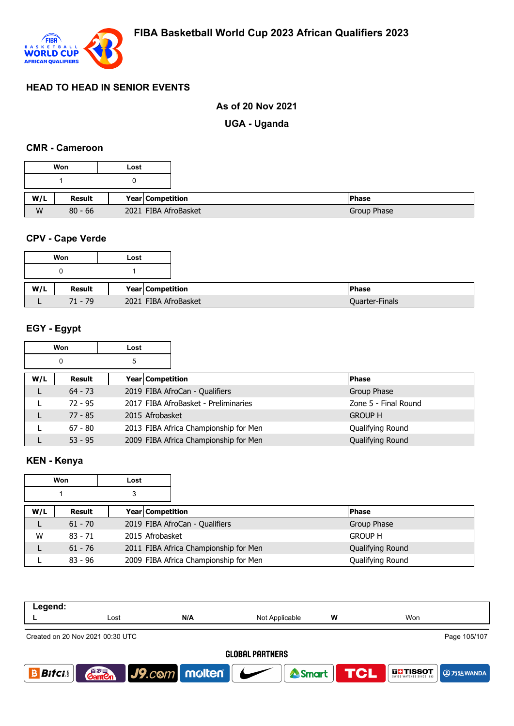

# **As of 20 Nov 2021**

**UGA - Uganda**

### **CMR - Cameroon**

|     | Won<br>Lost |  |                         |
|-----|-------------|--|-------------------------|
|     |             |  |                         |
| W/L | Result      |  | <b>Year Competition</b> |
| W   | $80 - 66$   |  | 2021 FIBA AfroBasket    |

# **CPV - Cape Verde**

| Won<br>Lost |           |  |                      |
|-------------|-----------|--|----------------------|
|             |           |  |                      |
| W/L         | Result    |  | Year Competition     |
|             | $71 - 79$ |  | 2021 FIBA AfroBasket |

# **EGY - Egypt**

| Won<br>Lost |           |                  |                                       |                      |
|-------------|-----------|------------------|---------------------------------------|----------------------|
|             | 5<br>0    |                  |                                       |                      |
| W/L         | Result    | Year Competition |                                       | <b>Phase</b>         |
|             | $64 - 73$ |                  | 2019 FIBA AfroCan - Qualifiers        | Group Phase          |
|             | $72 - 95$ |                  | 2017 FIBA AfroBasket - Preliminaries  | Zone 5 - Final Round |
|             | $77 - 85$ | 2015 Afrobasket  |                                       | <b>GROUP H</b>       |
|             | $67 - 80$ |                  | 2013 FIBA Africa Championship for Men | Qualifying Round     |
|             | $53 - 95$ |                  | 2009 FIBA Africa Championship for Men | Qualifying Round     |

# **KEN - Kenya**

| Won<br>Lost |           |   |                  |                                       |  |                  |
|-------------|-----------|---|------------------|---------------------------------------|--|------------------|
|             |           | 3 |                  |                                       |  |                  |
| W/L         | Result    |   | Year Competition |                                       |  | <b>Phase</b>     |
|             | $61 - 70$ |   |                  | 2019 FIBA AfroCan - Qualifiers        |  | Group Phase      |
| W           | $83 - 71$ |   |                  | 2015 Afrobasket                       |  | <b>GROUP H</b>   |
|             | $61 - 76$ |   |                  | 2011 FIBA Africa Championship for Men |  | Qualifying Round |
|             | $83 - 96$ |   |                  | 2009 FIBA Africa Championship for Men |  | Qualifying Round |

| Legend:                |                                    |                                       |                        |            |                   |
|------------------------|------------------------------------|---------------------------------------|------------------------|------------|-------------------|
|                        | Lost                               | N/A                                   | Not Applicable         | w          | Won               |
|                        | Created on 20 Nov 2021 00:30 UTC   |                                       |                        |            | Page 105/107      |
|                        |                                    |                                       | <b>GLOBAL PARTNERS</b> |            |                   |
| $B$ ifci $\frac{1}{2}$ | 音 <sub>岁Ⅲ</sub><br>Gant <b>C</b> n | $\bigcup$ J9.com   melten   $\bigcup$ | Smart                  | <b>TGL</b> | <b>THE TISSOT</b> |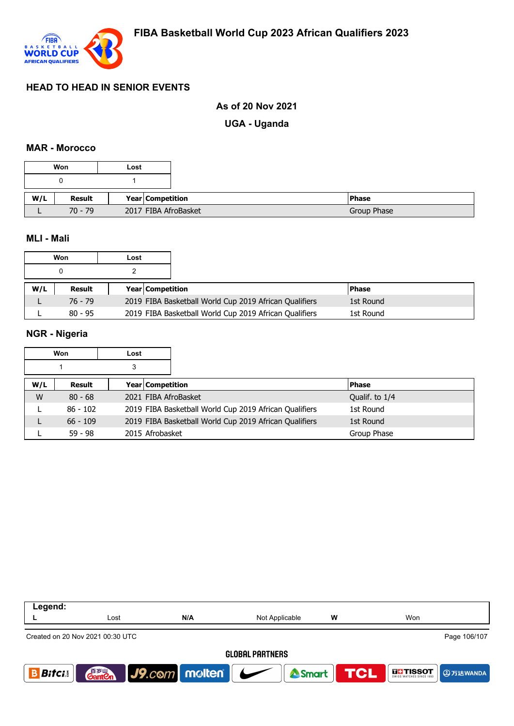

### **As of 20 Nov 2021**

**UGA - Uganda**

#### **MAR - Morocco**

|     | Won       | Lost |                      |
|-----|-----------|------|----------------------|
|     |           |      |                      |
| W/L | Result    |      | Year Competition     |
|     | $70 - 79$ |      | 2017 FIBA AfroBasket |

#### **MLI - Mali**

|     | Won       | Lost |                         |                                                        |           |
|-----|-----------|------|-------------------------|--------------------------------------------------------|-----------|
|     |           |      |                         |                                                        |           |
| W/L | Result    |      | <b>Year Competition</b> |                                                        | l Phase   |
|     | 76 - 79   |      |                         | 2019 FIBA Basketball World Cup 2019 African Qualifiers | 1st Round |
|     | $80 - 95$ |      |                         | 2019 FIBA Basketball World Cup 2019 African Qualifiers | 1st Round |

### **NGR - Nigeria**

|     | Won        | Lost |                         |                                                        |                |
|-----|------------|------|-------------------------|--------------------------------------------------------|----------------|
|     |            | 3    |                         |                                                        |                |
| W/L | Result     |      | <b>Year Competition</b> |                                                        | <b>Phase</b>   |
| W   | $80 - 68$  |      |                         | 2021 FIBA AfroBasket                                   | Qualif. to 1/4 |
|     | $86 - 102$ |      |                         | 2019 FIBA Basketball World Cup 2019 African Qualifiers | 1st Round      |
|     | $66 - 109$ |      |                         | 2019 FIBA Basketball World Cup 2019 African Qualifiers | 1st Round      |
|     | $59 - 98$  |      | 2015 Afrobasket         |                                                        | Group Phase    |